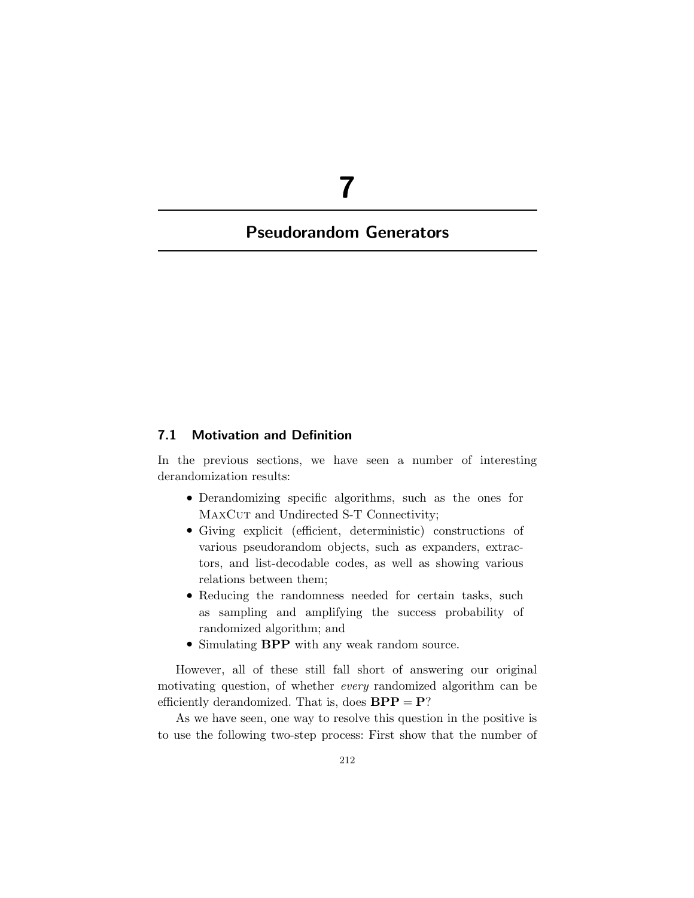# **7**

# **Pseudorandom Generators**

# **7.1 Motivation and Definition**

In the previous sections, we have seen a number of interesting derandomization results:

- Derandomizing specific algorithms, such as the ones for MAXCUT and Undirected S-T Connectivity;
- Giving explicit (efficient, deterministic) constructions of various pseudorandom objects, such as expanders, extractors, and list-decodable codes, as well as showing various relations between them;
- Reducing the randomness needed for certain tasks, such as sampling and amplifying the success probability of randomized algorithm; and
- Simulating **BPP** with any weak random source.

However, all of these still fall short of answering our original motivating question, of whether *every* randomized algorithm can be efficiently derandomized. That is, does  $BPP = P$ ?

As we have seen, one way to resolve this question in the positive is to use the following two-step process: First show that the number of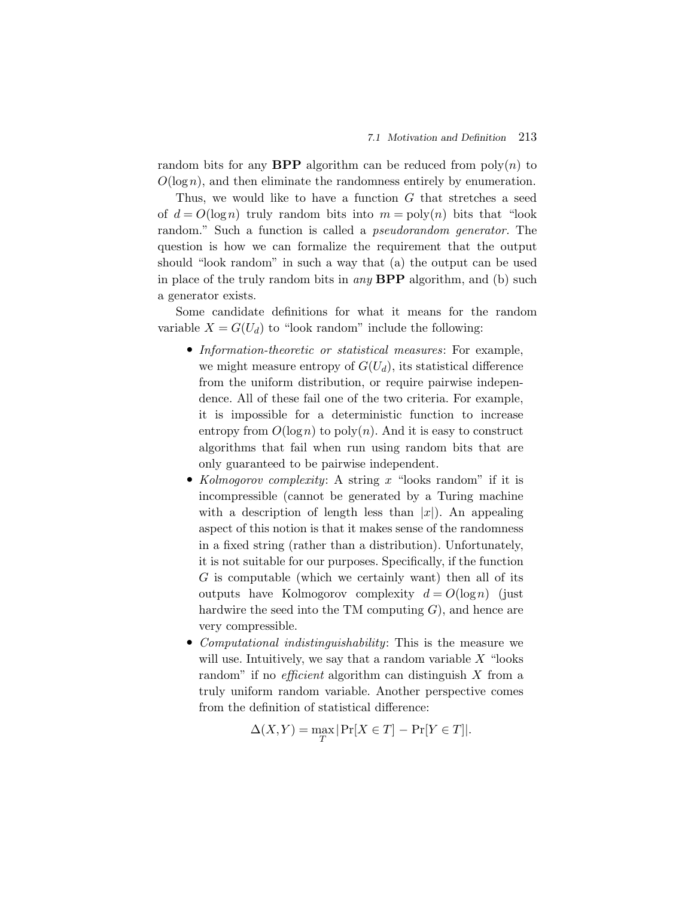random bits for any **BPP** algorithm can be reduced from  $poly(n)$  to  $O(\log n)$ , and then eliminate the randomness entirely by enumeration.

Thus, we would like to have a function G that stretches a seed of  $d = O(\log n)$  truly random bits into  $m = \text{poly}(n)$  bits that "look" random." Such a function is called a *pseudorandom generator.* The question is how we can formalize the requirement that the output should "look random" in such a way that (a) the output can be used in place of the truly random bits in *any* **BPP** algorithm, and (b) such a generator exists.

Some candidate definitions for what it means for the random variable  $X = G(U_d)$  to "look random" include the following:

- *Information-theoretic or statistical measures*: For example, we might measure entropy of  $G(U_d)$ , its statistical difference from the uniform distribution, or require pairwise independence. All of these fail one of the two criteria. For example, it is impossible for a deterministic function to increase entropy from  $O(\log n)$  to poly $(n)$ . And it is easy to construct algorithms that fail when run using random bits that are only guaranteed to be pairwise independent.
- *Kolmogorov complexity*: A string x "looks random" if it is incompressible (cannot be generated by a Turing machine with a description of length less than  $|x|$ ). An appealing aspect of this notion is that it makes sense of the randomness in a fixed string (rather than a distribution). Unfortunately, it is not suitable for our purposes. Specifically, if the function G is computable (which we certainly want) then all of its outputs have Kolmogorov complexity  $d = O(\log n)$  (just hardwire the seed into the TM computing  $G$ , and hence are very compressible.
- *Computational indistinguishability*: This is the measure we will use. Intuitively, we say that a random variable  $X$  "looks" random" if no *efficient* algorithm can distinguish X from a truly uniform random variable. Another perspective comes from the definition of statistical difference:

$$
\Delta(X,Y) = \max_{T} |\Pr[X \in T] - \Pr[Y \in T]|.
$$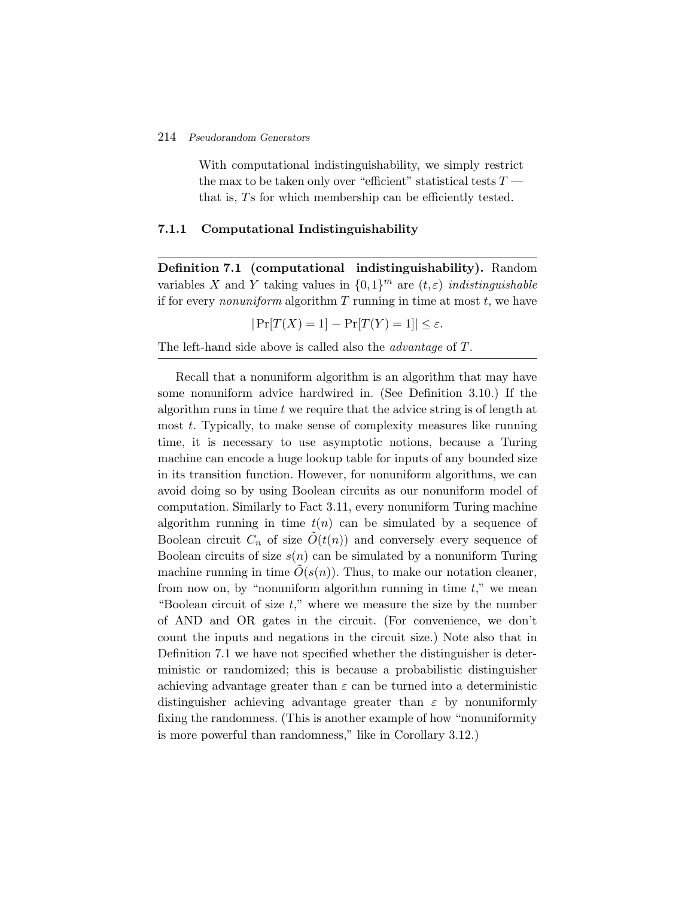With computational indistinguishability, we simply restrict the max to be taken only over "efficient" statistical tests  $T \longrightarrow$ that is, Ts for which membership can be efficiently tested.

#### **7.1.1 Computational Indistinguishability**

**Definition 7.1 (computational indistinguishability).** Random variables X and Y taking values in  $\{0,1\}^m$  are  $(t,\varepsilon)$  *indistinguishable* if for every *nonuniform* algorithm  $T$  running in time at most  $t$ , we have

$$
|\Pr[T(X) = 1] - \Pr[T(Y) = 1]| \le \varepsilon.
$$

The left-hand side above is called also the *advantage* of T.

Recall that a nonuniform algorithm is an algorithm that may have some nonuniform advice hardwired in. (See Definition 3.10.) If the algorithm runs in time  $t$  we require that the advice string is of length at most t. Typically, to make sense of complexity measures like running time, it is necessary to use asymptotic notions, because a Turing machine can encode a huge lookup table for inputs of any bounded size in its transition function. However, for nonuniform algorithms, we can avoid doing so by using Boolean circuits as our nonuniform model of computation. Similarly to Fact 3.11, every nonuniform Turing machine algorithm running in time  $t(n)$  can be simulated by a sequence of Boolean circuit  $C_n$  of size  $O(t(n))$  and conversely every sequence of Boolean circuits of size  $s(n)$  can be simulated by a nonuniform Turing machine running in time  $O(s(n))$ . Thus, to make our notation cleaner, from now on, by "nonuniform algorithm running in time  $t$ ," we mean "Boolean circuit of size  $t$ ," where we measure the size by the number of AND and OR gates in the circuit. (For convenience, we don't count the inputs and negations in the circuit size.) Note also that in Definition 7.1 we have not specified whether the distinguisher is deterministic or randomized; this is because a probabilistic distinguisher achieving advantage greater than  $\varepsilon$  can be turned into a deterministic distinguisher achieving advantage greater than  $\varepsilon$  by nonuniformly fixing the randomness. (This is another example of how "nonuniformity is more powerful than randomness," like in Corollary 3.12.)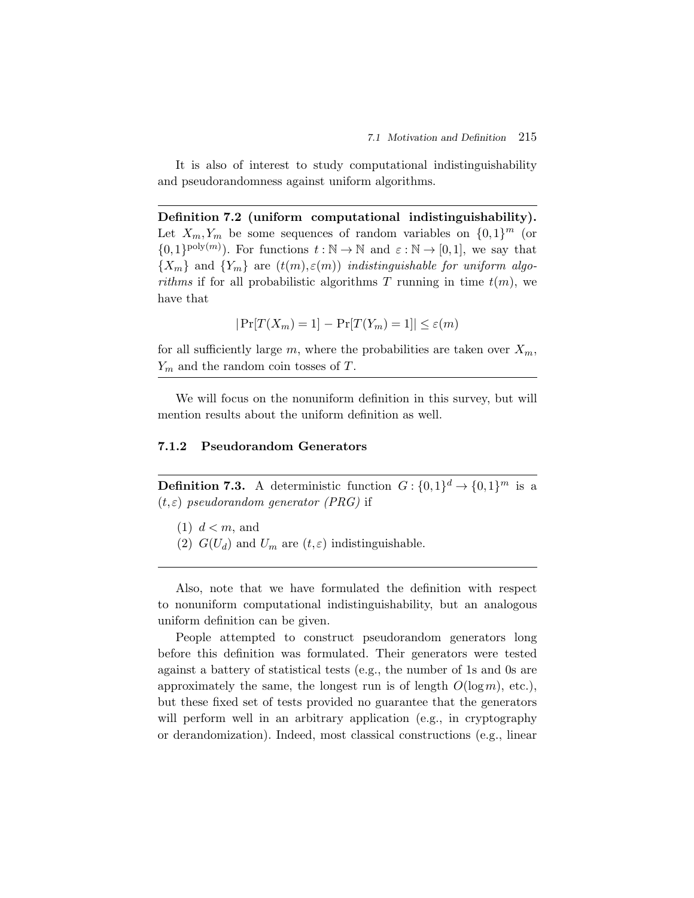It is also of interest to study computational indistinguishability and pseudorandomness against uniform algorithms.

**Definition 7.2 (uniform computational indistinguishability).** Let  $X_m, Y_m$  be some sequences of random variables on  $\{0,1\}^m$  (or  $\{0,1\}^{\text{poly}(m)}$ ). For functions  $t : \mathbb{N} \to \mathbb{N}$  and  $\varepsilon : \mathbb{N} \to [0,1]$ , we say that  ${X_m}$  and  ${Y_m}$  are  $(t(m), \varepsilon(m))$  *indistinguishable for uniform algorithms* if for all probabilistic algorithms T running in time  $t(m)$ , we have that

$$
|\Pr[T(X_m) = 1] - \Pr[T(Y_m) = 1]| \le \varepsilon(m)
$$

for all sufficiently large m, where the probabilities are taken over  $X_m$ ,  $Y_m$  and the random coin tosses of T.

We will focus on the nonuniform definition in this survey, but will mention results about the uniform definition as well.

#### **7.1.2 Pseudorandom Generators**

**Definition 7.3.** A deterministic function  $G: \{0,1\}^d \to \{0,1\}^m$  is a (t,ε) *pseudorandom generator (PRG)* if

- $(1)$   $d < m$ , and
- (2)  $G(U_d)$  and  $U_m$  are  $(t, \varepsilon)$  indistinguishable.

Also, note that we have formulated the definition with respect to nonuniform computational indistinguishability, but an analogous uniform definition can be given.

People attempted to construct pseudorandom generators long before this definition was formulated. Their generators were tested against a battery of statistical tests (e.g., the number of 1s and 0s are approximately the same, the longest run is of length  $O(\log m)$ , etc.), but these fixed set of tests provided no guarantee that the generators will perform well in an arbitrary application (e.g., in cryptography or derandomization). Indeed, most classical constructions (e.g., linear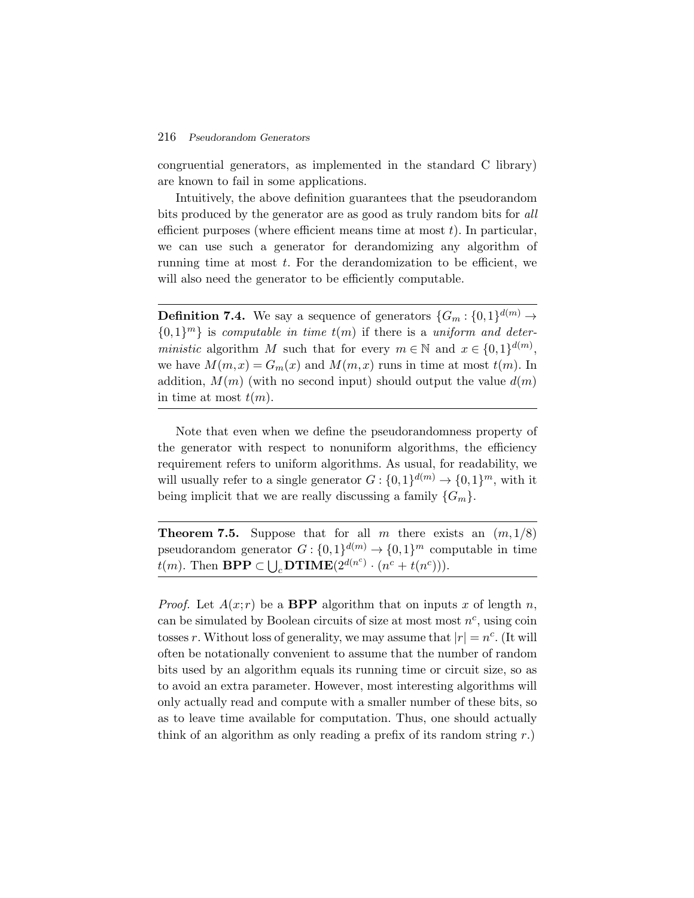congruential generators, as implemented in the standard C library) are known to fail in some applications.

Intuitively, the above definition guarantees that the pseudorandom bits produced by the generator are as good as truly random bits for *all* efficient purposes (where efficient means time at most  $t$ ). In particular, we can use such a generator for derandomizing any algorithm of running time at most  $t$ . For the derandomization to be efficient, we will also need the generator to be efficiently computable.

**Definition 7.4.** We say a sequence of generators  $\{G_m: \{0,1\}^{d(m)} \to \emptyset\}$  $\{0,1\}^m\}$  is *computable in time*  $t(m)$  if there is a *uniform and deterministic* algorithm M such that for every  $m \in \mathbb{N}$  and  $x \in \{0,1\}^{d(m)}$ , we have  $M(m, x) = G_m(x)$  and  $M(m, x)$  runs in time at most  $t(m)$ . In addition,  $M(m)$  (with no second input) should output the value  $d(m)$ in time at most  $t(m)$ .

Note that even when we define the pseudorandomness property of the generator with respect to nonuniform algorithms, the efficiency requirement refers to uniform algorithms. As usual, for readability, we will usually refer to a single generator  $G: \{0,1\}^{d(m)} \to \{0,1\}^m$ , with it being implicit that we are really discussing a family  $\{G_m\}.$ 

**Theorem 7.5.** Suppose that for all m there exists an  $(m,1/8)$ pseudorandom generator  $G: \{0,1\}^{d(m)} \to \{0,1\}^m$  computable in time being implicit that we are really discussing a family {<br> **Theorem 7.5.** Suppose that for all *m* there exispseudorandom generator  $G : \{0,1\}^{d(m)} \to \{0,1\}^m$  com<br>  $t(m)$ . Then **BPP**  $\subset \bigcup_c$ **DTIME** $(2^{d(n^c)} \cdot (n^c + t(n^c)))$ .

*Proof.* Let  $A(x; r)$  be a **BPP** algorithm that on inputs x of length n, can be simulated by Boolean circuits of size at most most  $n^c$ , using coin tosses r. Without loss of generality, we may assume that  $|r| = n^c$ . (It will often be notationally convenient to assume that the number of random bits used by an algorithm equals its running time or circuit size, so as to avoid an extra parameter. However, most interesting algorithms will only actually read and compute with a smaller number of these bits, so as to leave time available for computation. Thus, one should actually think of an algorithm as only reading a prefix of its random string  $r$ .)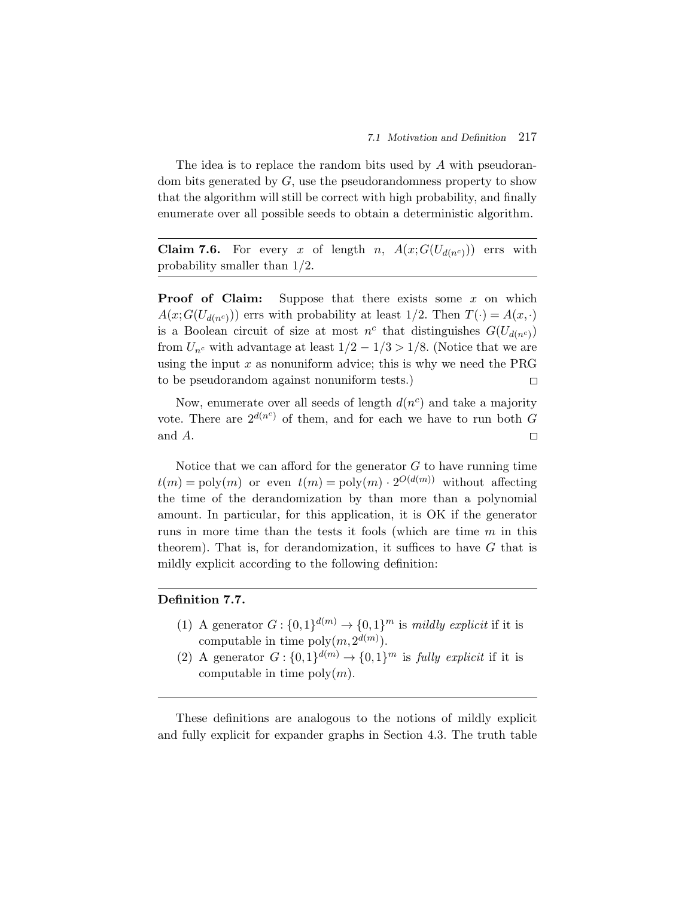The idea is to replace the random bits used by A with pseudorandom bits generated by G, use the pseudorandomness property to show that the algorithm will still be correct with high probability, and finally enumerate over all possible seeds to obtain a deterministic algorithm.

**Claim 7.6.** For every x of length n,  $A(x;G(U_{d(n^c)}))$  errs with probability smaller than 1/2.

**Proof of Claim:** Suppose that there exists some x on which  $A(x;G(U_{d(n^c)}))$  errs with probability at least  $1/2$ . Then  $T(\cdot) = A(x,\cdot)$ is a Boolean circuit of size at most  $n^c$  that distinguishes  $G(U_{d(n^c)})$ from  $U_{n^c}$  with advantage at least  $1/2 - 1/3 > 1/8$ . (Notice that we are using the input  $x$  as nonuniform advice; this is why we need the PRG to be pseudorandom against nonuniform tests.)  $\Box$ 

Now, enumerate over all seeds of length  $d(n^c)$  and take a majority vote. There are  $2^{d(n^c)}$  of them, and for each we have to run both G and A.  $\Box$ 

Notice that we can afford for the generator  $G$  to have running time  $t(m) = \text{poly}(m)$  or even  $t(m) = \text{poly}(m) \cdot 2^{O(d(m))}$  without affecting the time of the derandomization by than more than a polynomial amount. In particular, for this application, it is OK if the generator runs in more time than the tests it fools (which are time m in this theorem). That is, for derandomization, it suffices to have  $G$  that is mildly explicit according to the following definition:

## **Definition 7.7.**

- (1) A generator  $G: \{0,1\}^{d(m)} \to \{0,1\}^m$  is *mildly explicit* if it is computable in time  $\text{poly}(m, 2^{d(m)})$ .
- (2) A generator  $G: \{0,1\}^{d(m)} \to \{0,1\}^m$  is *fully explicit* if it is computable in time  $\text{poly}(m)$ .

These definitions are analogous to the notions of mildly explicit and fully explicit for expander graphs in Section 4.3. The truth table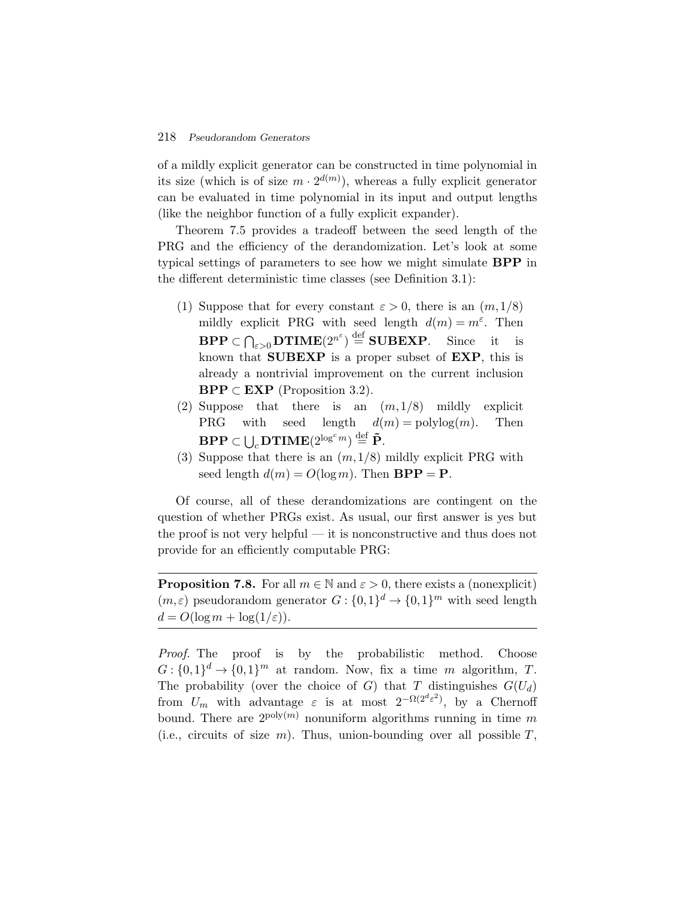of a mildly explicit generator can be constructed in time polynomial in its size (which is of size  $m \cdot 2^{d(m)}$ ), whereas a fully explicit generator can be evaluated in time polynomial in its input and output lengths (like the neighbor function of a fully explicit expander).

Theorem 7.5 provides a tradeoff between the seed length of the PRG and the efficiency of the derandomization. Let's look at some typical settings of parameters to see how we might simulate **BPP** in the different deterministic time classes (see Definition 3.1):

- (1) Suppose that for every constant  $\varepsilon > 0$ , there is an  $(m,1/8)$ mildly explicit PRG with seed length  $d(m) = m^{\varepsilon}$ . Then **BETTE:** BETTHE BETTHE CONDUCTER SUPPOSE that for every constant  $\varepsilon > 0$ , there is an  $(m, 1/8)$  mildly explicit PRG with seed length  $d(m) = m^{\varepsilon}$ . Then **BPP**  $\subset \bigcap_{\varepsilon > 0}$  **DTIME** $(2^{n^{\varepsilon}}) \stackrel{\text{def}}{=}$  **SUBEXP**. Sin known that **SUBEXP** is a proper subset of **EXP**, this is already a nontrivial improvement on the current inclusion **BPP**  $\subset$  **EXP** (Proposition 3.2).
- (2) Suppose that there is an  $(m,1/8)$  mildly explicit **PRG** with seed length  $d(m) = \text{polylog}(m)$ . Then already a nontrivial improvement<br> **BPP** ⊂ **EXP** (Proposition 3.2).<br>
Suppose that there is an (<br>
PRG with seed length  $d($ <br> **BPP** ⊂ ∪<sub>c</sub> DTIME(2<sup>logc<sub>m</sub>) def **P**.</sup>
- (3) Suppose that there is an  $(m,1/8)$  mildly explicit PRG with seed length  $d(m) = O(\log m)$ . Then **BPP** = **P**.

Of course, all of these derandomizations are contingent on the question of whether PRGs exist. As usual, our first answer is yes but the proof is not very helpful — it is nonconstructive and thus does not provide for an efficiently computable PRG:

**Proposition 7.8.** For all  $m \in \mathbb{N}$  and  $\varepsilon > 0$ , there exists a (nonexplicit)  $(m,\varepsilon)$  pseudorandom generator  $G: \{0,1\}^d \to \{0,1\}^m$  with seed length  $d = O(\log m + \log(1/\varepsilon)).$ 

*Proof.* The proof is by the probabilistic method. Choose  $G: \{0,1\}^d \to \{0,1\}^m$  at random. Now, fix a time m algorithm, T. The probability (over the choice of G) that T distinguishes  $G(U_d)$ from  $U_m$  with advantage  $\varepsilon$  is at most  $2^{-\Omega(2^d\varepsilon^2)}$ , by a Chernoff bound. There are  $2^{poly(m)}$  nonuniform algorithms running in time m (i.e., circuits of size  $m$ ). Thus, union-bounding over all possible  $T$ ,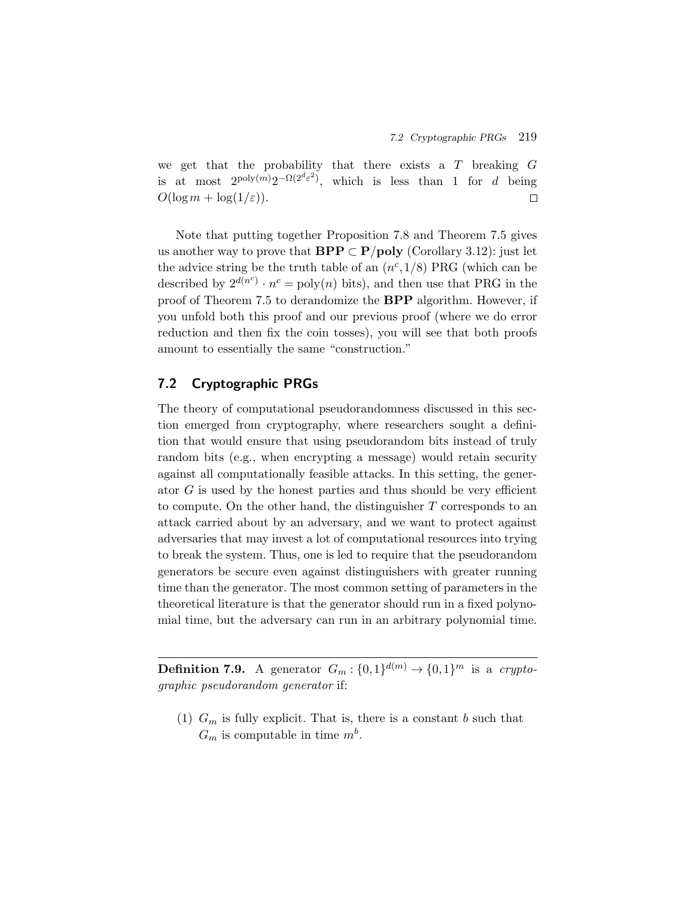we get that the probability that there exists a  $T$  breaking  $G$ is at most  $2^{\text{poly}(m)}2^{-\Omega(2^d\varepsilon^2)}$ , which is less than 1 for d being  $O(\log m + \log(1/\varepsilon)).$  $\Box$ 

Note that putting together Proposition 7.8 and Theorem 7.5 gives us another way to prove that **BPP**  $\subset$  **P**/**poly** (Corollary 3.12): just let the advice string be the truth table of an  $(n^c,1/8)$  PRG (which can be described by  $2^{d(n^c)} \cdot n^c = \text{poly}(n)$  bits), and then use that PRG in the proof of Theorem 7.5 to derandomize the **BPP** algorithm. However, if you unfold both this proof and our previous proof (where we do error reduction and then fix the coin tosses), you will see that both proofs amount to essentially the same "construction."

# **7.2 Cryptographic PRGs**

The theory of computational pseudorandomness discussed in this section emerged from cryptography, where researchers sought a definition that would ensure that using pseudorandom bits instead of truly random bits (e.g., when encrypting a message) would retain security against all computationally feasible attacks. In this setting, the generator  $G$  is used by the honest parties and thus should be very efficient to compute. On the other hand, the distinguisher T corresponds to an attack carried about by an adversary, and we want to protect against adversaries that may invest a lot of computational resources into trying to break the system. Thus, one is led to require that the pseudorandom generators be secure even against distinguishers with greater running time than the generator. The most common setting of parameters in the theoretical literature is that the generator should run in a fixed polynomial time, but the adversary can run in an arbitrary polynomial time.

**Definition 7.9.** A generator  $\overline{G_m}: \{0,1\}^{d(m)} \to \{0,1\}^m$  is a *cryptographic pseudorandom generator* if:

(1)  $G_m$  is fully explicit. That is, there is a constant b such that  $G_m$  is computable in time  $m^b$ .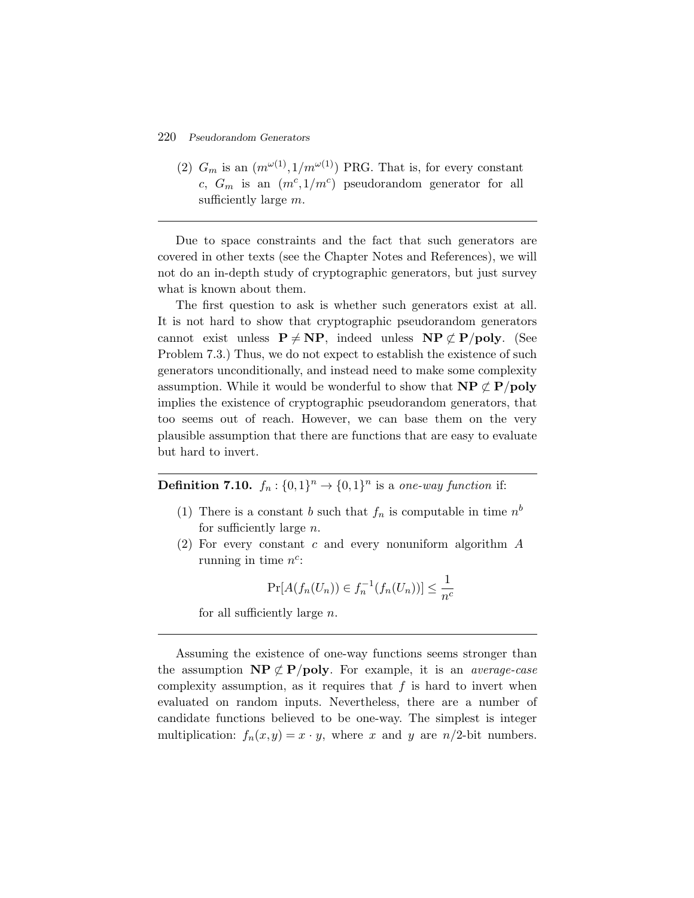(2)  $G_m$  is an  $(m^{\omega(1)}, 1/m^{\omega(1)})$  PRG. That is, for every constant c,  $G_m$  is an  $(m^c,1/m^c)$  pseudorandom generator for all sufficiently large  $m$ .

Due to space constraints and the fact that such generators are covered in other texts (see the Chapter Notes and References), we will not do an in-depth study of cryptographic generators, but just survey what is known about them.

The first question to ask is whether such generators exist at all. It is not hard to show that cryptographic pseudorandom generators cannot exist unless  $P \neq NP$ , indeed unless  $NP \not\subset P/poly$ . (See Problem 7.3.) Thus, we do not expect to establish the existence of such generators unconditionally, and instead need to make some complexity assumption. While it would be wonderful to show that  $\mathbf{NP} \not\subset \mathbf{P}/\mathbf{poly}$ implies the existence of cryptographic pseudorandom generators, that too seems out of reach. However, we can base them on the very plausible assumption that there are functions that are easy to evaluate but hard to invert.

**Definition 7.10.**  $f_n : \{0,1\}^n \to \{0,1\}^n$  is a *one-way function* if:

- (1) There is a constant b such that  $f_n$  is computable in time  $n^b$ for sufficiently large n.
- (2) For every constant c and every nonuniform algorithm A running in time  $n^c$ :

$$
\Pr[A(f_n(U_n)) \in f_n^{-1}(f_n(U_n))] \le \frac{1}{n^c}
$$

for all sufficiently large n.

Assuming the existence of one-way functions seems stronger than the assumption  $\mathbf{NP} \not\subset \mathbf{P/poly}$ . For example, it is an *average-case* complexity assumption, as it requires that  $f$  is hard to invert when evaluated on random inputs. Nevertheless, there are a number of candidate functions believed to be one-way. The simplest is integer multiplication:  $f_n(x,y) = x \cdot y$ , where x and y are  $n/2$ -bit numbers.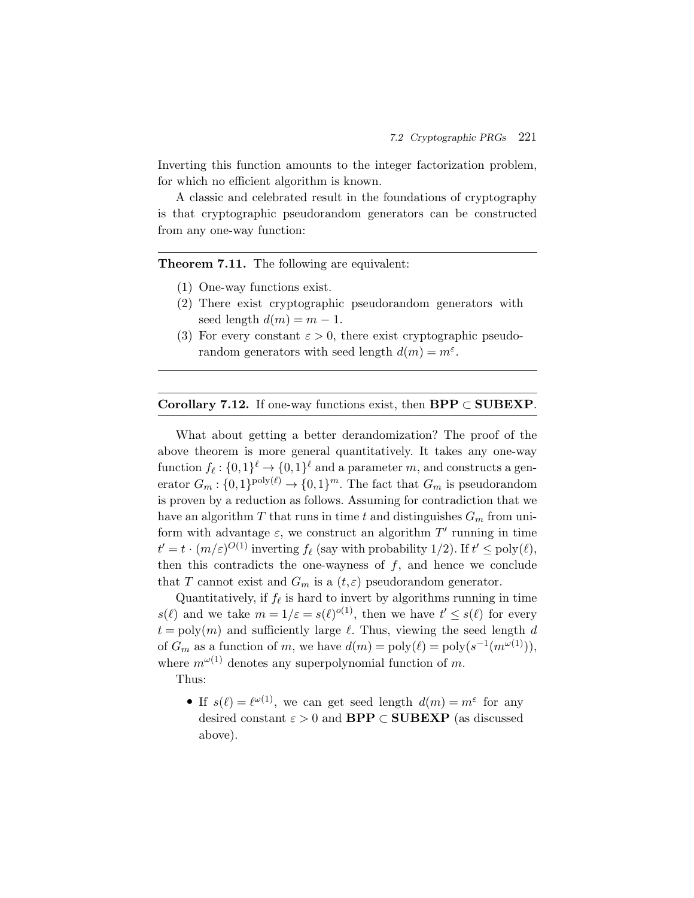Inverting this function amounts to the integer factorization problem, for which no efficient algorithm is known.

A classic and celebrated result in the foundations of cryptography is that cryptographic pseudorandom generators can be constructed from any one-way function:

**Theorem 7.11.** The following are equivalent:

- (1) One-way functions exist.
- (2) There exist cryptographic pseudorandom generators with seed length  $d(m) = m - 1$ .
- (3) For every constant  $\varepsilon > 0$ , there exist cryptographic pseudorandom generators with seed length  $d(m) = m^{\epsilon}$ .

#### **Corollary 7.12.** If one-way functions exist, then **BPP** ⊂ **SUBEXP**.

What about getting a better derandomization? The proof of the above theorem is more general quantitatively. It takes any one-way function  $f_{\ell}: \{0,1\}^{\ell} \to \{0,1\}^{\ell}$  and a parameter m, and constructs a generator  $G_m : \{0,1\}^{\text{poly}(\ell)} \to \{0,1\}^m$ . The fact that  $G_m$  is pseudorandom is proven by a reduction as follows. Assuming for contradiction that we have an algorithm T that runs in time t and distinguishes  $G_m$  from uniform with advantage  $\varepsilon$ , we construct an algorithm  $T'$  running in time  $t' = t \cdot (m/\varepsilon)^{O(1)}$  inverting  $f_{\ell}$  (say with probability 1/2). If  $t' \le \text{poly}(\ell)$ , then this contradicts the one-wayness of  $f$ , and hence we conclude that T cannot exist and  $G_m$  is a  $(t,\varepsilon)$  pseudorandom generator.

Quantitatively, if  $f_{\ell}$  is hard to invert by algorithms running in time  $s(\ell)$  and we take  $m = 1/\varepsilon = s(\ell)^{o(1)}$ , then we have  $t' \leq s(\ell)$  for every  $t = \text{poly}(m)$  and sufficiently large  $\ell$ . Thus, viewing the seed length d of  $G_m$  as a function of m, we have  $d(m) = \text{poly}(\ell) = \text{poly}(s^{-1}(m^{\omega(1)})),$ where  $m^{\omega(1)}$  denotes any superpolynomial function of m.

Thus:

• If  $s(\ell) = \ell^{\omega(1)}$ , we can get seed length  $d(m) = m^{\varepsilon}$  for any desired constant  $\varepsilon > 0$  and **BPP**  $\subset$  **SUBEXP** (as discussed above).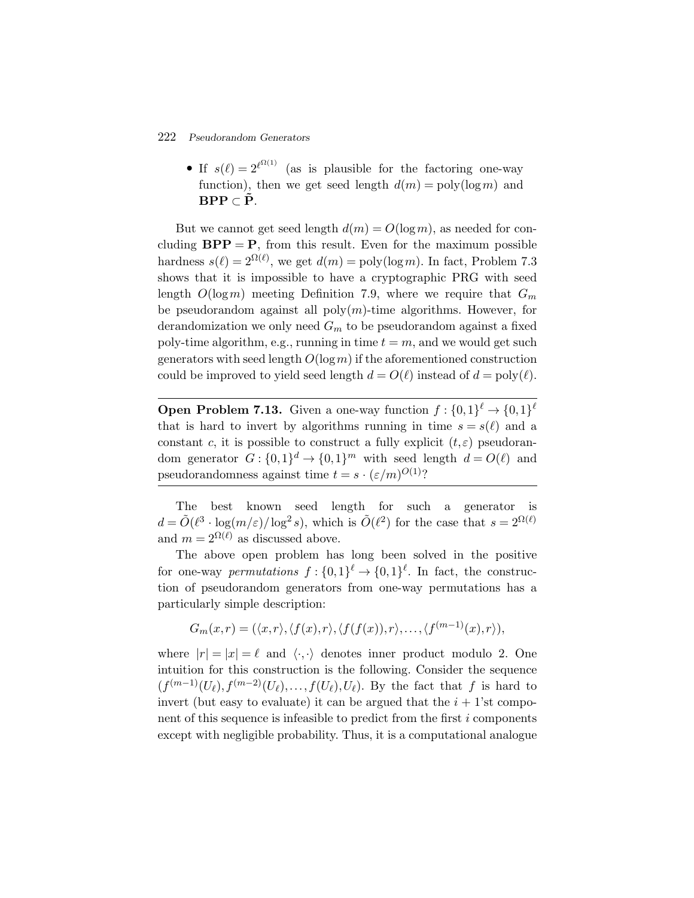• If  $s(\ell)=2^{\ell^{\Omega(1)}}$  (as is plausible for the factoring one-way function), then we get seed length  $d(m) = \text{poly}(\log m)$  and **BPP** ⊂  $\tilde{P}$ .

But we cannot get seed length  $d(m) = O(\log m)$ , as needed for concluding  $BPP = P$ , from this result. Even for the maximum possible hardness  $s(\ell) = 2^{\Omega(\ell)}$ , we get  $d(m) = \text{poly}(\log m)$ . In fact, Problem 7.3 shows that it is impossible to have a cryptographic PRG with seed length  $O(\log m)$  meeting Definition 7.9, where we require that  $G_m$ be pseudorandom against all  $\text{poly}(m)$ -time algorithms. However, for derandomization we only need  $G_m$  to be pseudorandom against a fixed poly-time algorithm, e.g., running in time  $t = m$ , and we would get such generators with seed length  $O(\log m)$  if the aforementioned construction could be improved to yield seed length  $d = O(\ell)$  instead of  $d = \text{poly}(\ell)$ .

**Open Problem 7.13.** Given a one-way function  $f: \{0,1\}^{\ell} \to \{0,1\}^{\ell}$ that is hard to invert by algorithms running in time  $s = s(\ell)$  and a constant c, it is possible to construct a fully explicit  $(t, \varepsilon)$  pseudorandom generator  $G: \{0,1\}^d \to \{0,1\}^m$  with seed length  $d = O(\ell)$  and pseudorandomness against time  $t = s \cdot (\varepsilon/m)^{O(1)}$ ?

The best known seed length for such a generator is  $d = \tilde{O}(\ell^3 \cdot \log(m/\varepsilon)/\log^2 s)$ , which is  $\tilde{O}(\ell^2)$  for the case that  $s = 2^{\Omega(\ell)}$ and  $m = 2^{\Omega(\ell)}$  as discussed above.

The above open problem has long been solved in the positive for one-way *permutations*  $f: \{0,1\}^{\ell} \to \{0,1\}^{\ell}$ . In fact, the construction of pseudorandom generators from one-way permutations has a particularly simple description:

$$
G_m(x,r)=(\langle x,r\rangle,\langle f(x),r\rangle,\langle f(f(x)),r\rangle,\ldots,\langle f^{(m-1)}(x),r\rangle),
$$

where  $|r| = |x| = \ell$  and  $\langle \cdot, \cdot \rangle$  denotes inner product modulo 2. One intuition for this construction is the following. Consider the sequence  $(f^{(m-1)}(U_{\ell}),f^{(m-2)}(U_{\ell}),\ldots,f(U_{\ell}),U_{\ell}).$  By the fact that f is hard to invert (but easy to evaluate) it can be argued that the  $i + 1$ 'st component of this sequence is infeasible to predict from the first i components except with negligible probability. Thus, it is a computational analogue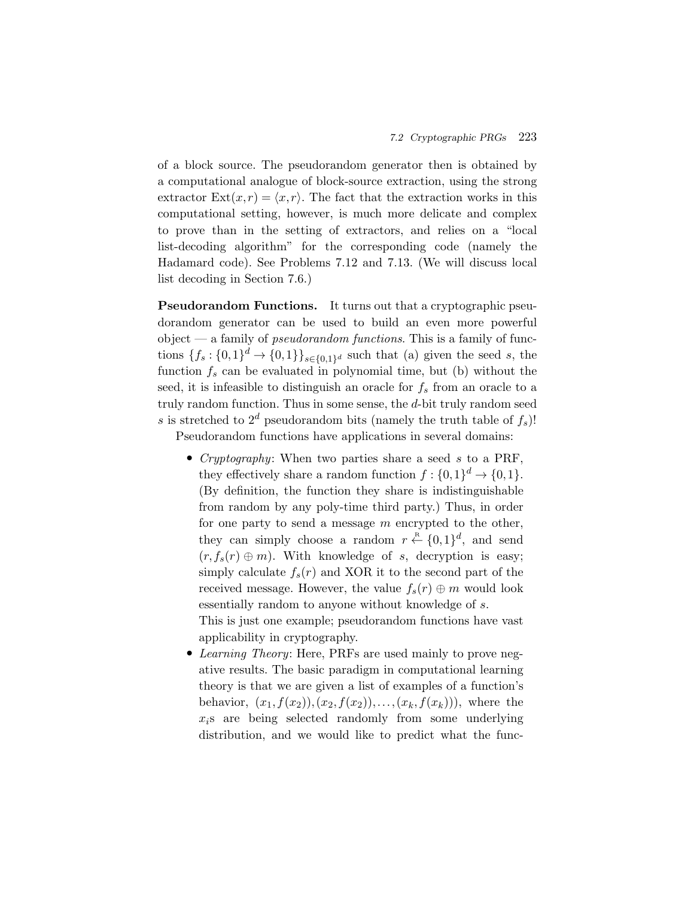of a block source. The pseudorandom generator then is obtained by a computational analogue of block-source extraction, using the strong extractor  $\text{Ext}(x,r) = \langle x,r \rangle$ . The fact that the extraction works in this computational setting, however, is much more delicate and complex to prove than in the setting of extractors, and relies on a "local list-decoding algorithm" for the corresponding code (namely the Hadamard code). See Problems 7.12 and 7.13. (We will discuss local list decoding in Section 7.6.)

**Pseudorandom Functions.** It turns out that a cryptographic pseudorandom generator can be used to build an even more powerful object — a family of *pseudorandom functions*. This is a family of functions  $\{f_s: \{0,1\}^d \to \{0,1\}\}_{s \in \{0,1\}^d}$  such that (a) given the seed s, the function  $f_s$  can be evaluated in polynomial time, but (b) without the seed, it is infeasible to distinguish an oracle for  $f_s$  from an oracle to a truly random function. Thus in some sense, the d-bit truly random seed s is stretched to  $2^d$  pseudorandom bits (namely the truth table of  $f_s$ )!

Pseudorandom functions have applications in several domains:

• *Cryptography*: When two parties share a seed s to a PRF, they effectively share a random function  $f: \{0,1\}^d \to \{0,1\}.$ (By definition, the function they share is indistinguishable from random by any poly-time third party.) Thus, in order for one party to send a message  $m$  encrypted to the other, they can simply choose a random  $r \stackrel{\text{R}}{\leftarrow} \{0,1\}^d$ , and send  $(r, f_s(r) \oplus m)$ . With knowledge of s, decryption is easy; simply calculate  $f_s(r)$  and XOR it to the second part of the received message. However, the value  $f_s(r) \oplus m$  would look essentially random to anyone without knowledge of s. This is just one example; pseudorandom functions have vast

applicability in cryptography. • *Learning Theory*: Here, PRFs are used mainly to prove negative results. The basic paradigm in computational learning theory is that we are given a list of examples of a function's behavior,  $(x_1, f(x_2), (x_2, f(x_2)), \ldots, (x_k, f(x_k)))$ , where the  $x_i$ s are being selected randomly from some underlying

distribution, and we would like to predict what the func-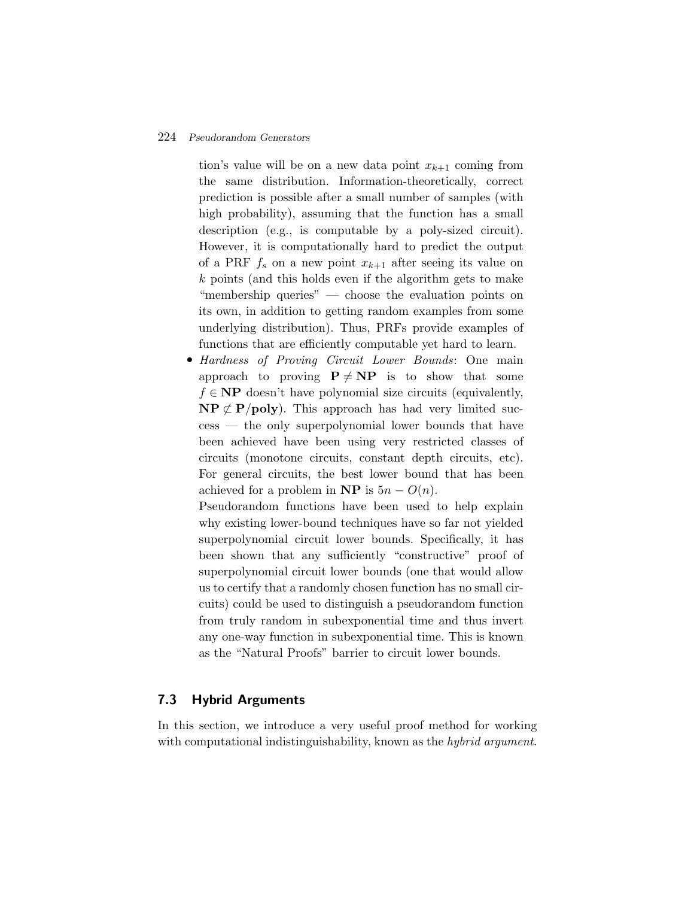tion's value will be on a new data point  $x_{k+1}$  coming from the same distribution. Information-theoretically, correct prediction is possible after a small number of samples (with high probability), assuming that the function has a small description (e.g., is computable by a poly-sized circuit). However, it is computationally hard to predict the output of a PRF  $f_s$  on a new point  $x_{k+1}$  after seeing its value on k points (and this holds even if the algorithm gets to make "membership queries" — choose the evaluation points on its own, in addition to getting random examples from some underlying distribution). Thus, PRFs provide examples of functions that are efficiently computable yet hard to learn.

• *Hardness of Proving Circuit Lower Bounds*: One main approach to proving  $P \neq NP$  is to show that some  $f \in \mathbf{NP}$  doesn't have polynomial size circuits (equivalently,  $\mathbf{NP} \not\subset \mathbf{P}(\mathbf{poly})$ . This approach has had very limited success — the only superpolynomial lower bounds that have been achieved have been using very restricted classes of circuits (monotone circuits, constant depth circuits, etc). For general circuits, the best lower bound that has been achieved for a problem in **NP** is  $5n - O(n)$ .

Pseudorandom functions have been used to help explain why existing lower-bound techniques have so far not yielded superpolynomial circuit lower bounds. Specifically, it has been shown that any sufficiently "constructive" proof of superpolynomial circuit lower bounds (one that would allow us to certify that a randomly chosen function has no small circuits) could be used to distinguish a pseudorandom function from truly random in subexponential time and thus invert any one-way function in subexponential time. This is known as the "Natural Proofs" barrier to circuit lower bounds.

# **7.3 Hybrid Arguments**

In this section, we introduce a very useful proof method for working with computational indistinguishability, known as the *hybrid argument*.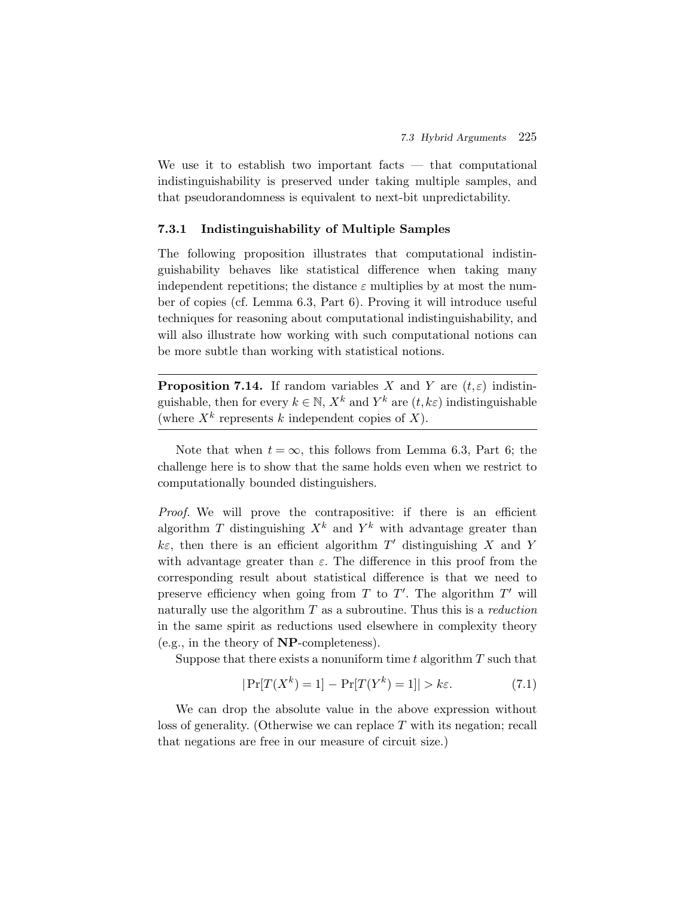We use it to establish two important facts  $-$  that computational indistinguishability is preserved under taking multiple samples, and that pseudorandomness is equivalent to next-bit unpredictability.

#### **7.3.1 Indistinguishability of Multiple Samples**

The following proposition illustrates that computational indistinguishability behaves like statistical difference when taking many independent repetitions; the distance  $\varepsilon$  multiplies by at most the number of copies (cf. Lemma 6.3, Part 6). Proving it will introduce useful techniques for reasoning about computational indistinguishability, and will also illustrate how working with such computational notions can be more subtle than working with statistical notions.

**Proposition 7.14.** If random variables X and Y are  $(t, \varepsilon)$  indistinguishable, then for every  $k \in \mathbb{N}$ ,  $X^k$  and  $Y^k$  are  $(t, k\varepsilon)$  indistinguishable (where  $X^k$  represents k independent copies of X).

Note that when  $t = \infty$ , this follows from Lemma 6.3, Part 6; the challenge here is to show that the same holds even when we restrict to computationally bounded distinguishers.

*Proof.* We will prove the contrapositive: if there is an efficient algorithm T distinguishing  $X^k$  and  $Y^k$  with advantage greater than  $k\varepsilon$ , then there is an efficient algorithm T' distinguishing X and Y with advantage greater than  $\varepsilon$ . The difference in this proof from the corresponding result about statistical difference is that we need to preserve efficiency when going from  $T$  to  $T'$ . The algorithm  $T'$  will naturally use the algorithm T as a subroutine. Thus this is a *reduction* in the same spirit as reductions used elsewhere in complexity theory (e.g., in the theory of **NP**-completeness).

Suppose that there exists a nonuniform time t algorithm  $T$  such that

$$
|\Pr[T(X^k) = 1] - \Pr[T(Y^k) = 1]| > k\varepsilon.
$$
 (7.1)

We can drop the absolute value in the above expression without loss of generality. (Otherwise we can replace T with its negation; recall that negations are free in our measure of circuit size.)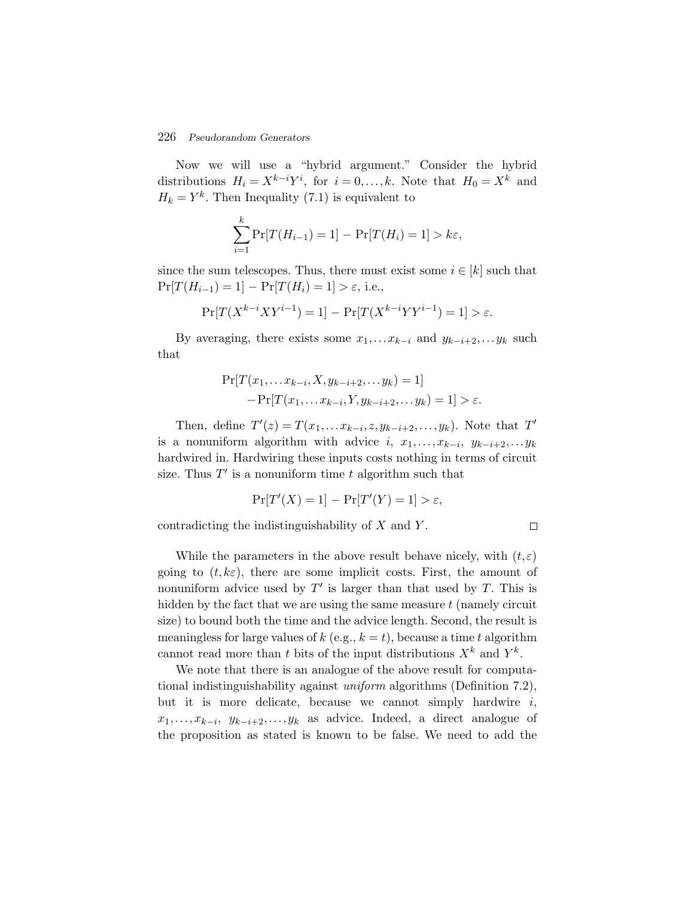Now we will use a "hybrid argument." Consider the hybrid distributions  $H_i = X^{k-i}Y^i$ , for  $i = 0,...,k$ . Note that  $H_0 = X^k$  and  $H_k = Y^k$ . Then Inequality (7.1) is equivalent to

$$
\sum_{i=1}^{k} \Pr[T(H_{i-1}) = 1] - \Pr[T(H_i) = 1] > k\varepsilon,
$$

since the sum telescopes. Thus, there must exist some  $i \in [k]$  such that  $Pr[T(H_{i-1}) = 1] - Pr[T(H_i) = 1] > \varepsilon$ , i.e.,

$$
\Pr[T(X^{k-i}XY^{i-1}) = 1] - \Pr[T(X^{k-i}YY^{i-1}) = 1] > \varepsilon.
$$

By averaging, there exists some  $x_1, \ldots x_{k-i}$  and  $y_{k-i+2}, \ldots y_k$  such that

$$
\Pr[T(x_1, \dots x_{k-i}, X, y_{k-i+2}, \dots y_k) = 1] - \Pr[T(x_1, \dots x_{k-i}, Y, y_{k-i+2}, \dots y_k) = 1] > \varepsilon.
$$

Then, define  $T'(z) = T(x_1,...x_{k-i},z,y_{k-i+2},...,y_k)$ . Note that  $T'$ is a nonuniform algorithm with advice i,  $x_1, \ldots, x_{k-i}$ ,  $y_{k-i+2}, \ldots, y_k$ hardwired in. Hardwiring these inputs costs nothing in terms of circuit size. Thus  $T'$  is a nonuniform time t algorithm such that

$$
\Pr[T'(X) = 1] - \Pr[T'(Y) = 1] > \varepsilon,
$$

contradicting the indistinguishability of  $X$  and  $Y$ .

 $\Box$ 

While the parameters in the above result behave nicely, with  $(t, \varepsilon)$ going to  $(t, k\varepsilon)$ , there are some implicit costs. First, the amount of nonuniform advice used by  $T'$  is larger than that used by  $T$ . This is hidden by the fact that we are using the same measure  $t$  (namely circuit size) to bound both the time and the advice length. Second, the result is meaningless for large values of k (e.g.,  $k = t$ ), because a time t algorithm cannot read more than t bits of the input distributions  $X^k$  and  $Y^k$ .

We note that there is an analogue of the above result for computational indistinguishability against *uniform* algorithms (Definition 7.2), but it is more delicate, because we cannot simply hardwire  $i$ ,  $x_1, \ldots, x_{k-i}, y_{k-i+2}, \ldots, y_k$  as advice. Indeed, a direct analogue of the proposition as stated is known to be false. We need to add the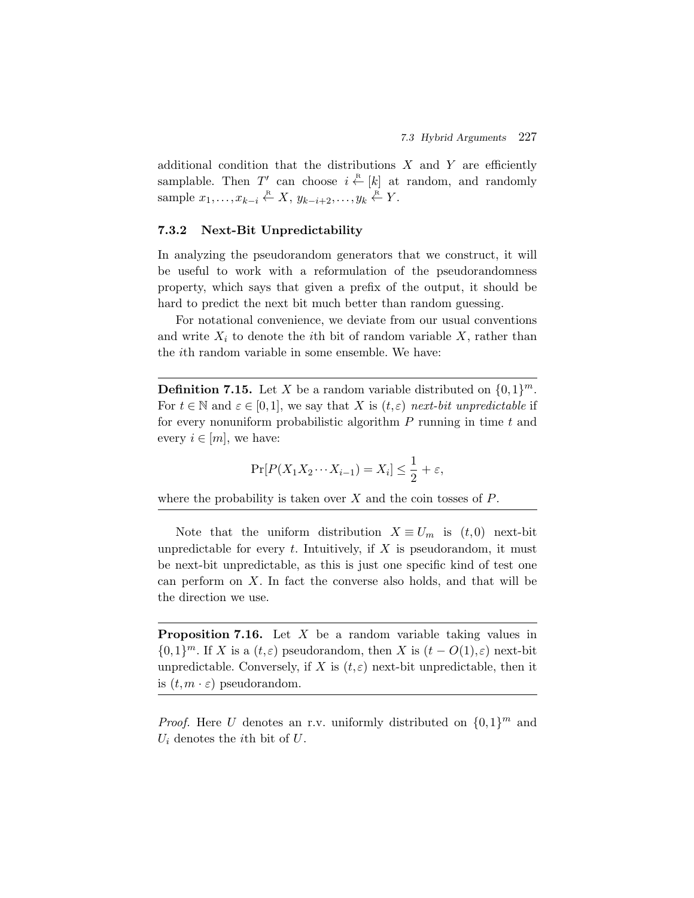additional condition that the distributions  $X$  and  $Y$  are efficiently samplable. Then T' can choose  $i \stackrel{\text{R}}{\leftarrow} [k]$  at random, and randomly sample  $x_1, \ldots, x_{k-i} \stackrel{\text{R}}{\leftarrow} X$ ,  $y_{k-i+2}, \ldots, y_k \stackrel{\text{R}}{\leftarrow} Y$ .

### **7.3.2 Next-Bit Unpredictability**

In analyzing the pseudorandom generators that we construct, it will be useful to work with a reformulation of the pseudorandomness property, which says that given a prefix of the output, it should be hard to predict the next bit much better than random guessing.

For notational convenience, we deviate from our usual conventions and write  $X_i$  to denote the *i*th bit of random variable  $X$ , rather than the ith random variable in some ensemble. We have:

**Definition 7.15.** Let X be a random variable distributed on  $\{0,1\}^m$ . For  $t \in \mathbb{N}$  and  $\varepsilon \in [0,1]$ , we say that X is  $(t,\varepsilon)$  *next-bit unpredictable* if for every nonuniform probabilistic algorithm  $P$  running in time  $t$  and every  $i \in [m]$ , we have:

$$
\Pr[P(X_1X_2\cdots X_{i-1}) = X_i] \le \frac{1}{2} + \varepsilon,
$$

where the probability is taken over  $X$  and the coin tosses of  $P$ .

Note that the uniform distribution  $X \equiv U_m$  is  $(t,0)$  next-bit unpredictable for every  $t$ . Intuitively, if  $X$  is pseudorandom, it must be next-bit unpredictable, as this is just one specific kind of test one can perform on  $X$ . In fact the converse also holds, and that will be the direction we use.

**Proposition 7.16.** Let X be a random variable taking values in  ${0,1}^m$ . If X is a  $(t,\varepsilon)$  pseudorandom, then X is  $(t - O(1),\varepsilon)$  next-bit unpredictable. Conversely, if X is  $(t, \varepsilon)$  next-bit unpredictable, then it is  $(t, m \cdot \varepsilon)$  pseudorandom.

*Proof.* Here U denotes an r.v. uniformly distributed on  $\{0,1\}^m$  and  $U_i$  denotes the *i*th bit of  $U$ .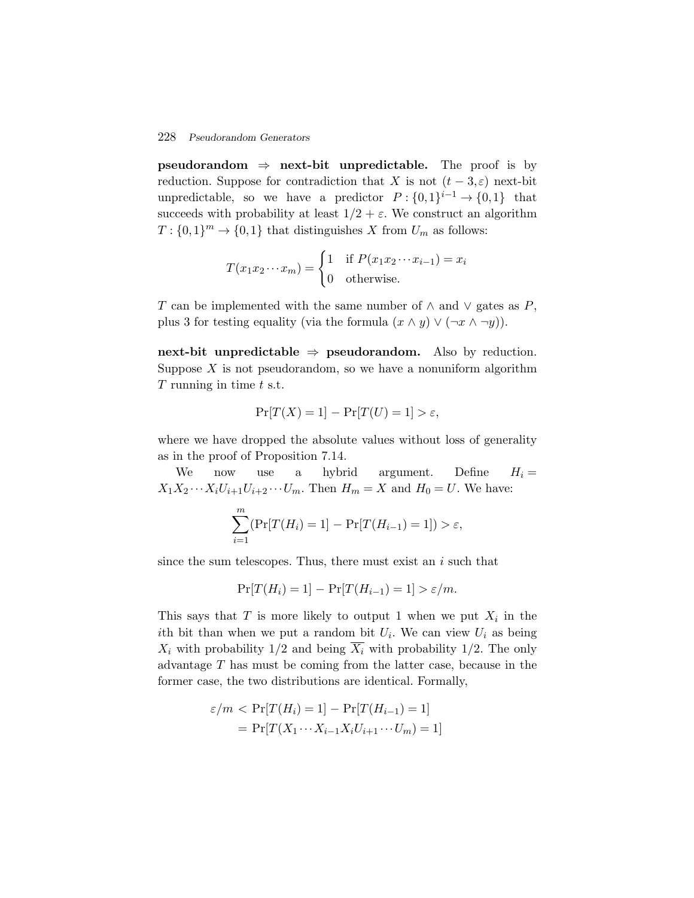**pseudorandom**  $\Rightarrow$  **next-bit unpredictable.** The proof is by reduction. Suppose for contradiction that X is not  $(t-3,\varepsilon)$  next-bit unpredictable, so we have a predictor  $P: \{0,1\}^{i-1} \to \{0,1\}$  that succeeds with probability at least  $1/2 + \varepsilon$ . We construct an algorithm  $T: \{0,1\}^m \to \{0,1\}$  that distinguishes X from  $U_m$  as follows: uppose for contrad<br>e, so we have a<br>h probability at lea<br> $\rightarrow \{0,1\}$  that disting<br> $T(x_1x_2\cdots x_m) = \begin{cases} \end{cases}$ 

$$
T(x_1x_2\cdots x_m) = \begin{cases} 1 & \text{if } P(x_1x_2\cdots x_{i-1}) = x_i \\ 0 & \text{otherwise.} \end{cases}
$$

T can be implemented with the same number of  $\wedge$  and  $\vee$  gates as P, plus 3 for testing equality (via the formula  $(x \wedge y) \vee (\neg x \wedge \neg y)$ ).

**next-bit unpredictable**  $\Rightarrow$  **pseudorandom.** Also by reduction. Suppose  $X$  is not pseudorandom, so we have a nonuniform algorithm  $T$  running in time  $t$  s.t.

$$
\Pr[T(X) = 1] - \Pr[T(U) = 1] > \varepsilon,
$$

where we have dropped the absolute values without loss of generality as in the proof of Proposition 7.14.

We now use a hybrid argument. Define  $H_i =$  $X_1X_2\cdots X_iU_{i+1}U_{i+2}\cdots U_m$ . Then  $H_m = X$  and  $H_0 = U$ . We have:

$$
\sum_{i=1}^{m} (\Pr[T(H_i) = 1] - \Pr[T(H_{i-1}) = 1]) > \varepsilon,
$$

since the sum telescopes. Thus, there must exist an  $i$  such that

$$
\Pr[T(H_i) = 1] - \Pr[T(H_{i-1}) = 1] > \varepsilon/m.
$$

This says that T is more likely to output 1 when we put  $X_i$  in the ith bit than when we put a random bit  $U_i$ . We can view  $U_i$  as being  $X_i$  with probability 1/2 and being  $\overline{X_i}$  with probability 1/2. The only advantage T has must be coming from the latter case, because in the former case, the two distributions are identical. Formally,

$$
\varepsilon/m < \Pr[T(H_i) = 1] - \Pr[T(H_{i-1}) = 1]
$$
\n
$$
= \Pr[T(X_1 \cdots X_{i-1} X_i U_{i+1} \cdots U_m) = 1]
$$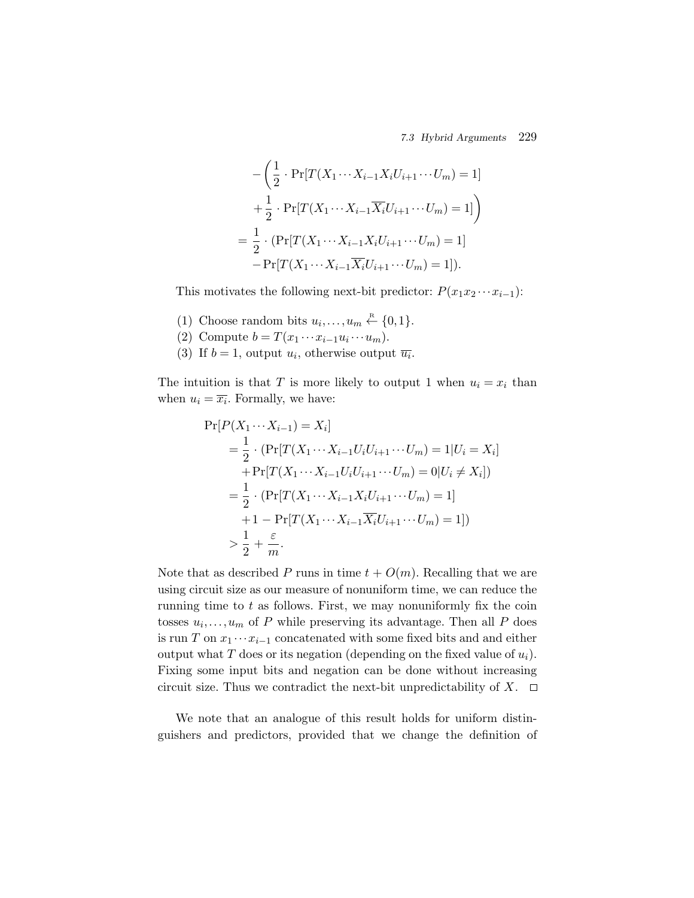*7.3 Hybrid Arguments* 229

$$
7.3 \text{ Hybrid Argu}
$$
\n
$$
-\left(\frac{1}{2} \cdot \Pr[T(X_1 \cdots X_{i-1} X_i U_{i+1} \cdots U_m) = 1]\right)
$$
\n
$$
+\frac{1}{2} \cdot \Pr[T(X_1 \cdots X_{i-1} \overline{X_i} U_{i+1} \cdots U_m) = 1]\right)
$$
\n
$$
=\frac{1}{2} \cdot (\Pr[T(X_1 \cdots X_{i-1} X_i U_{i+1} \cdots U_m) = 1]
$$
\n
$$
-\Pr[T(X_1 \cdots X_{i-1} \overline{X_i} U_{i+1} \cdots U_m) = 1]).
$$

This motivates the following next-bit predictor:  $P(x_1x_2 \cdots x_{i-1})$ :

- (1) Choose random bits  $u_i, \ldots, u_m \stackrel{\text{R}}{\leftarrow} \{0,1\}.$
- (2) Compute  $b = T(x_1 \cdots x_{i-1}u_i \cdots u_m)$ .
- (3) If  $b = 1$ , output  $u_i$ , otherwise output  $\overline{u_i}$ .

The intuition is that T is more likely to output 1 when  $u_i = x_i$  than when  $u_i = \overline{x_i}$ . Formally, we have:

$$
\Pr[P(X_1 \cdots X_{i-1}) = X_i]
$$
  
=  $\frac{1}{2} \cdot (\Pr[T(X_1 \cdots X_{i-1} U_i U_{i+1} \cdots U_m) = 1 | U_i = X_i]$   
+  $\Pr[T(X_1 \cdots X_{i-1} U_i U_{i+1} \cdots U_m) = 0 | U_i \neq X_i])$   
=  $\frac{1}{2} \cdot (\Pr[T(X_1 \cdots X_{i-1} X_i U_{i+1} \cdots U_m) = 1]$   
+  $1 - \Pr[T(X_1 \cdots X_{i-1} \overline{X_i} U_{i+1} \cdots U_m) = 1])$   
>  $\frac{1}{2} + \frac{\varepsilon}{m}.$ 

Note that as described P runs in time  $t + O(m)$ . Recalling that we are using circuit size as our measure of nonuniform time, we can reduce the running time to  $t$  as follows. First, we may nonuniformly fix the coin tosses  $u_i, \ldots, u_m$  of P while preserving its advantage. Then all P does is run T on  $x_1 \cdots x_{i-1}$  concatenated with some fixed bits and and either output what T does or its negation (depending on the fixed value of  $u_i$ ). Fixing some input bits and negation can be done without increasing circuit size. Thus we contradict the next-bit unpredictability of  $X$ .  $\Box$ 

We note that an analogue of this result holds for uniform distinguishers and predictors, provided that we change the definition of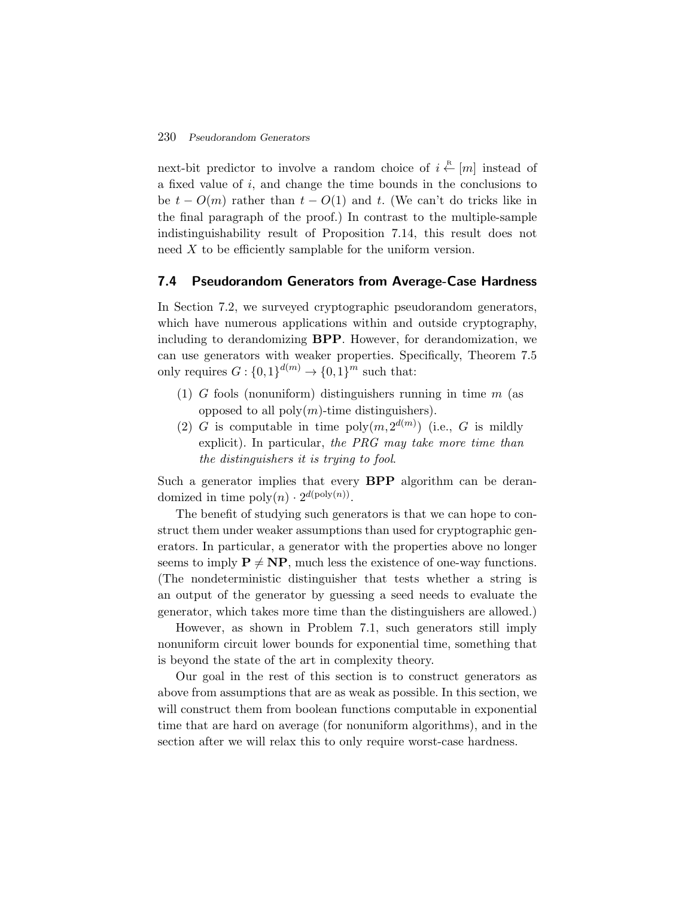next-bit predictor to involve a random choice of  $i \stackrel{\text{R}}{\leftarrow} [m]$  instead of a fixed value of i, and change the time bounds in the conclusions to be  $t - O(m)$  rather than  $t - O(1)$  and t. (We can't do tricks like in the final paragraph of the proof.) In contrast to the multiple-sample indistinguishability result of Proposition 7.14, this result does not need X to be efficiently samplable for the uniform version.

## **7.4 Pseudorandom Generators from Average-Case Hardness**

In Section 7.2, we surveyed cryptographic pseudorandom generators, which have numerous applications within and outside cryptography, including to derandomizing **BPP**. However, for derandomization, we can use generators with weaker properties. Specifically, Theorem 7.5 only requires  $G: \{0,1\}^{d(m)} \to \{0,1\}^m$  such that:

- (1) G fools (nonuniform) distinguishers running in time  $m$  (as opposed to all  $\text{poly}(m)\text{-time}$  distinguishers).
- (2) G is computable in time  $\text{poly}(m, 2^{d(m)})$  (i.e., G is mildly explicit). In particular, *the PRG may take more time than the distinguishers it is trying to fool*.

Such a generator implies that every **BPP** algorithm can be derandomized in time  $\text{poly}(n) \cdot 2^{d(\text{poly}(n))}$ .

The benefit of studying such generators is that we can hope to construct them under weaker assumptions than used for cryptographic generators. In particular, a generator with the properties above no longer seems to imply  $P \neq NP$ , much less the existence of one-way functions. (The nondeterministic distinguisher that tests whether a string is an output of the generator by guessing a seed needs to evaluate the generator, which takes more time than the distinguishers are allowed.)

However, as shown in Problem 7.1, such generators still imply nonuniform circuit lower bounds for exponential time, something that is beyond the state of the art in complexity theory.

Our goal in the rest of this section is to construct generators as above from assumptions that are as weak as possible. In this section, we will construct them from boolean functions computable in exponential time that are hard on average (for nonuniform algorithms), and in the section after we will relax this to only require worst-case hardness.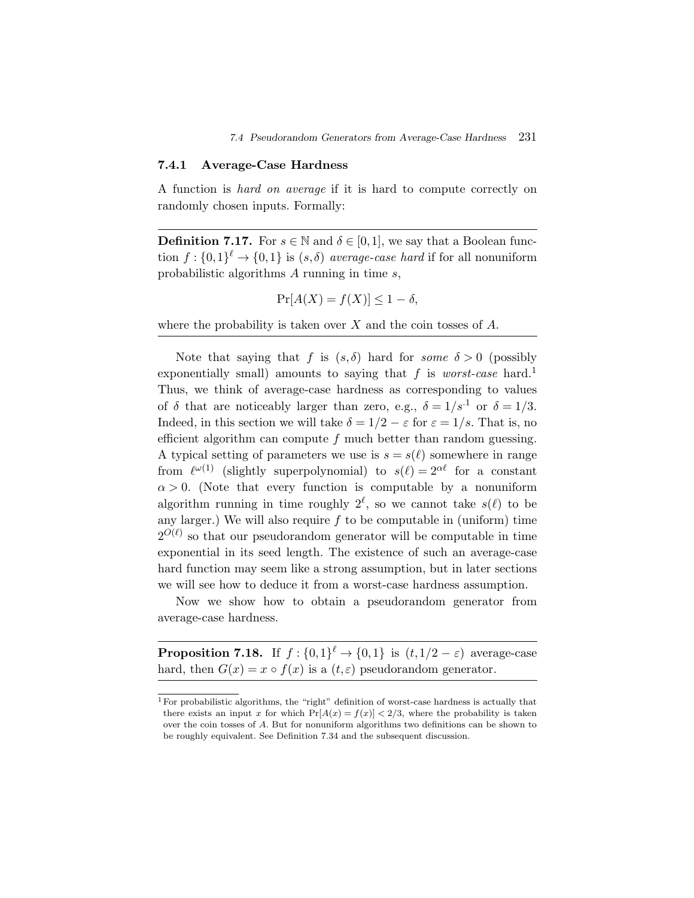#### **7.4.1 Average-Case Hardness**

A function is *hard on average* if it is hard to compute correctly on randomly chosen inputs. Formally:

**Definition 7.17.** For  $s \in \mathbb{N}$  and  $\delta \in [0,1]$ , we say that a Boolean function  $f: \{0,1\}^{\ell} \to \{0,1\}$  is  $(s,\delta)$  *average-case hard* if for all nonuniform probabilistic algorithms A running in time s,

$$
\Pr[A(X) = f(X)] \le 1 - \delta,
$$

where the probability is taken over  $X$  and the coin tosses of  $A$ .

Note that saying that f is  $(s, \delta)$  hard for *some*  $\delta > 0$  (possibly exponentially small) amounts to saying that f is *worst-case* hard.<sup>1</sup> Thus, we think of average-case hardness as corresponding to values of  $\delta$  that are noticeably larger than zero, e.g.,  $\delta = 1/s^{-1}$  or  $\delta = 1/3$ . Indeed, in this section we will take  $\delta = 1/2 - \varepsilon$  for  $\varepsilon = 1/s$ . That is, no efficient algorithm can compute  $f$  much better than random guessing. A typical setting of parameters we use is  $s = s(\ell)$  somewhere in range from  $\ell^{\omega(1)}$  (slightly superpolynomial) to  $s(\ell)=2^{\alpha\ell}$  for a constant  $\alpha > 0$ . (Note that every function is computable by a nonuniform algorithm running in time roughly  $2^{\ell}$ , so we cannot take  $s(\ell)$  to be any larger.) We will also require  $f$  to be computable in (uniform) time  $2^{O(\ell)}$  so that our pseudorandom generator will be computable in time exponential in its seed length. The existence of such an average-case hard function may seem like a strong assumption, but in later sections we will see how to deduce it from a worst-case hardness assumption.

Now we show how to obtain a pseudorandom generator from average-case hardness.

**Proposition 7.18.** If  $f : \{0,1\}^{\ell} \to \{0,1\}$  is  $(t,1/2-\varepsilon)$  average-case hard, then  $G(x) = x \circ f(x)$  is a  $(t, \varepsilon)$  pseudorandom generator.

<sup>&</sup>lt;sup>1</sup> For probabilistic algorithms, the "right" definition of worst-case hardness is actually that there exists an input x for which  $Pr[A(x) = f(x)] < 2/3$ , where the probability is taken over the coin tosses of A. But for nonuniform algorithms two definitions can be shown to be roughly equivalent. See Definition 7.34 and the subsequent discussion.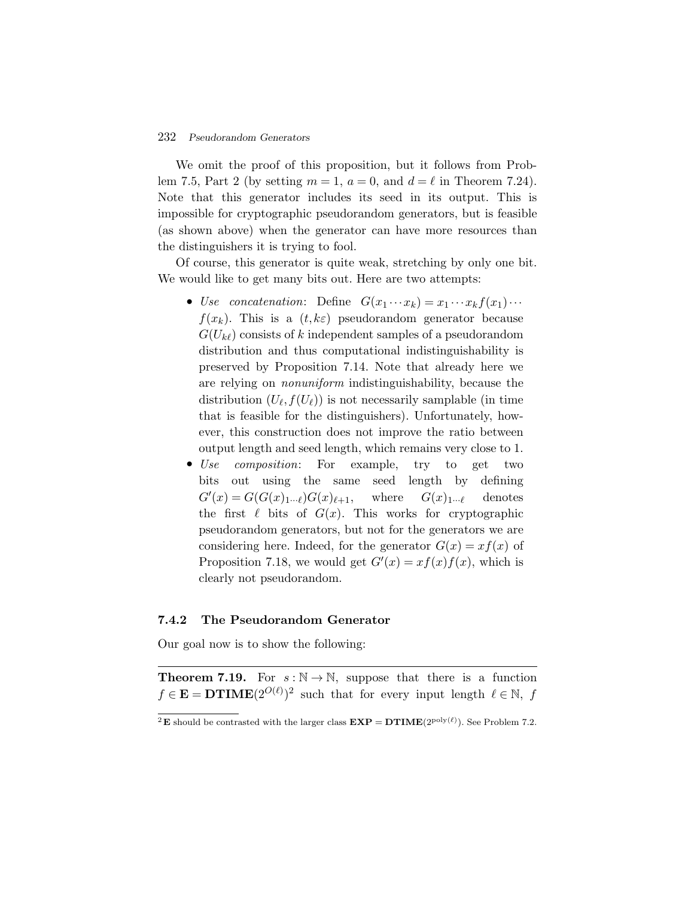We omit the proof of this proposition, but it follows from Problem 7.5, Part 2 (by setting  $m = 1$ ,  $a = 0$ , and  $d = \ell$  in Theorem 7.24). Note that this generator includes its seed in its output. This is impossible for cryptographic pseudorandom generators, but is feasible (as shown above) when the generator can have more resources than the distinguishers it is trying to fool.

Of course, this generator is quite weak, stretching by only one bit. We would like to get many bits out. Here are two attempts:

- *Use concatenation*: Define  $G(x_1 \cdots x_k) = x_1 \cdots x_k f(x_1) \cdots$  $f(x_k)$ . This is a  $(t, k\varepsilon)$  pseudorandom generator because  $G(U_{k\ell})$  consists of k independent samples of a pseudorandom distribution and thus computational indistinguishability is preserved by Proposition 7.14. Note that already here we are relying on *nonuniform* indistinguishability, because the distribution  $(U_{\ell}, f(U_{\ell}))$  is not necessarily samplable (in time that is feasible for the distinguishers). Unfortunately, however, this construction does not improve the ratio between output length and seed length, which remains very close to 1.
- *Use composition*: For example, try to get two bits out using the same seed length by defining  $G'(x) = G(G(x)_{1\cdots \ell})G(x)_{\ell+1}, \quad \text{where} \quad G(x)_{1\cdots \ell} \quad \text{ denotes}$ the first  $\ell$  bits of  $G(x)$ . This works for cryptographic pseudorandom generators, but not for the generators we are considering here. Indeed, for the generator  $G(x) = xf(x)$  of Proposition 7.18, we would get  $G'(x) = xf(x)f(x)$ , which is clearly not pseudorandom.

# **7.4.2 The Pseudorandom Generator**

Our goal now is to show the following:

**Theorem 7.19.** For  $s : \mathbb{N} \to \mathbb{N}$ , suppose that there is a function  $f \in \mathbf{E} = \mathbf{DTIME}(2^{O(\ell)})^2$  such that for every input length  $\ell \in \mathbb{N}$ , f

<sup>&</sup>lt;sup>2</sup>**E** should be contrasted with the larger class  $\mathbf{EXP} = \mathbf{DTIME}(2^{\text{poly}(\ell)})$ . See Problem 7.2.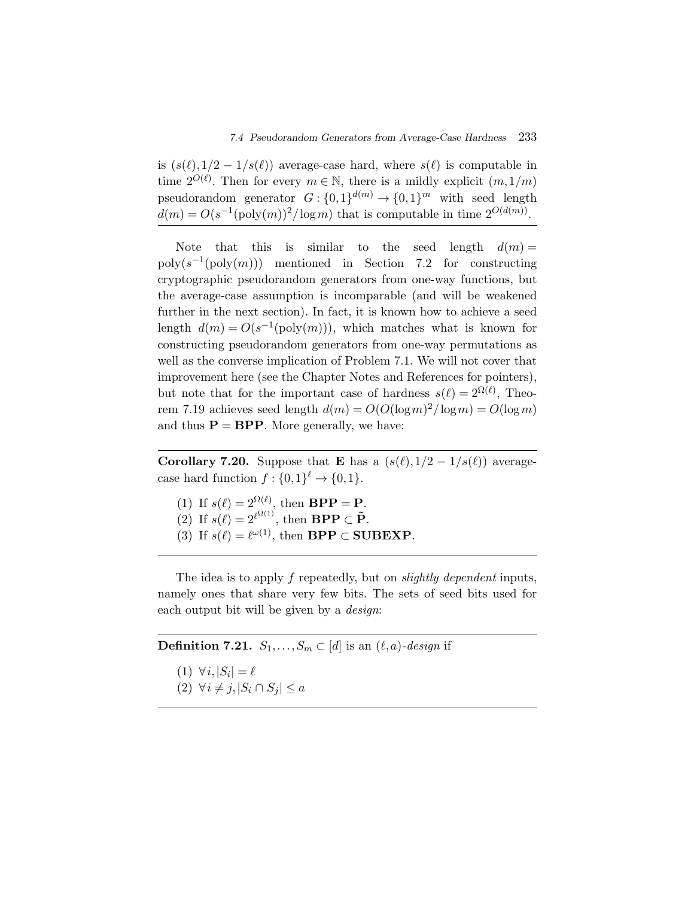is  $(s(\ell),1/2-1/s(\ell))$  average-case hard, where  $s(\ell)$  is computable in time  $2^{O(\ell)}$ . Then for every  $m \in \mathbb{N}$ , there is a mildly explicit  $(m,1/m)$ pseudorandom generator  $G: \{0,1\}^{d(m)} \to \{0,1\}^m$  with seed length  $d(m) = O(s^{-1}(\text{poly}(m))^2/\log m)$  that is computable in time  $2^{O(d(m))}$ .

Note that this is similar to the seed length  $d(m) =$  $poly(s^{-1}(\text{poly}(m)))$  mentioned in Section 7.2 for constructing cryptographic pseudorandom generators from one-way functions, but the average-case assumption is incomparable (and will be weakened further in the next section). In fact, it is known how to achieve a seed length  $d(m) = O(s^{-1}(\text{poly}(m)))$ , which matches what is known for constructing pseudorandom generators from one-way permutations as well as the converse implication of Problem 7.1. We will not cover that improvement here (see the Chapter Notes and References for pointers), but note that for the important case of hardness  $s(\ell) = 2^{\Omega(\ell)}$ , Theorem 7.19 achieves seed length  $d(m) = O(O(\log m)^2 / \log m) = O(\log m)$ and thus  $P = BPP$ . More generally, we have:

**Corollary 7.20.** Suppose that **E** has a  $(s(\ell),1/2-1/s(\ell))$  averagecase hard function  $f: \{0,1\}^{\ell} \to \{0,1\}.$ 

(1) If  $s(\ell) = 2^{\Omega(\ell)}$ , then **BPP** = **P**.

- (2) If  $s(\ell)=2^{\ell^{\Omega(1)}},$  then **BPP**  $\subset \tilde{\mathbf{P}}$ .
- (3) If  $s(\ell) = \ell^{\omega(1)}$ , then **BPP** ⊂ **SUBEXP**.

The idea is to apply f repeatedly, but on *slightly dependent* inputs, namely ones that share very few bits. The sets of seed bits used for each output bit will be given by a *design*:

**Definition 7.21.**  $S_1, \ldots, S_m \subset [d]$  is an  $(\ell, a)$ *-design* if  $(1) \ \forall i, |S_i| = \ell$ (2)  $\forall i \neq j, |S_i \cap S_j| \leq a$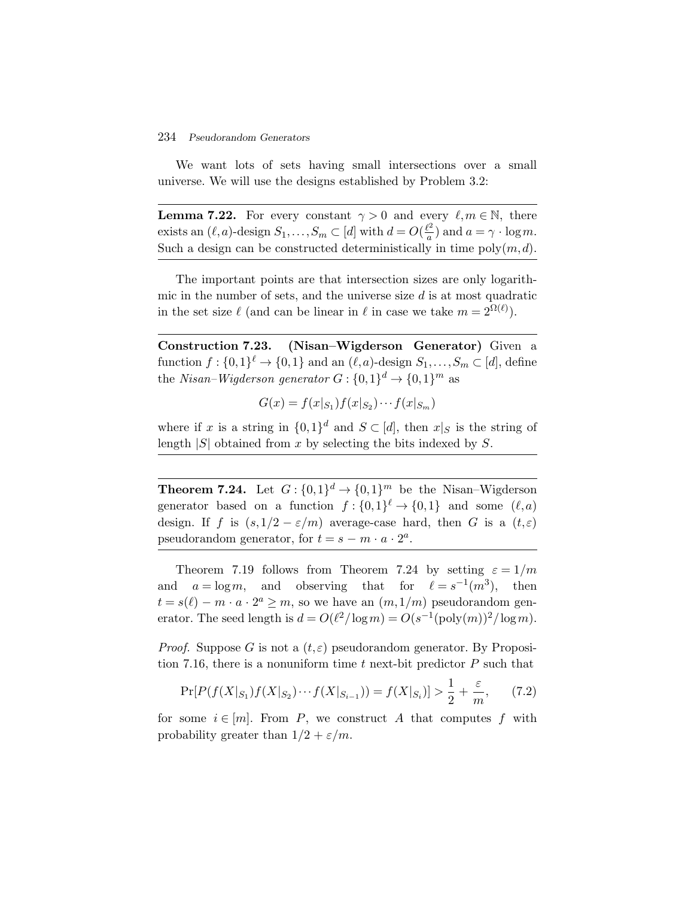We want lots of sets having small intersections over a small universe. We will use the designs established by Problem 3.2:

**Lemma 7.22.** For every constant  $\gamma > 0$  and every  $\ell, m \in \mathbb{N}$ , there exists an  $(\ell, a)$ -design  $S_1, \ldots, S_m \subset [d]$  with  $d = O(\frac{\ell^2}{a})$  and  $a = \gamma \cdot \log m$ . Such a design can be constructed deterministically in time  $poly(m, d)$ .

The important points are that intersection sizes are only logarithmic in the number of sets, and the universe size  $d$  is at most quadratic in the set size  $\ell$  (and can be linear in  $\ell$  in case we take  $m = 2^{\Omega(\ell)}$ ).

**Construction 7.23. (Nisan–Wigderson Generator)** Given a function  $f: \{0,1\}^{\ell} \to \{0,1\}$  and an  $(\ell, a)$ -design  $S_1, \ldots, S_m \subset [d]$ , define the *Nisan–Wigderson generator*  $G: \{0,1\}^d \rightarrow \{0,1\}^m$  as

$$
G(x) = f(x|_{S_1})f(x|_{S_2})\cdots f(x|_{S_m})
$$

where if x is a string in  $\{0,1\}^d$  and  $S \subset [d]$ , then  $x|_S$  is the string of length  $|S|$  obtained from x by selecting the bits indexed by S.

**Theorem 7.24.** Let  $G: \{0,1\}^d \to \{0,1\}^m$  be the Nisan–Wigderson generator based on a function  $f: \{0,1\}^{\ell} \to \{0,1\}$  and some  $(\ell, a)$ design. If f is  $(s,1/2-\varepsilon/m)$  average-case hard, then G is a  $(t,\varepsilon)$ pseudorandom generator, for  $t = s - m \cdot a \cdot 2^a$ .

Theorem 7.19 follows from Theorem 7.24 by setting  $\varepsilon = 1/m$ and  $a = \log m$ , and observing that for  $\ell = s^{-1}(m^3)$ , then  $t = s(\ell) - m \cdot a \cdot 2^a \geq m$ , so we have an  $(m,1/m)$  pseudorandom generator. The seed length is  $d = O(\ell^2/\log m) = O(s^{-1}(\text{poly}(m))^2/\log m)$ .

*Proof.* Suppose G is not a  $(t, \varepsilon)$  pseudorandom generator. By Proposition 7.16, there is a nonuniform time t next-bit predictor  $P$  such that

$$
\Pr[P(f(X|_{S_1})f(X|_{S_2})\cdots f(X|_{S_{i-1}})) = f(X|_{S_i})] > \frac{1}{2} + \frac{\varepsilon}{m},\qquad(7.2)
$$

for some  $i \in [m]$ . From P, we construct A that computes f with probability greater than  $1/2 + \varepsilon/m$ .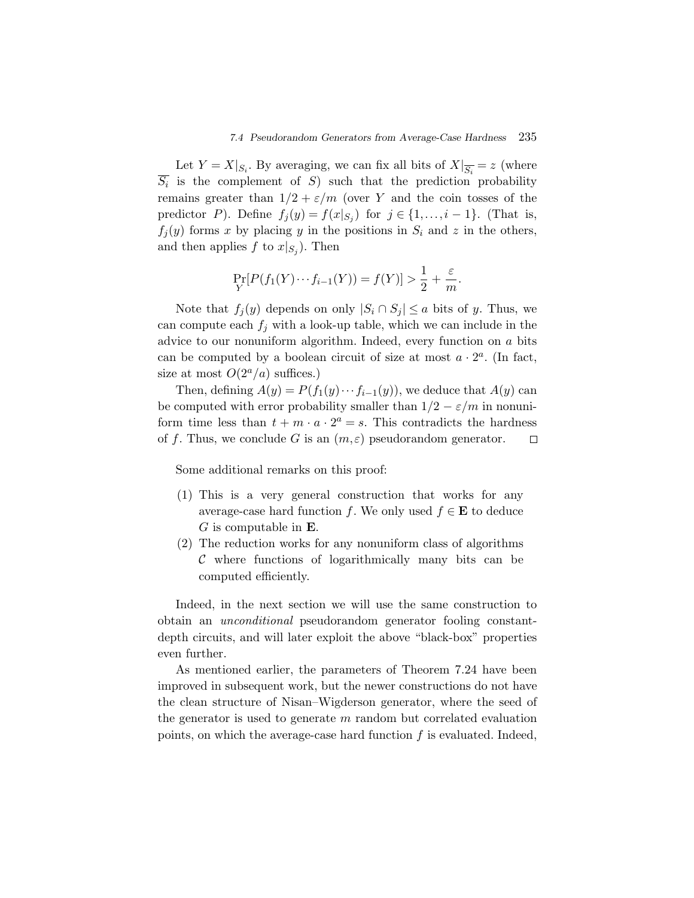Let  $Y = X|_{S_i}$ . By averaging, we can fix all bits of  $X|_{\overline{S_i}} = z$  (where  $\overline{S_i}$  is the complement of S) such that the prediction probability remains greater than  $1/2 + \varepsilon/m$  (over Y and the coin tosses of the predictor P). Define  $f_j(y) = f(x|_{S_i})$  for  $j \in \{1, ..., i-1\}$ . (That is,  $f_i(y)$  forms x by placing y in the positions in  $S_i$  and z in the others, and then applies f to  $x|_{S_i}$ ). Then

$$
\Pr_{Y}[P(f_1(Y)\cdots f_{i-1}(Y)) = f(Y)] > \frac{1}{2} + \frac{\varepsilon}{m}.
$$

Note that  $f_i(y)$  depends on only  $|S_i \cap S_j| \leq a$  bits of y. Thus, we can compute each  $f_i$  with a look-up table, which we can include in the advice to our nonuniform algorithm. Indeed, every function on a bits can be computed by a boolean circuit of size at most  $a \cdot 2^a$ . (In fact, size at most  $O(2^a/a)$  suffices.)

Then, defining  $A(y) = P(f_1(y) \cdots f_{i-1}(y))$ , we deduce that  $A(y)$  can be computed with error probability smaller than  $1/2 - \varepsilon/m$  in nonuniform time less than  $t + m \cdot a \cdot 2^a = s$ . This contradicts the hardness of f. Thus, we conclude G is an  $(m, \varepsilon)$  pseudorandom generator.  $\Box$ 

Some additional remarks on this proof:

- (1) This is a very general construction that works for any average-case hard function f. We only used  $f \in \mathbf{E}$  to deduce G is computable in **E**.
- (2) The reduction works for any nonuniform class of algorithms  $\mathcal C$  where functions of logarithmically many bits can be computed efficiently.

Indeed, in the next section we will use the same construction to obtain an *unconditional* pseudorandom generator fooling constantdepth circuits, and will later exploit the above "black-box" properties even further.

As mentioned earlier, the parameters of Theorem 7.24 have been improved in subsequent work, but the newer constructions do not have the clean structure of Nisan–Wigderson generator, where the seed of the generator is used to generate  $m$  random but correlated evaluation points, on which the average-case hard function  $f$  is evaluated. Indeed,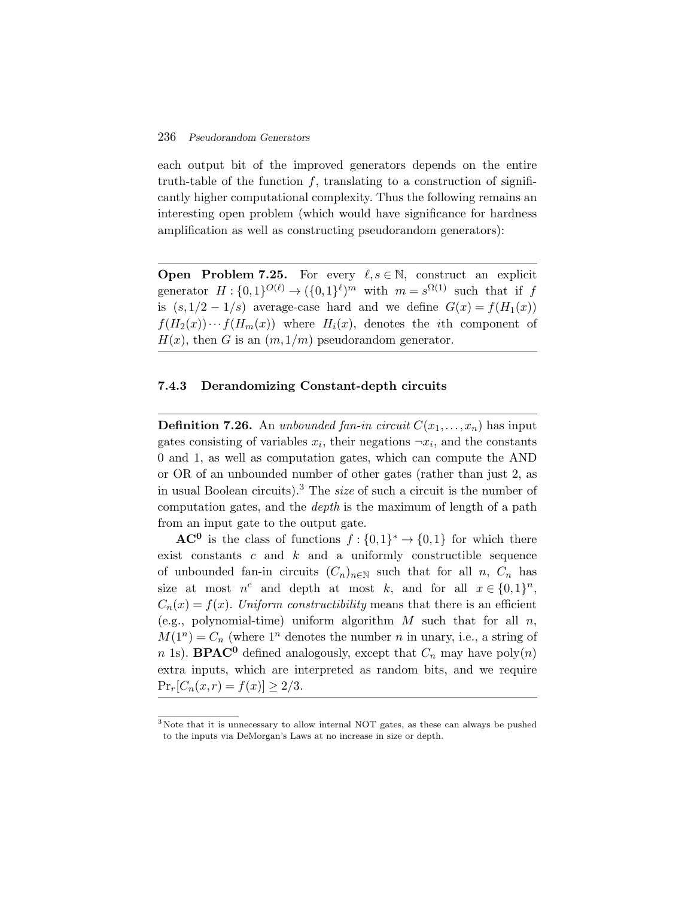each output bit of the improved generators depends on the entire truth-table of the function  $f$ , translating to a construction of significantly higher computational complexity. Thus the following remains an interesting open problem (which would have significance for hardness amplification as well as constructing pseudorandom generators):

**Open Problem 7.25.** For every  $\ell, s \in \mathbb{N}$ , construct an explicit generator  $H: \{0,1\}^{O(\ell)} \to (\{0,1\}^{\ell})^m$  with  $m = s^{\Omega(1)}$  such that if f is  $(s,1/2-1/s)$  average-case hard and we define  $G(x) = f(H_1(x))$  $f(H_2(x))\cdots f(H_m(x))$  where  $H_i(x)$ , denotes the *i*th component of  $H(x)$ , then G is an  $(m,1/m)$  pseudorandom generator.

## **7.4.3 Derandomizing Constant-depth circuits**

**Definition 7.26.** An *unbounded fan-in circuit*  $C(x_1,...,x_n)$  has input gates consisting of variables  $x_i$ , their negations  $\neg x_i$ , and the constants 0 and 1, as well as computation gates, which can compute the AND or OR of an unbounded number of other gates (rather than just 2, as in usual Boolean circuits).<sup>3</sup> The *size* of such a circuit is the number of computation gates, and the *depth* is the maximum of length of a path from an input gate to the output gate.

**AC<sup>0</sup>** is the class of functions  $f: \{0,1\}^* \to \{0,1\}$  for which there exist constants  $c$  and  $k$  and a uniformly constructible sequence of unbounded fan-in circuits  $(C_n)_{n\in\mathbb{N}}$  such that for all n,  $C_n$  has size at most  $n^c$  and depth at most k, and for all  $x \in \{0,1\}^n$ ,  $C_n(x) = f(x)$ . *Uniform constructibility* means that there is an efficient (e.g., polynomial-time) uniform algorithm  $M$  such that for all  $n$ ,  $M(1^n) = C_n$  (where 1<sup>n</sup> denotes the number n in unary, i.e., a string of n 1s). **BPAC<sup>0</sup>** defined analogously, except that  $C_n$  may have poly $(n)$ extra inputs, which are interpreted as random bits, and we require  $Pr_r[C_n(x,r) = f(x)] \geq 2/3.$ 

<sup>3</sup> Note that it is unnecessary to allow internal NOT gates, as these can always be pushed to the inputs via DeMorgan's Laws at no increase in size or depth.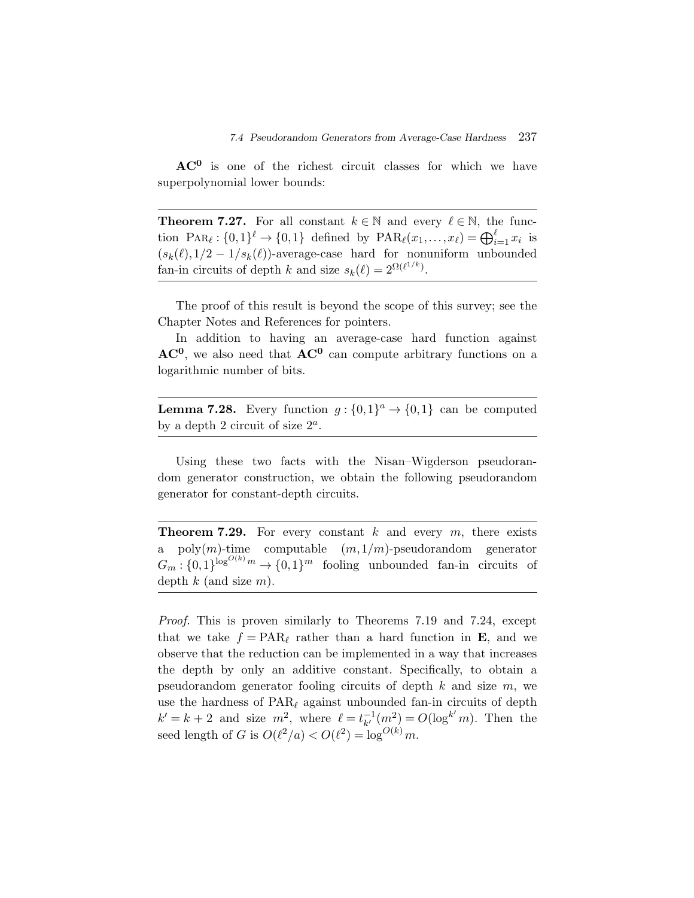**AC<sup>0</sup>** is one of the richest circuit classes for which we have superpolynomial lower bounds:

**Theorem 7.27.** For all constant  $k \in \mathbb{N}$  and every  $\ell \in \mathbb{N}$ , the func-**AC<sup>0</sup>** is one of the richest circuit classes for which we have<br>superpolynomial lower bounds:<br>**Theorem 7.27.** For all constant  $k \in \mathbb{N}$  and every  $\ell \in \mathbb{N}$ , the func-<br>tion PAR<sub> $\ell$ </sub>:  $\{0,1\}^{\ell} \to \{0,1\}$  defined b  $(s_k(\ell),1/2-1/s_k(\ell))$ -average-case hard for nonuniform unbounded fan-in circuits of depth k and size  $s_k(\ell) = 2^{\Omega(\ell^{1/k})}$ .

The proof of this result is beyond the scope of this survey; see the Chapter Notes and References for pointers.

In addition to having an average-case hard function against **AC0**, we also need that **AC<sup>0</sup>** can compute arbitrary functions on a logarithmic number of bits.

**Lemma 7.28.** Every function  $g: \{0,1\}^a \rightarrow \{0,1\}$  can be computed by a depth 2 circuit of size  $2^a$ .

Using these two facts with the Nisan–Wigderson pseudorandom generator construction, we obtain the following pseudorandom generator for constant-depth circuits.

**Theorem 7.29.** For every constant k and every  $m$ , there exists a poly $(m)$ -time computable  $(m,1/m)$ -pseudorandom generator  $G_m: \{0,1\}^{\log^{O(k)} m} \to \{0,1\}^m$  fooling unbounded fan-in circuits of depth  $k$  (and size  $m$ ).

*Proof.* This is proven similarly to Theorems 7.19 and 7.24, except that we take  $f = PAR_\ell$  rather than a hard function in **E**, and we observe that the reduction can be implemented in a way that increases the depth by only an additive constant. Specifically, to obtain a pseudorandom generator fooling circuits of depth  $k$  and size  $m$ , we use the hardness of  $\text{PAR}_{\ell}$  against unbounded fan-in circuits of depth  $k' = k + 2$  and size  $m^2$ , where  $\ell = t_{k'}^{-1}$  $\bar{k}_{k'}^{-1}(m^2) = O(\log^{k'} m)$ . Then the seed length of G is  $O(\ell^2/a) < O(\ell^2) = \log^{O(k)} m$ .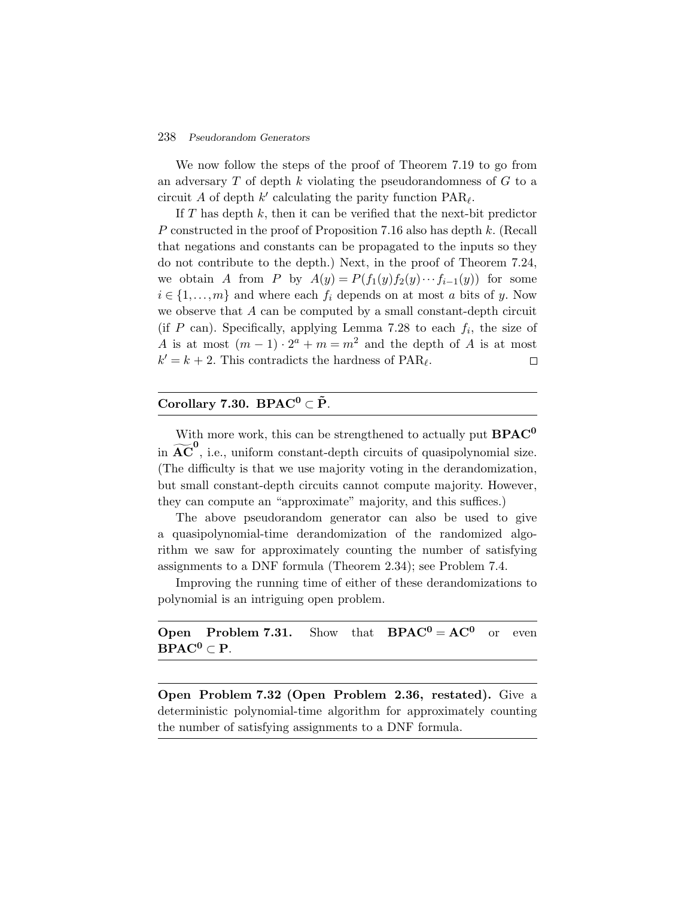We now follow the steps of the proof of Theorem 7.19 to go from an adversary  $T$  of depth  $k$  violating the pseudorandomness of  $G$  to a circuit A of depth  $k'$  calculating the parity function  $\text{PAR}_{\ell}$ .

If T has depth  $k$ , then it can be verified that the next-bit predictor P constructed in the proof of Proposition 7.16 also has depth k. (Recall that negations and constants can be propagated to the inputs so they do not contribute to the depth.) Next, in the proof of Theorem 7.24, we obtain A from P by  $A(y) = P(f_1(y)f_2(y)\cdots f_{i-1}(y))$  for some  $i \in \{1, \ldots, m\}$  and where each  $f_i$  depends on at most a bits of y. Now we observe that  $A$  can be computed by a small constant-depth circuit (if P can). Specifically, applying Lemma 7.28 to each  $f_i$ , the size of A is at most  $(m-1) \cdot 2^a + m = m^2$  and the depth of A is at most  $k' = k + 2$ . This contradicts the hardness of PAR<sub>l</sub>.  $\Box$ 

# Corollary 7.30. BPAC<sup>0</sup> ⊂  $\tilde{P}$ .

With more work, this can be strengthened to actually put **BPAC<sup>0</sup> Corollary 7.30. BPAC<sup>0</sup>**  $\subset \tilde{P}$ **.**<br>With more work, this can be strengthened to actually put **BPAC<sup>0</sup>**<br>in  $\widetilde{AC}^0$ , i.e., uniform constant-depth circuits of quasipolynomial size. (The difficulty is that we use majority voting in the derandomization, but small constant-depth circuits cannot compute majority. However, they can compute an "approximate" majority, and this suffices.)

The above pseudorandom generator can also be used to give a quasipolynomial-time derandomization of the randomized algorithm we saw for approximately counting the number of satisfying assignments to a DNF formula (Theorem 2.34); see Problem 7.4.

Improving the running time of either of these derandomizations to polynomial is an intriguing open problem.

# **Open Problem 7.31.** Show that  $BPAC^0 = AC^0$  or even **BPAC**<sup>0</sup>  $\subset$ **P**.

**Open Problem 7.32 (Open Problem 2.36, restated).** Give a deterministic polynomial-time algorithm for approximately counting the number of satisfying assignments to a DNF formula.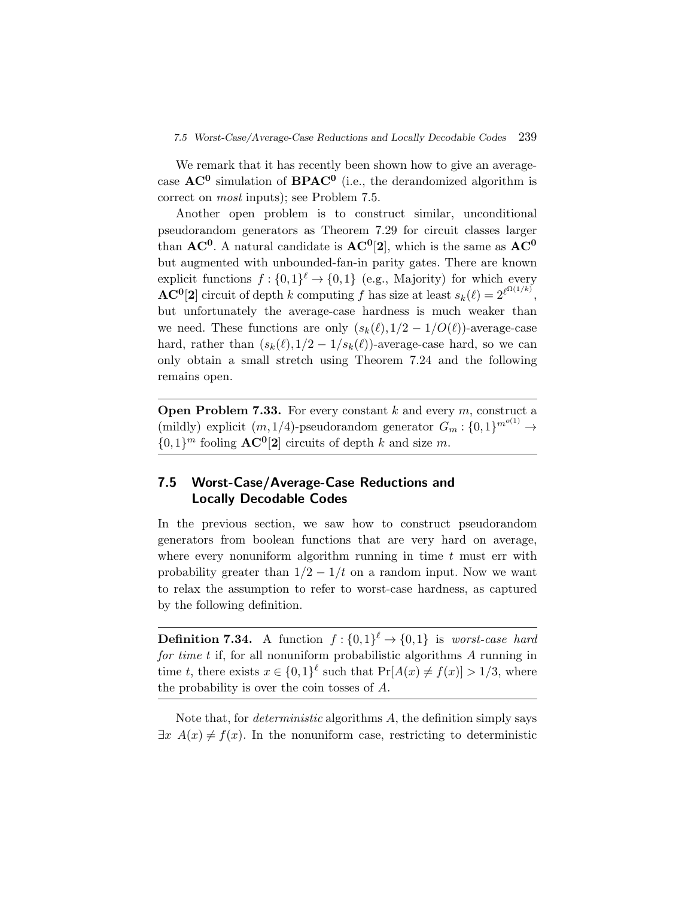We remark that it has recently been shown how to give an averagecase  $AC^0$  simulation of **BPAC**<sup>0</sup> (i.e., the derandomized algorithm is correct on *most* inputs); see Problem 7.5.

Another open problem is to construct similar, unconditional pseudorandom generators as Theorem 7.29 for circuit classes larger than  $AC^0$ . A natural candidate is  $AC^0[2]$ , which is the same as  $AC^0$ but augmented with unbounded-fan-in parity gates. There are known explicit functions  $f: \{0,1\}^{\ell} \to \{0,1\}$  (e.g., Majority) for which every  $\mathbf{AC}^{\mathbf{0}}[2]$  circuit of depth k computing f has size at least  $s_k(\ell) = 2^{\ell^{\Omega(1/k)}}$ , but unfortunately the average-case hardness is much weaker than we need. These functions are only  $(s_k(\ell),1/2-1/O(\ell))$ -average-case hard, rather than  $(s_k(\ell),1/2-1/s_k(\ell))$ -average-case hard, so we can only obtain a small stretch using Theorem 7.24 and the following remains open.

**Open Problem 7.33.** For every constant  $k$  and every  $m$ , construct a (mildly) explicit  $(m,1/4)$ -pseudorandom generator  $G_m: \{0,1\}^{m^{o(1)}} \to$  $\{0,1\}^m$  fooling  $AC^0[2]$  circuits of depth k and size m.

# **7.5 Worst-Case/Average-Case Reductions and Locally Decodable Codes**

In the previous section, we saw how to construct pseudorandom generators from boolean functions that are very hard on average, where every nonuniform algorithm running in time  $t$  must err with probability greater than  $1/2 - 1/t$  on a random input. Now we want to relax the assumption to refer to worst-case hardness, as captured by the following definition.

**Definition 7.34.** A function  $f: \{0,1\}^{\ell} \rightarrow \{0,1\}$  is *worst-case hard for time t* if, for all nonuniform probabilistic algorithms A running in time t, there exists  $x \in \{0,1\}^{\ell}$  such that  $\Pr[A(x) \neq f(x)] > 1/3$ , where the probability is over the coin tosses of A.

Note that, for *deterministic* algorithms A, the definition simply says  $\exists x \; A(x) \neq f(x)$ . In the nonuniform case, restricting to deterministic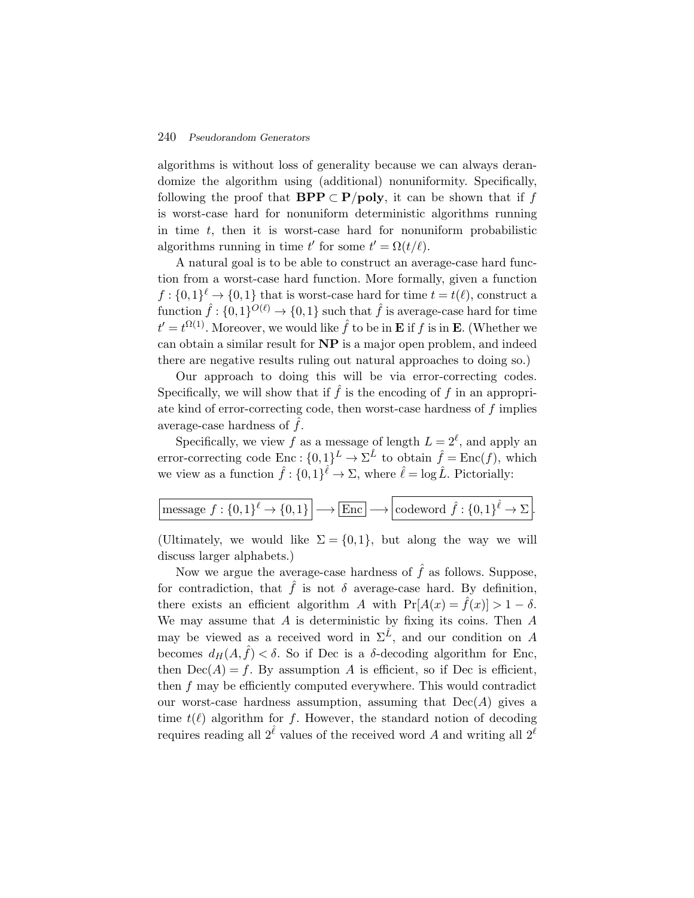algorithms is without loss of generality because we can always derandomize the algorithm using (additional) nonuniformity. Specifically, following the proof that **BPP**  $\subset$  **P**/**poly**, it can be shown that if f is worst-case hard for nonuniform deterministic algorithms running in time  $t$ , then it is worst-case hard for nonuniform probabilistic algorithms running in time t' for some  $t' = \Omega(t/\ell)$ .

A natural goal is to be able to construct an average-case hard function from a worst-case hard function. More formally, given a function  $f: \{0,1\}^{\ell} \to \{0,1\}$  that is worst-case hard for time  $t = t(\ell)$ , construct a function  $\hat{f}$  :  $\{0,1\}^{O(\ell)} \rightarrow \{0,1\}$  such that  $\hat{f}$  is average-case hard for time  $t' = t^{\Omega(1)}$ . Moreover, we would like  $\hat{f}$  to be in **E** if f is in **E**. (Whether we can obtain a similar result for **NP** is a major open problem, and indeed there are negative results ruling out natural approaches to doing so.)

Our approach to doing this will be via error-correcting codes. Specifically, we will show that if  $\hat{f}$  is the encoding of f in an appropriate kind of error-correcting code, then worst-case hardness of f implies average-case hardness of  $f$ .

Specifically, we view f as a message of length  $L = 2^{\ell}$ , and apply an error-correcting code Enc :  $\{0,1\}^L \to \Sigma^{\hat{L}}$  to obtain  $\hat{f} = \text{Enc}(f)$ , which we view as a function  $\hat{f} : \{0,1\}^{\hat{\ell}} \to \Sigma$ , where  $\hat{\ell} = \log \hat{L}$ . Pictorially:

|--|

(Ultimately, we would like  $\Sigma = \{0,1\}$ , but along the way we will discuss larger alphabets.)

Now we argue the average-case hardness of  $\hat{f}$  as follows. Suppose, for contradiction, that  $\hat{f}$  is not  $\delta$  average-case hard. By definition, there exists an efficient algorithm A with  $Pr[A(x) = \hat{f}(x)] > 1 - \delta$ . We may assume that  $A$  is deterministic by fixing its coins. Then  $A$ may be viewed as a received word in  $\Sigma^{\hat{L}}$ , and our condition on A becomes  $d_H(A, \hat{f}) < \delta$ . So if Dec is a  $\delta$ -decoding algorithm for Enc, then  $Dec(A) = f$ . By assumption A is efficient, so if Dec is efficient, then f may be efficiently computed everywhere. This would contradict our worst-case hardness assumption, assuming that  $Dec(A)$  gives a time  $t(\ell)$  algorithm for f. However, the standard notion of decoding requires reading all  $2^{\hat{\ell}}$  values of the received word A and writing all  $2^{\ell}$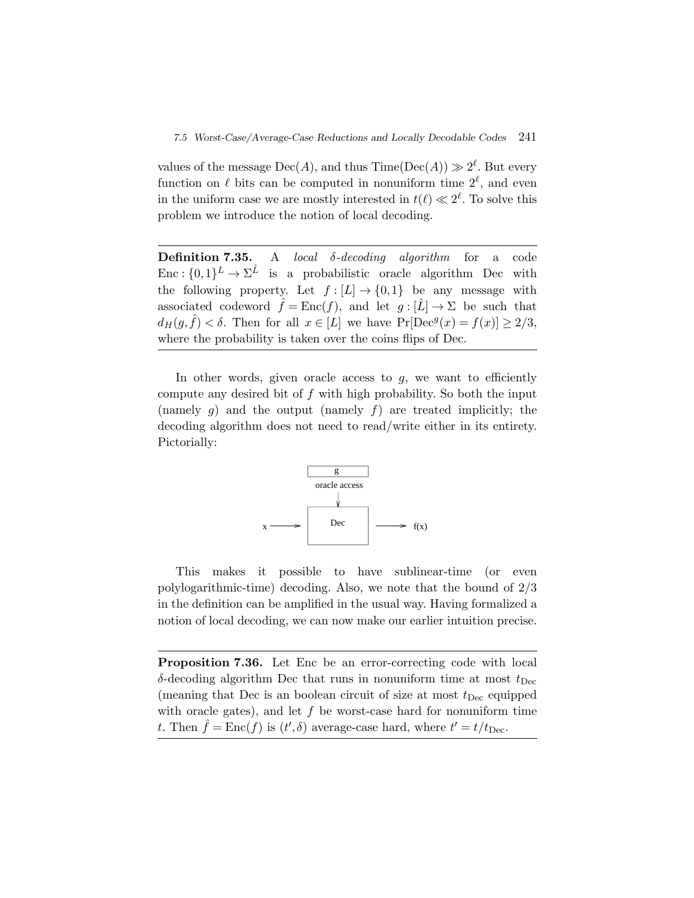values of the message  $Dec(A)$ , and thus  $Time(Dec(A)) \gg 2^{\ell}$ . But every function on  $\ell$  bits can be computed in nonuniform time  $2^{\ell}$ , and even in the uniform case we are mostly interested in  $t(\ell) \ll 2^{\ell}$ . To solve this problem we introduce the notion of local decoding.

**Definition 7.35.** A *local* δ*-decoding algorithm* for a code Enc :  $\{0,1\}^L \to \Sigma^{\hat{L}}$  is a probabilistic oracle algorithm Dec with the following property. Let  $f : [L] \to \{0,1\}$  be any message with associated codeword  $\hat{f} = \text{Enc}(f)$ , and let  $g : [\hat{L}] \to \Sigma$  be such that  $d_H(g, \hat{f}) < \delta$ . Then for all  $x \in [L]$  we have  $Pr[Dec^g(x) = f(x)] \geq 2/3$ , where the probability is taken over the coins flips of Dec.

In other words, given oracle access to  $g$ , we want to efficiently compute any desired bit of  $f$  with high probability. So both the input (namely  $g$ ) and the output (namely  $f$ ) are treated implicitly; the decoding algorithm does not need to read/write either in its entirety. Pictorially:



This makes it possible to have sublinear-time (or even polylogarithmic-time) decoding. Also, we note that the bound of 2/3 in the definition can be amplified in the usual way. Having formalized a notion of local decoding, we can now make our earlier intuition precise.

**Proposition 7.36.** Let Enc be an error-correcting code with local  $\delta$ -decoding algorithm Dec that runs in nonuniform time at most  $t_{\rm Dec}$ (meaning that Dec is an boolean circuit of size at most  $t_{\rm Dec}$  equipped with oracle gates), and let  $f$  be worst-case hard for nonuniform time t. Then  $\hat{f} = \text{Enc}(f)$  is  $(t', \delta)$  average-case hard, where  $t' = t/t_{\text{Dec}}$ .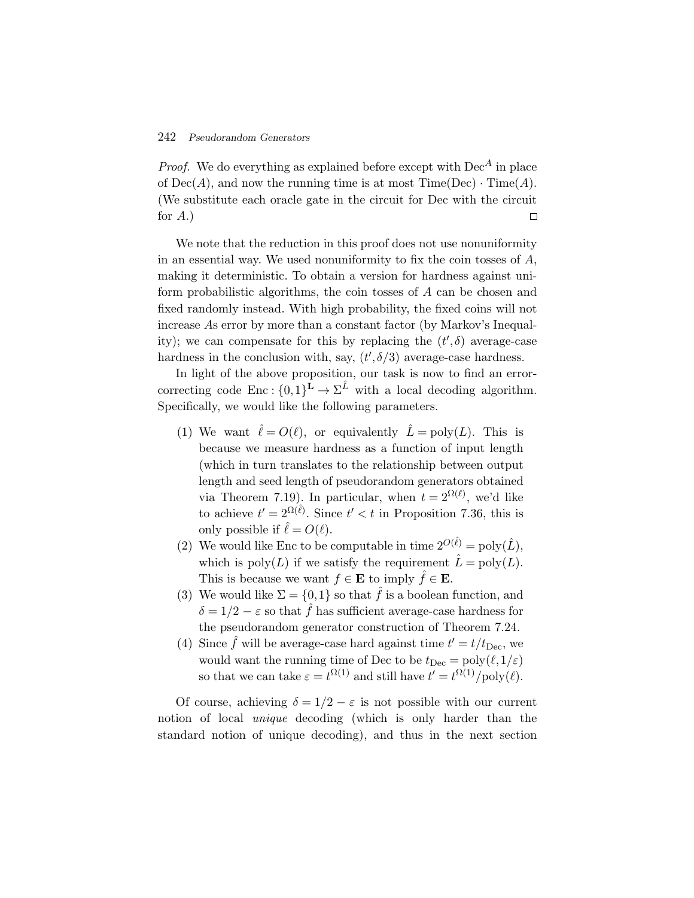*Proof.* We do everything as explained before except with  $Dec<sup>A</sup>$  in place of  $Dec(A)$ , and now the running time is at most  $Time(Dec) \cdot Time(A)$ . (We substitute each oracle gate in the circuit for Dec with the circuit for  $A$ .)  $\Box$ 

We note that the reduction in this proof does not use nonuniformity in an essential way. We used nonuniformity to fix the coin tosses of A, making it deterministic. To obtain a version for hardness against uniform probabilistic algorithms, the coin tosses of A can be chosen and fixed randomly instead. With high probability, the fixed coins will not increase As error by more than a constant factor (by Markov's Inequality); we can compensate for this by replacing the  $(t',\delta)$  average-case hardness in the conclusion with, say,  $(t', \delta/3)$  average-case hardness.

In light of the above proposition, our task is now to find an errorcorrecting code Enc :  $\{0,1\}^{\mathbf{L}} \to \Sigma^{\hat{L}}$  with a local decoding algorithm. Specifically, we would like the following parameters.

- (1) We want  $\ell = O(\ell)$ , or equivalently  $\hat{L} = \text{poly}(L)$ . This is because we measure hardness as a function of input length (which in turn translates to the relationship between output length and seed length of pseudorandom generators obtained via Theorem 7.19). In particular, when  $t = 2^{\Omega(\ell)}$ , we'd like to achieve  $t' = 2^{\Omega(\hat{\ell})}$ . Since  $t' < t$  in Proposition 7.36, this is only possible if  $\hat{\ell} = O(\ell)$ .
- (2) We would like Enc to be computable in time  $2^{O(\hat{\ell})} = \text{poly}(\hat{L}),$ which is  $poly(L)$  if we satisfy the requirement  $\hat{L} = poly(L)$ . This is because we want  $f \in \mathbf{E}$  to imply  $\hat{f} \in \mathbf{E}$ .
- (3) We would like  $\Sigma = \{0,1\}$  so that  $\hat{f}$  is a boolean function, and  $\delta = 1/2 - \varepsilon$  so that  $\hat{f}$  has sufficient average-case hardness for the pseudorandom generator construction of Theorem 7.24.
- (4) Since  $\hat{f}$  will be average-case hard against time  $t' = t/t_{\text{Dec}}$ , we would want the running time of Dec to be  $t_{\text{Dec}} = \text{poly}(\ell, 1/\varepsilon)$ so that we can take  $\varepsilon = t^{\Omega(1)}$  and still have  $t' = t^{\Omega(1)}/\text{poly}(\ell)$ .

Of course, achieving  $\delta = 1/2 - \varepsilon$  is not possible with our current notion of local *unique* decoding (which is only harder than the standard notion of unique decoding), and thus in the next section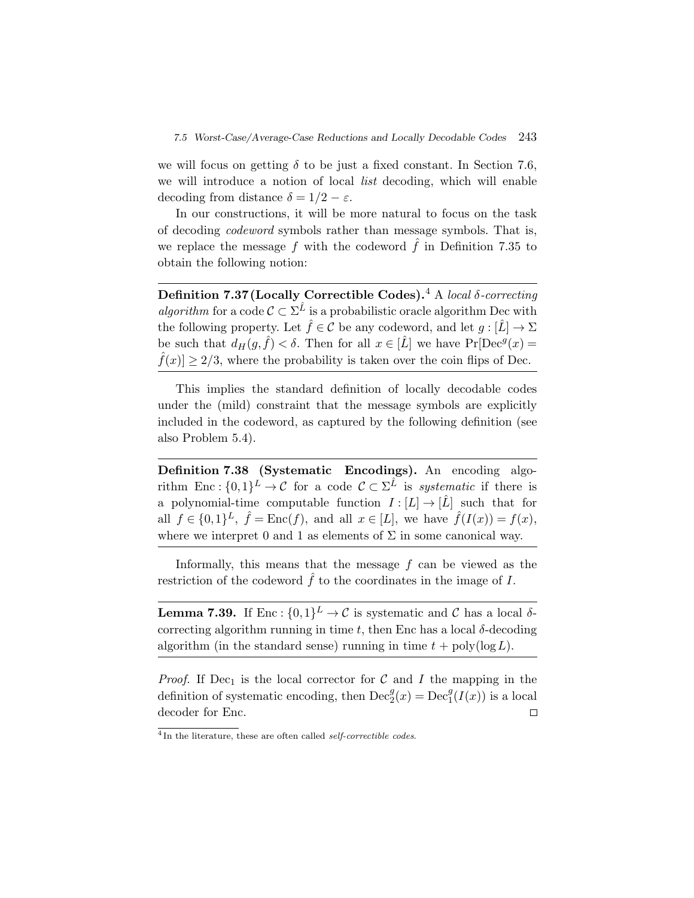we will focus on getting  $\delta$  to be just a fixed constant. In Section 7.6, we will introduce a notion of local *list* decoding, which will enable decoding from distance  $\delta = 1/2 - \varepsilon$ .

In our constructions, it will be more natural to focus on the task of decoding *codeword* symbols rather than message symbols. That is, we replace the message f with the codeword  $\hat{f}$  in Definition 7.35 to obtain the following notion:

**Definition 7.37(Locally Correctible Codes).**<sup>4</sup> A *local* δ*-correcting algorithm* for a code  $C \subset \Sigma^{\hat{L}}$  is a probabilistic oracle algorithm Dec with the following property. Let  $\hat{f} \in \mathcal{C}$  be any codeword, and let  $g : [\hat{L}] \to \Sigma$ be such that  $d_H(g, \hat{f}) < \delta$ . Then for all  $x \in [\hat{L}]$  we have  $Pr[Dec^g(x) =$  $|f(x)| \geq 2/3$ , where the probability is taken over the coin flips of Dec.

This implies the standard definition of locally decodable codes under the (mild) constraint that the message symbols are explicitly included in the codeword, as captured by the following definition (see also Problem 5.4).

**Definition 7.38 (Systematic Encodings).** An encoding algorithm Enc :  $\{0,1\}^L \to \mathcal{C}$  for a code  $\mathcal{C} \subset \Sigma^{\hat{L}}$  is *systematic* if there is a polynomial-time computable function  $I : [L] \to [\hat{L}]$  such that for all  $f \in \{0,1\}^L$ ,  $\hat{f} = \text{Enc}(f)$ , and all  $x \in [L]$ , we have  $\hat{f}(I(x)) = f(x)$ , where we interpret 0 and 1 as elements of  $\Sigma$  in some canonical way.

Informally, this means that the message f can be viewed as the restriction of the codeword  $\hat{f}$  to the coordinates in the image of I.

**Lemma 7.39.** If Enc :  $\{0,1\}^L \to C$  is systematic and C has a local  $\delta$ correcting algorithm running in time t, then Enc has a local  $\delta$ -decoding algorithm (in the standard sense) running in time  $t + \text{poly}(\log L)$ .

*Proof.* If Dec<sub>1</sub> is the local corrector for  $C$  and  $I$  the mapping in the definition of systematic encoding, then  $\text{Dec}_2^g(x) = \text{Dec}_1^g(I(x))$  is a local decoder for Enc.  $\Box$ 

<sup>&</sup>lt;sup>4</sup>In the literature, these are often called *self-correctible codes*.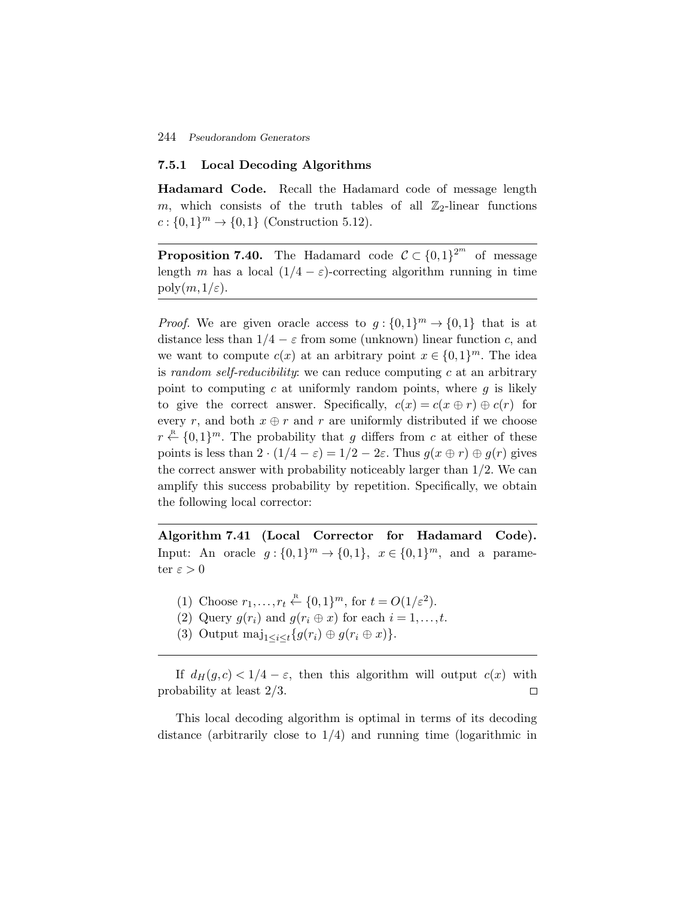#### **7.5.1 Local Decoding Algorithms**

**Hadamard Code.** Recall the Hadamard code of message length m, which consists of the truth tables of all  $\mathbb{Z}_2$ -linear functions  $c: \{0,1\}^m \to \{0,1\}$  (Construction 5.12).

**Proposition 7.40.** The Hadamard code  $C \subset \{0,1\}^{2^m}$  of message length m has a local  $(1/4 - \varepsilon)$ -correcting algorithm running in time poly $(m,1/\varepsilon)$ .

*Proof.* We are given oracle access to  $g: \{0,1\}^m \to \{0,1\}$  that is at distance less than  $1/4 - \varepsilon$  from some (unknown) linear function c, and we want to compute  $c(x)$  at an arbitrary point  $x \in \{0,1\}^m$ . The idea is *random self-reducibility*: we can reduce computing c at an arbitrary point to computing c at uniformly random points, where  $q$  is likely to give the correct answer. Specifically,  $c(x) = c(x \oplus r) \oplus c(r)$  for every r, and both  $x \oplus r$  and r are uniformly distributed if we choose  $r \stackrel{\text{R}}{\leftarrow} \{0,1\}^m$ . The probability that g differs from c at either of these points is less than  $2 \cdot (1/4 - \varepsilon) = 1/2 - 2\varepsilon$ . Thus  $g(x \oplus r) \oplus g(r)$  gives the correct answer with probability noticeably larger than 1/2. We can amplify this success probability by repetition. Specifically, we obtain the following local corrector:

**Algorithm 7.41 (Local Corrector for Hadamard Code).** Input: An oracle  $g: \{0,1\}^m \to \{0,1\}, \ x \in \{0,1\}^m$ , and a parameter  $\varepsilon > 0$ 

- (1) Choose  $r_1, \ldots, r_t \stackrel{\text{\tiny R}}{\leftarrow} \{0,1\}^m$ , for  $t = O(1/\varepsilon^2)$ .
- (2) Query  $q(r_i)$  and  $q(r_i \oplus x)$  for each  $i = 1, \ldots, t$ .
- (3) Output  $\text{maj}_{1 \leq i \leq t} \{g(r_i) \oplus g(r_i \oplus x)\}.$

If  $d_H(g,c) < 1/4 - \varepsilon$ , then this algorithm will output  $c(x)$  with probability at least 2/3.  $\Box$ 

This local decoding algorithm is optimal in terms of its decoding distance (arbitrarily close to  $1/4$ ) and running time (logarithmic in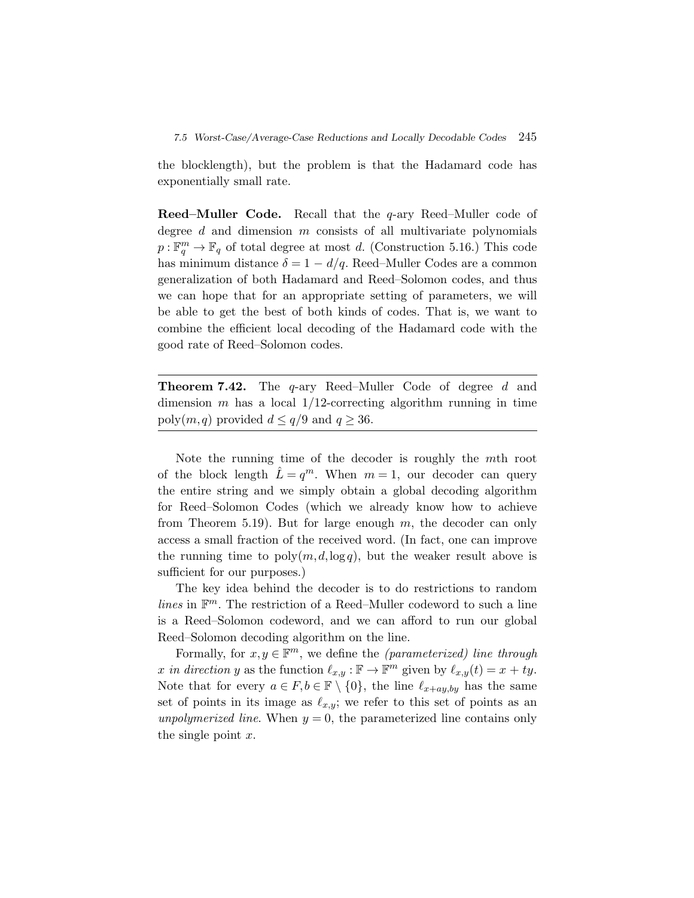the blocklength), but the problem is that the Hadamard code has exponentially small rate.

**Reed–Muller Code.** Recall that the q-ary Reed–Muller code of degree  $d$  and dimension  $m$  consists of all multivariate polynomials  $p:\mathbb{F}_q^m\to\mathbb{F}_q$  of total degree at most d. (Construction 5.16.) This code has minimum distance  $\delta = 1 - d/q$ . Reed–Muller Codes are a common generalization of both Hadamard and Reed–Solomon codes, and thus we can hope that for an appropriate setting of parameters, we will be able to get the best of both kinds of codes. That is, we want to combine the efficient local decoding of the Hadamard code with the good rate of Reed–Solomon codes.

**Theorem 7.42.** The q-ary Reed–Muller Code of degree d and dimension m has a local  $1/12$ -correcting algorithm running in time poly $(m,q)$  provided  $d \leq q/9$  and  $q \geq 36$ .

Note the running time of the decoder is roughly the mth root of the block length  $\hat{L} = q^m$ . When  $m = 1$ , our decoder can query the entire string and we simply obtain a global decoding algorithm for Reed–Solomon Codes (which we already know how to achieve from Theorem 5.19). But for large enough  $m$ , the decoder can only access a small fraction of the received word. (In fact, one can improve the running time to  $poly(m, d, \log q)$ , but the weaker result above is sufficient for our purposes.)

The key idea behind the decoder is to do restrictions to random *lines* in  $\mathbb{F}^m$ . The restriction of a Reed–Muller codeword to such a line is a Reed–Solomon codeword, and we can afford to run our global Reed–Solomon decoding algorithm on the line.

Formally, for  $x, y \in \mathbb{F}^m$ , we define the *(parameterized) line through* x in direction y as the function  $\ell_{x,y} : \mathbb{F} \to \mathbb{F}^m$  given by  $\ell_{x,y}(t) = x + ty$ . Note that for every  $a \in F, b \in \mathbb{F} \setminus \{0\}$ , the line  $\ell_{x+ay,by}$  has the same set of points in its image as  $\ell_{x,y}$ ; we refer to this set of points as an *unpolymerized line*. When  $y = 0$ , the parameterized line contains only the single point  $x$ .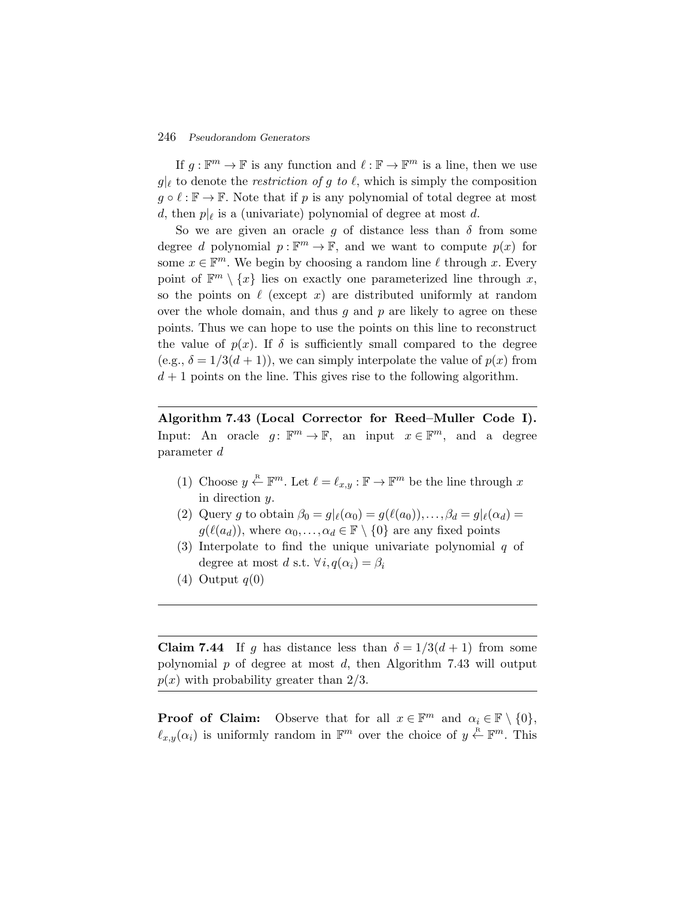If  $g: \mathbb{F}^m \to \mathbb{F}$  is any function and  $\ell: \mathbb{F} \to \mathbb{F}^m$  is a line, then we use  $g|_{\ell}$  to denote the *restriction of* g to  $\ell$ , which is simply the composition  $g \circ \ell : \mathbb{F} \to \mathbb{F}$ . Note that if p is any polynomial of total degree at most d, then  $p|_{\ell}$  is a (univariate) polynomial of degree at most d.

So we are given an oracle g of distance less than  $\delta$  from some degree d polynomial  $p : \mathbb{F}^m \to \mathbb{F}$ , and we want to compute  $p(x)$  for some  $x \in \mathbb{F}^m$ . We begin by choosing a random line  $\ell$  through x. Every point of  $\mathbb{F}^m \setminus \{x\}$  lies on exactly one parameterized line through x, so the points on  $\ell$  (except x) are distributed uniformly at random over the whole domain, and thus  $q$  and  $p$  are likely to agree on these points. Thus we can hope to use the points on this line to reconstruct the value of  $p(x)$ . If  $\delta$  is sufficiently small compared to the degree (e.g.,  $\delta = 1/3(d+1)$ ), we can simply interpolate the value of  $p(x)$  from  $d+1$  points on the line. This gives rise to the following algorithm.

**Algorithm 7.43 (Local Corrector for Reed–Muller Code I).** Input: An oracle  $g: \mathbb{F}^m \to \mathbb{F}$ , an input  $x \in \mathbb{F}^m$ , and a degree parameter d

- (1) Choose  $y \stackrel{\mathbb{R}}{\leftarrow} \mathbb{F}^m$ . Let  $\ell = \ell_{x,y} : \mathbb{F} \to \mathbb{F}^m$  be the line through x in direction y.
- (2) Query g to obtain  $\beta_0 = g|_{\ell}(\alpha_0) = g(\ell(a_0)), \ldots, \beta_d = g|_{\ell}(\alpha_d) =$  $g(\ell(a_d))$ , where  $\alpha_0,\ldots,\alpha_d \in \mathbb{F} \setminus \{0\}$  are any fixed points
- (3) Interpolate to find the unique univariate polynomial  $q$  of degree at most d s.t.  $\forall i, q(\alpha_i) = \beta_i$
- $(4)$  Output  $q(0)$

**Claim 7.44** If g has distance less than  $\delta = 1/3(d+1)$  from some polynomial p of degree at most d, then Algorithm 7.43 will output  $p(x)$  with probability greater than  $2/3$ .

**Proof of Claim:** Observe that for all  $x \in \mathbb{F}^m$  and  $\alpha_i \in \mathbb{F} \setminus \{0\},$  $\ell_{x,y}(\alpha_i)$  is uniformly random in  $\mathbb{F}^m$  over the choice of  $y \stackrel{\text{R}}{\leftarrow} \mathbb{F}^m$ . This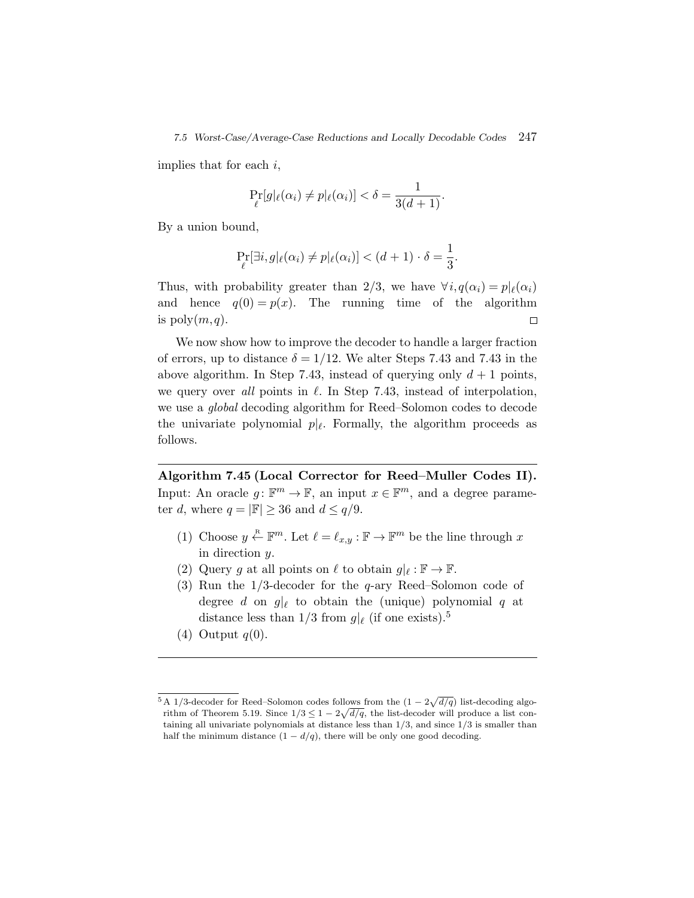implies that for each  $i$ ,

$$
\Pr_{\ell}[g|\ell(\alpha_i) \neq p|\ell(\alpha_i)] < \delta = \frac{1}{3(d+1)}.
$$

By a union bound,

$$
\Pr_{\ell}[\exists i, g |_{\ell}(\alpha_i) \neq p |_{\ell}(\alpha_i)] < (d+1) \cdot \delta = \frac{1}{3}.
$$

Thus, with probability greater than 2/3, we have  $\forall i, q(\alpha_i) = p|_{\ell}(\alpha_i)$ and hence  $q(0) = p(x)$ . The running time of the algorithm is  $poly(m,q)$ .  $\Box$ 

We now show how to improve the decoder to handle a larger fraction of errors, up to distance  $\delta = 1/12$ . We alter Steps 7.43 and 7.43 in the above algorithm. In Step 7.43, instead of querying only  $d+1$  points, we query over *all* points in  $\ell$ . In Step 7.43, instead of interpolation, we use a *global* decoding algorithm for Reed–Solomon codes to decode the univariate polynomial  $p|_{\ell}$ . Formally, the algorithm proceeds as follows.

**Algorithm 7.45 (Local Corrector for Reed–Muller Codes II).** Input: An oracle  $g: \mathbb{F}^m \to \mathbb{F}$ , an input  $x \in \mathbb{F}^m$ , and a degree parameter d, where  $q = |\mathbb{F}| \geq 36$  and  $d \leq q/9$ .

- (1) Choose  $y \stackrel{\text{R}}{\leftarrow} \mathbb{F}^m$ . Let  $\ell = \ell_{x,y} : \mathbb{F} \to \mathbb{F}^m$  be the line through x in direction y.
- (2) Query g at all points on  $\ell$  to obtain  $g|_{\ell} : \mathbb{F} \to \mathbb{F}$ .
- (3) Run the 1/3-decoder for the q-ary Reed–Solomon code of degree d on  $g|_{\ell}$  to obtain the (unique) polynomial q at distance less than  $1/3$  from  $g|_{\ell}$  (if one exists).<sup>5</sup>
- (4) Output  $q(0)$ .

<sup>&</sup>lt;sup>5</sup> A 1/3-decoder for Reed–Solomon codes follows from the  $(1 - 2\sqrt{d/q})$  list-decoding algorithm of Theorem 5.19. Since  $1/3 \leq 1-2\sqrt{d/q}$ , the list-decoder will produce a list containing all univariate polynomials at distance less than  $1/3$ , and since  $1/3$  is smaller than half the minimum distance  $(1 - d/q)$ , there will be only one good decoding.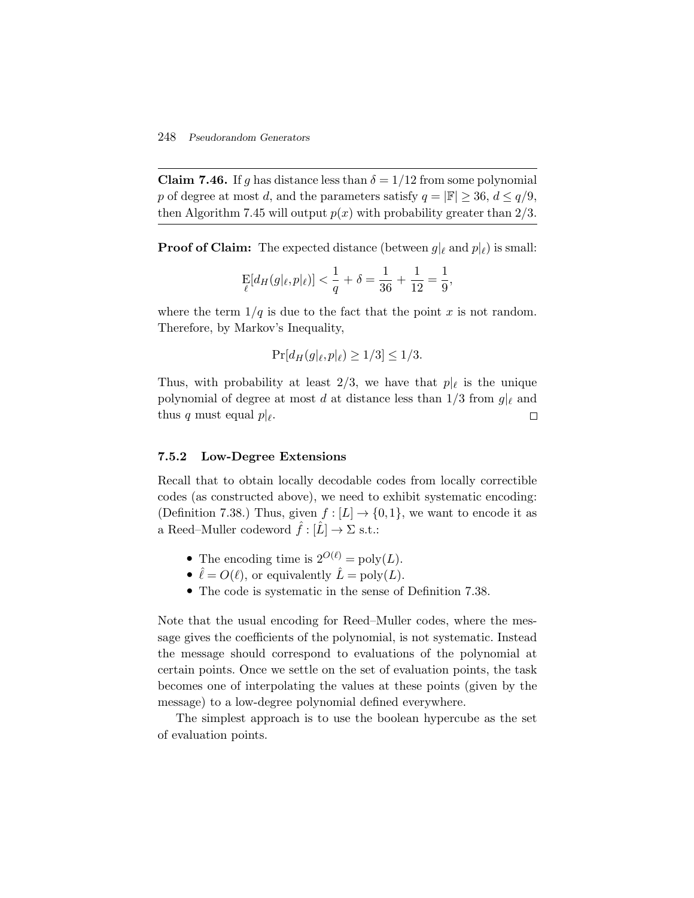**Claim 7.46.** If g has distance less than  $\delta = 1/12$  from some polynomial p of degree at most d, and the parameters satisfy  $q = |\mathbb{F}| \geq 36$ ,  $d \leq q/9$ , then Algorithm 7.45 will output  $p(x)$  with probability greater than 2/3.

**Proof of Claim:** The expected distance (between  $g|_{\ell}$  and  $p|_{\ell}$ ) is small:

$$
\mathop{\mathrm{E}}_{{\ell}}[d_H(g|_{\ell},p|_{\ell})]<\frac{1}{q}+\delta=\frac{1}{36}+\frac{1}{12}=\frac{1}{9},
$$

where the term  $1/q$  is due to the fact that the point x is not random. Therefore, by Markov's Inequality,

$$
\Pr[d_H(g|_{\ell}, p|_{\ell}) \ge 1/3] \le 1/3.
$$

Thus, with probability at least 2/3, we have that  $p|_{\ell}$  is the unique polynomial of degree at most d at distance less than  $1/3$  from  $g|_{\ell}$  and thus q must equal  $p|_{\ell}$ .  $\Box$ 

#### **7.5.2 Low-Degree Extensions**

Recall that to obtain locally decodable codes from locally correctible codes (as constructed above), we need to exhibit systematic encoding: (Definition 7.38.) Thus, given  $f : [L] \to \{0,1\}$ , we want to encode it as a Reed–Muller codeword  $\hat{f} : [\hat{L}] \to \Sigma$  s.t.:

- The encoding time is  $2^{O(\ell)} = \text{poly}(L)$ .
- $\hat{\ell} = O(\ell)$ , or equivalently  $\hat{L} = \text{poly}(L)$ .
- The code is systematic in the sense of Definition 7.38.

Note that the usual encoding for Reed–Muller codes, where the message gives the coefficients of the polynomial, is not systematic. Instead the message should correspond to evaluations of the polynomial at certain points. Once we settle on the set of evaluation points, the task becomes one of interpolating the values at these points (given by the message) to a low-degree polynomial defined everywhere.

The simplest approach is to use the boolean hypercube as the set of evaluation points.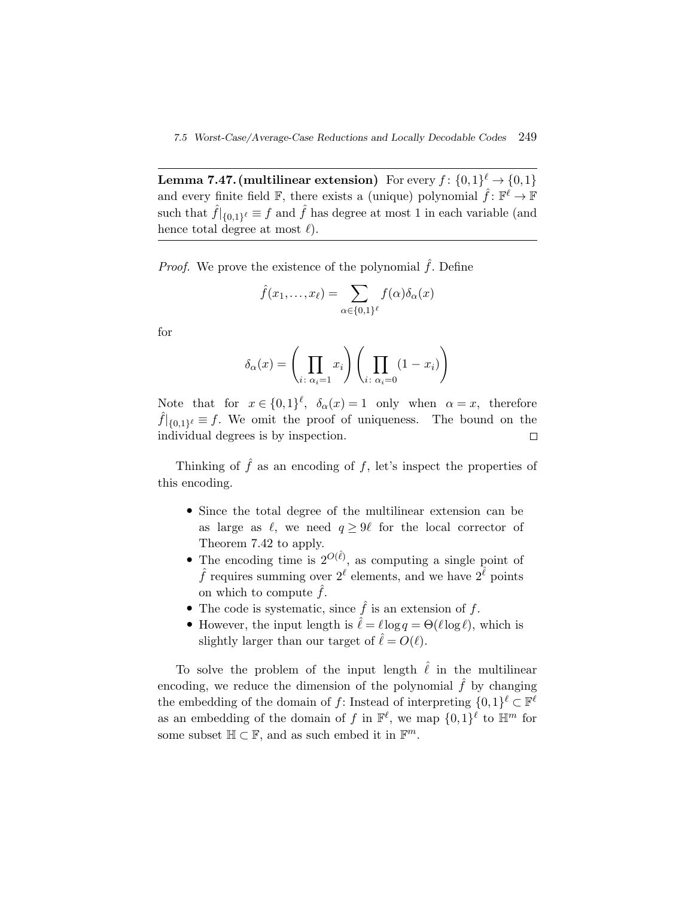**Lemma 7.47. (multilinear extension)** For every  $f: \{0,1\}^{\ell} \to \{0,1\}$ and every finite field F, there exists a (unique) polynomial  $\hat{f}: \mathbb{F}^{\ell} \to \mathbb{F}$ such that  $\hat{f}|_{\{0,1\}^{\ell}} \equiv f$  and  $\hat{f}$  has degree at most 1 in each variable (and hence total degree at most  $\ell$ ).  $\hat{f}(x_1,...,x_\ell) = \sum_{\ell=1}^{\infty}$ 

*Proof.* We prove the existence of the polynomial  $\hat{f}$ . Define

$$
\hat{f}(x_1,\ldots,x_\ell) = \sum_{\alpha \in \{0,1\}^\ell} f(\alpha)\delta_\alpha(x)
$$

for

$$
\hat{f}(x_1, \dots, x_\ell) = \sum_{\alpha \in \{0, 1\}^\ell} f(\alpha) \delta_\alpha(x)
$$

$$
\delta_\alpha(x) = \left(\prod_{i \colon \alpha_i = 1} x_i\right) \left(\prod_{i \colon \alpha_i = 0} (1 - x_i)\right)
$$

Note that for  $x \in \{0,1\}^{\ell}$ ,  $\delta_{\alpha}(x) = 1$  only when  $\alpha = x$ , therefore  $\hat{f}|_{\{0,1\}^{\ell}} \equiv f$ . We omit the proof of uniqueness. The bound on the individual degrees is by inspection.  $\Box$ 

Thinking of  $\hat{f}$  as an encoding of f, let's inspect the properties of this encoding.

- Since the total degree of the multilinear extension can be as large as  $\ell$ , we need  $q \ge 9\ell$  for the local corrector of Theorem 7.42 to apply.
- The encoding time is  $2^{O(\hat{\ell})}$ , as computing a single point of  $\hat{f}$  requires summing over  $2^{\ell}$  elements, and we have  $2^{\hat{\ell}}$  points on which to compute  $\hat{f}$ .
- The code is systematic, since  $\hat{f}$  is an extension of  $f$ .
- However, the input length is  $\hat{\ell} = \ell \log q = \Theta(\ell \log \ell)$ , which is slightly larger than our target of  $\hat{\ell} = O(\ell)$ .

To solve the problem of the input length  $\hat{\ell}$  in the multilinear encoding, we reduce the dimension of the polynomial  $\hat{f}$  by changing the embedding of the domain of f: Instead of interpreting  $\{0,1\}^{\ell} \subset \mathbb{F}^{\ell}$ as an embedding of the domain of f in  $\mathbb{F}^{\ell}$ , we map  $\{0,1\}^{\ell}$  to  $\mathbb{H}^m$  for some subset  $\mathbb{H} \subset \mathbb{F}$ , and as such embed it in  $\mathbb{F}^m$ .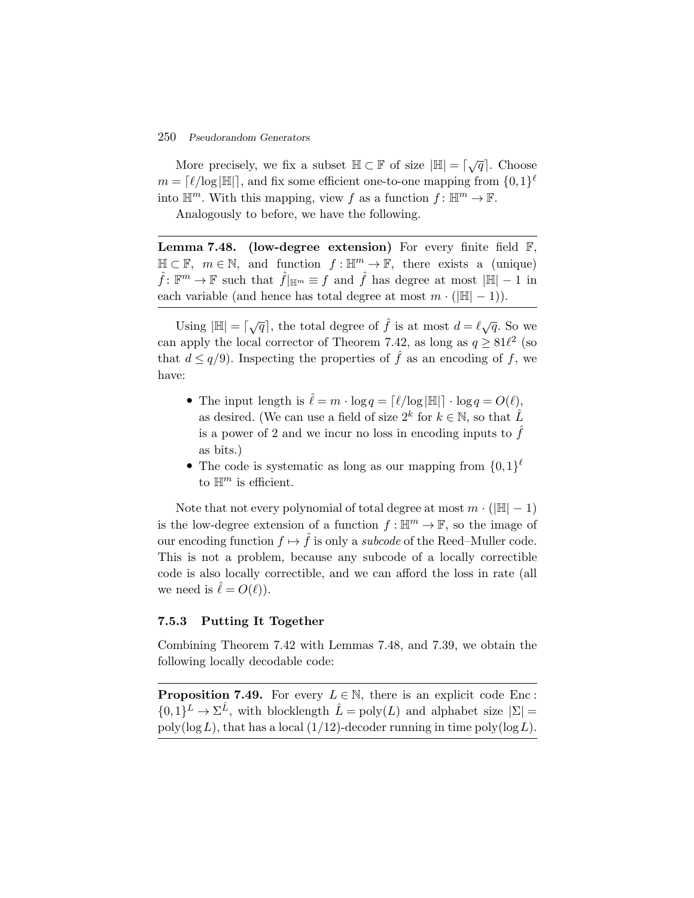More precisely, we fix a subset  $\mathbb{H} \subset \mathbb{F}$  of size  $|\mathbb{H}| = \lceil \sqrt{q} \rceil$ . Choose  $m = [\ell/\log|\mathbb{H}|]$ , and fix some efficient one-to-one mapping from  $\{0,1\}^{\ell}$ into  $\mathbb{H}^m$ . With this mapping, view f as a function  $f: \mathbb{H}^m \to \mathbb{F}$ .

Analogously to before, we have the following.

**Lemma 7.48. (low-degree extension)** For every finite field F,  $\mathbb{H} \subset \mathbb{F}$ ,  $m \in \mathbb{N}$ , and function  $f : \mathbb{H}^m \to \mathbb{F}$ , there exists a (unique)  $\hat{f}$ :  $\mathbb{F}^m \to \mathbb{F}$  such that  $\hat{f}|_{\mathbb{H}^m} \equiv f$  and  $\hat{f}$  has degree at most  $|\mathbb{H}| - 1$  in each variable (and hence has total degree at most  $m \cdot (|\mathbb{H}| - 1)$ ).

Using  $|\mathbb{H}| = \lceil \sqrt{q} \rceil$ , the total degree of  $\hat{f}$  is at most  $d = \ell \sqrt{q}$ . So we can apply the local corrector of Theorem 7.42, as long as  $q \geq 81\ell^2$  (so that  $d \leq q/9$ . Inspecting the properties of  $\hat{f}$  as an encoding of f, we have:

- The input length is  $\hat{\ell} = m \cdot \log q = \lceil \ell / \log |\mathbb{H}| \rceil \cdot \log q = O(\ell)$ , as desired. (We can use a field of size  $2^k$  for  $k \in \mathbb{N}$ , so that  $\hat{L}$ is a power of 2 and we incur no loss in encoding inputs to  $\tilde{f}$ as bits.)
- The code is systematic as long as our mapping from  $\{0,1\}^{\ell}$ to  $\mathbb{H}^m$  is efficient.

Note that not every polynomial of total degree at most  $m \cdot (|\mathbb{H}| - 1)$ is the low-degree extension of a function  $f : \mathbb{H}^m \to \mathbb{F}$ , so the image of our encoding function  $f \mapsto \hat{f}$  is only a *subcode* of the Reed–Muller code. This is not a problem, because any subcode of a locally correctible code is also locally correctible, and we can afford the loss in rate (all we need is  $\hat{\ell} = O(\ell)$ .

#### **7.5.3 Putting It Together**

Combining Theorem 7.42 with Lemmas 7.48, and 7.39, we obtain the following locally decodable code:

**Proposition 7.49.** For every  $L \in \mathbb{N}$ , there is an explicit code Enc:  $\{0,1\}^L \to \Sigma^{\hat{L}}$ , with blocklength  $\hat{L} = \text{poly}(L)$  and alphabet size  $|\Sigma| =$  $poly(\log L)$ , that has a local (1/12)-decoder running in time  $poly(\log L)$ .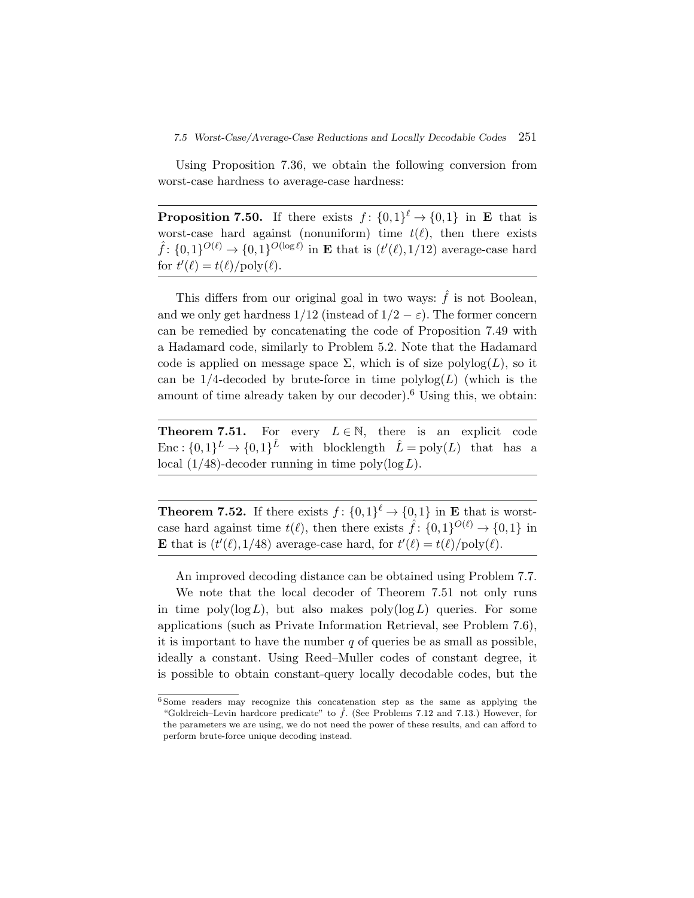## *7.5 Worst-Case/Average-Case Reductions and Locally Decodable Codes* 251

Using Proposition 7.36, we obtain the following conversion from worst-case hardness to average-case hardness:

**Proposition 7.50.** If there exists  $f: \{0,1\}^{\ell} \to \{0,1\}$  in **E** that is worst-case hard against (nonuniform) time  $t(\ell)$ , then there exists  $\hat{f}$ :  $\{0,1\}^{O(\ell)} \rightarrow \{0,1\}^{O(\log \ell)}$  in **E** that is  $(t'(\ell),1/12)$  average-case hard for  $t'(\ell) = t(\ell)/\text{poly}(\ell)$ .

This differs from our original goal in two ways:  $\hat{f}$  is not Boolean, and we only get hardness  $1/12$  (instead of  $1/2 - \varepsilon$ ). The former concern can be remedied by concatenating the code of Proposition 7.49 with a Hadamard code, similarly to Problem 5.2. Note that the Hadamard code is applied on message space  $\Sigma$ , which is of size polylog(L), so it can be  $1/4$ -decoded by brute-force in time  $\text{polylog}(L)$  (which is the amount of time already taken by our decoder).<sup>6</sup> Using this, we obtain:

**Theorem 7.51.** For every  $L \in \mathbb{N}$ , there is an explicit code Enc :  $\{0,1\}^L \rightarrow \{0,1\}^L$  with blocklength  $\hat{L} = \text{poly}(L)$  that has a local  $(1/48)$ -decoder running in time poly $(\log L)$ .

**Theorem 7.52.** If there exists  $f: \{0,1\}^{\ell} \to \{0,1\}$  in **E** that is worstcase hard against time  $t(\ell)$ , then there exists  $\hat{f}$ :  $\{0,1\}^{O(\ell)} \rightarrow \{0,1\}$  in **E** that is  $(t'(\ell), 1/48)$  average-case hard, for  $t'(\ell) = t(\ell)/poly(\ell)$ .

An improved decoding distance can be obtained using Problem 7.7.

We note that the local decoder of Theorem 7.51 not only runs in time  $\text{poly}(\log L)$ , but also makes  $\text{poly}(\log L)$  queries. For some applications (such as Private Information Retrieval, see Problem 7.6), it is important to have the number  $q$  of queries be as small as possible, ideally a constant. Using Reed–Muller codes of constant degree, it is possible to obtain constant-query locally decodable codes, but the

<sup>6</sup> Some readers may recognize this concatenation step as the same as applying the "Goldreich-Levin hardcore predicate" to  $\hat{f}$ . (See Problems 7.12 and 7.13.) However, for the parameters we are using, we do not need the power of these results, and can afford to perform brute-force unique decoding instead.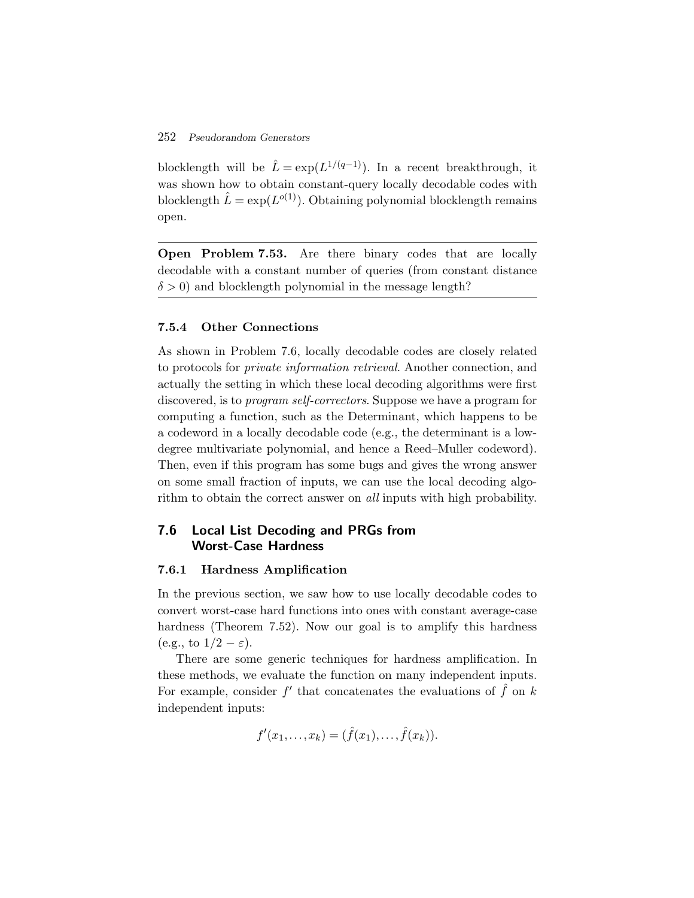blocklength will be  $\hat{L} = \exp(L^{1/(q-1)})$ . In a recent breakthrough, it was shown how to obtain constant-query locally decodable codes with blocklength  $\hat{L} = \exp(L^{o(1)})$ . Obtaining polynomial blocklength remains open.

**Open Problem 7.53.** Are there binary codes that are locally decodable with a constant number of queries (from constant distance  $\delta > 0$ ) and blocklength polynomial in the message length?

## **7.5.4 Other Connections**

As shown in Problem 7.6, locally decodable codes are closely related to protocols for *private information retrieval*. Another connection, and actually the setting in which these local decoding algorithms were first discovered, is to *program self-correctors*. Suppose we have a program for computing a function, such as the Determinant, which happens to be a codeword in a locally decodable code (e.g., the determinant is a lowdegree multivariate polynomial, and hence a Reed–Muller codeword). Then, even if this program has some bugs and gives the wrong answer on some small fraction of inputs, we can use the local decoding algorithm to obtain the correct answer on *all* inputs with high probability.

## **7.6 Local List Decoding and PRGs from Worst-Case Hardness**

#### **7.6.1 Hardness Amplification**

In the previous section, we saw how to use locally decodable codes to convert worst-case hard functions into ones with constant average-case hardness (Theorem 7.52). Now our goal is to amplify this hardness (e.g., to  $1/2 - \varepsilon$ ).

There are some generic techniques for hardness amplification. In these methods, we evaluate the function on many independent inputs. For example, consider  $f'$  that concatenates the evaluations of  $\hat{f}$  on k independent inputs:

$$
f'(x_1,...,x_k) = (\hat{f}(x_1),...,\hat{f}(x_k)).
$$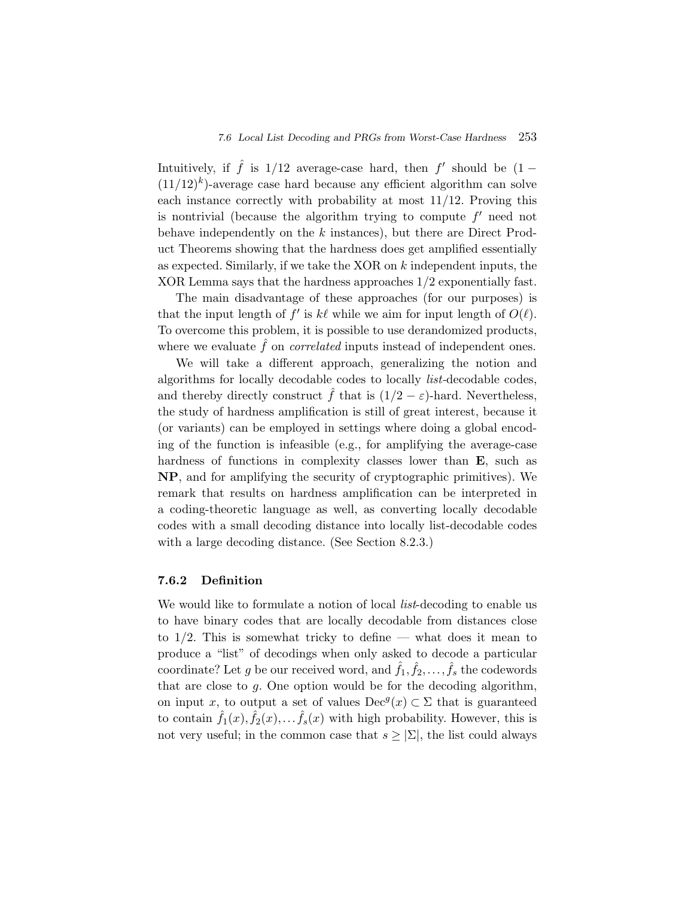Intuitively, if  $\hat{f}$  is 1/12 average-case hard, then f' should be  $(1 (11/12)^k$ -average case hard because any efficient algorithm can solve each instance correctly with probability at most 11/12. Proving this is nontrivial (because the algorithm trying to compute  $f'$  need not behave independently on the  $k$  instances), but there are Direct Product Theorems showing that the hardness does get amplified essentially as expected. Similarly, if we take the XOR on k independent inputs, the XOR Lemma says that the hardness approaches 1/2 exponentially fast.

The main disadvantage of these approaches (for our purposes) is that the input length of f' is k $\ell$  while we aim for input length of  $O(\ell)$ . To overcome this problem, it is possible to use derandomized products, where we evaluate  $\hat{f}$  on *correlated* inputs instead of independent ones.

We will take a different approach, generalizing the notion and algorithms for locally decodable codes to locally *list-*decodable codes, and thereby directly construct  $\hat{f}$  that is  $(1/2 - \varepsilon)$ -hard. Nevertheless, the study of hardness amplification is still of great interest, because it (or variants) can be employed in settings where doing a global encoding of the function is infeasible (e.g., for amplifying the average-case hardness of functions in complexity classes lower than **E**, such as **NP**, and for amplifying the security of cryptographic primitives). We remark that results on hardness amplification can be interpreted in a coding-theoretic language as well, as converting locally decodable codes with a small decoding distance into locally list-decodable codes with a large decoding distance. (See Section 8.2.3.)

#### **7.6.2 Definition**

We would like to formulate a notion of local *list*-decoding to enable us to have binary codes that are locally decodable from distances close to  $1/2$ . This is somewhat tricky to define — what does it mean to produce a "list" of decodings when only asked to decode a particular coordinate? Let g be our received word, and  $\hat{f}_1, \hat{f}_2, \ldots, \hat{f}_s$  the codewords that are close to  $g$ . One option would be for the decoding algorithm, on input x, to output a set of values  $\text{Dec}^g(x) \subset \Sigma$  that is guaranteed to contain  $\hat{f}_1(x), \hat{f}_2(x), \dots, \hat{f}_s(x)$  with high probability. However, this is not very useful; in the common case that  $s \geq |\Sigma|$ , the list could always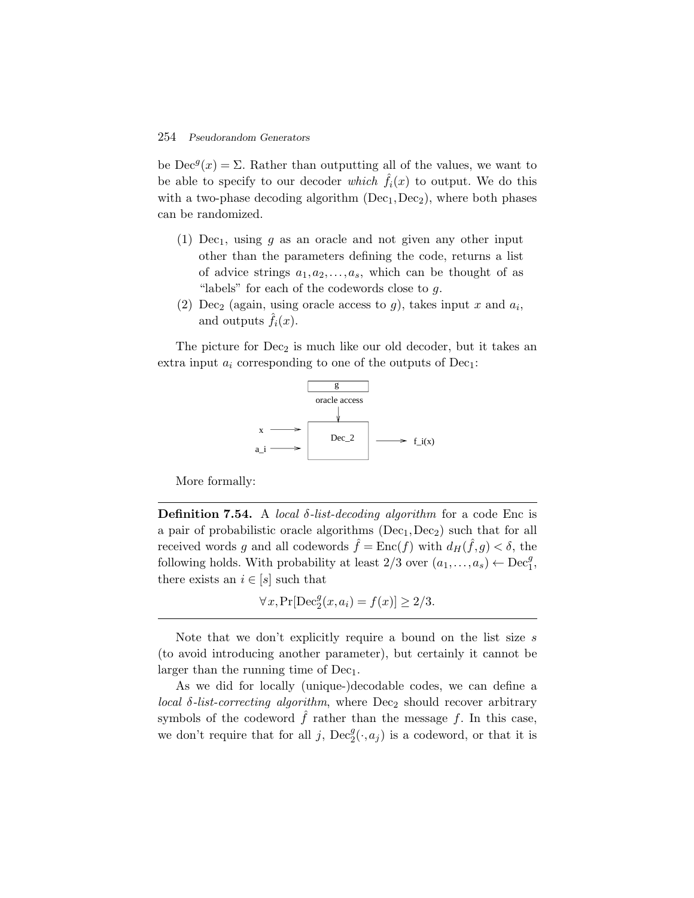be  $\text{Dec}^g(x) = \Sigma$ . Rather than outputting all of the values, we want to be able to specify to our decoder *which*  $\hat{f}_i(x)$  to output. We do this with a two-phase decoding algorithm  $(Dec<sub>1</sub>, Dec<sub>2</sub>)$ , where both phases can be randomized.

- (1)  $Dec_1$ , using g as an oracle and not given any other input other than the parameters defining the code, returns a list of advice strings  $a_1, a_2, \ldots, a_s$ , which can be thought of as "labels" for each of the codewords close to  $q$ .
- (2) Dec<sub>2</sub> (again, using oracle access to g), takes input x and  $a_i$ , and outputs  $f_i(x)$ .

The picture for  $Dec_2$  is much like our old decoder, but it takes an extra input  $a_i$  corresponding to one of the outputs of Dec<sub>1</sub>:



More formally:

**Definition 7.54.** A *local*  $\delta$ *-list-decoding algorithm* for a code Enc is a pair of probabilistic oracle algorithms  $(Dec_1, Dec_2)$  such that for all received words g and all codewords  $\hat{f} = \text{Enc}(f)$  with  $d_H(\hat{f},g) < \delta$ , the following holds. With probability at least  $2/3$  over  $(a_1, \ldots, a_s) \leftarrow \text{Dec}_1^g$ , there exists an  $i \in [s]$  such that

$$
\forall x, \Pr[\text{Dec}_2^g(x, a_i) = f(x)] \ge 2/3.
$$

Note that we don't explicitly require a bound on the list size s (to avoid introducing another parameter), but certainly it cannot be larger than the running time of  $Dec_1$ .

As we did for locally (unique-)decodable codes, we can define a *local*  $\delta$ -*list-correcting algorithm*, where  $\text{Dec}_2$  should recover arbitrary symbols of the codeword  $f$  rather than the message  $f$ . In this case, we don't require that for all j,  $\text{Dec}_2^g(\cdot, a_j)$  is a codeword, or that it is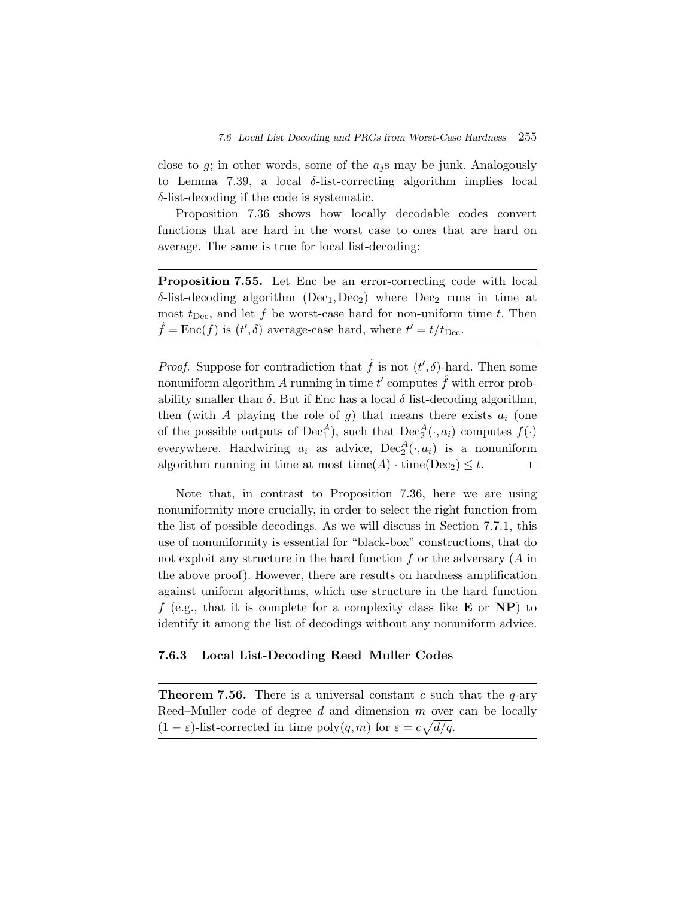close to g; in other words, some of the  $a_i$ s may be junk. Analogously to Lemma 7.39, a local  $\delta$ -list-correcting algorithm implies local  $\delta$ -list-decoding if the code is systematic.

Proposition 7.36 shows how locally decodable codes convert functions that are hard in the worst case to ones that are hard on average. The same is true for local list-decoding:

**Proposition 7.55.** Let Enc be an error-correcting code with local  $\delta$ -list-decoding algorithm (Dec<sub>1</sub>, Dec<sub>2</sub>) where Dec<sub>2</sub> runs in time at most  $t_{\text{Dec}}$ , and let f be worst-case hard for non-uniform time t. Then  $\hat{f} = \text{Enc}(f)$  is  $(t', \delta)$  average-case hard, where  $t' = t/t_{\text{Dec}}$ .

*Proof.* Suppose for contradiction that  $\hat{f}$  is not  $(t', \delta)$ -hard. Then some nonuniform algorithm  $A$  running in time  $t'$  computes  $\hat{f}$  with error probability smaller than  $\delta$ . But if Enc has a local  $\delta$  list-decoding algorithm, then (with A playing the role of q) that means there exists  $a_i$  (one of the possible outputs of  $\text{Dec}_1^A$ ), such that  $\text{Dec}_2^A(\cdot, a_i)$  computes  $f(\cdot)$ everywhere. Hardwiring  $a_i$  as advice,  $Dec_2^A(\cdot, a_i)$  is a nonuniform algorithm running in time at most time( $A$ ) · time( $Dec_2$ )  $\leq t$ .  $\Box$ 

Note that, in contrast to Proposition 7.36, here we are using nonuniformity more crucially, in order to select the right function from the list of possible decodings. As we will discuss in Section 7.7.1, this use of nonuniformity is essential for "black-box" constructions, that do not exploit any structure in the hard function  $f$  or the adversary  $(A \text{ in}$ the above proof). However, there are results on hardness amplification against uniform algorithms, which use structure in the hard function f (e.g., that it is complete for a complexity class like **E** or **NP**) to identify it among the list of decodings without any nonuniform advice.

# **7.6.3 Local List-Decoding Reed–Muller Codes**

**Theorem 7.56.** There is a universal constant c such that the  $q$ -ary Reed–Muller code of degree  $d$  and dimension  $m$  over can be locally  $(1 - \varepsilon)$ -list-corrected in time poly $(q, m)$  for  $\varepsilon = c \sqrt{d/q}$ .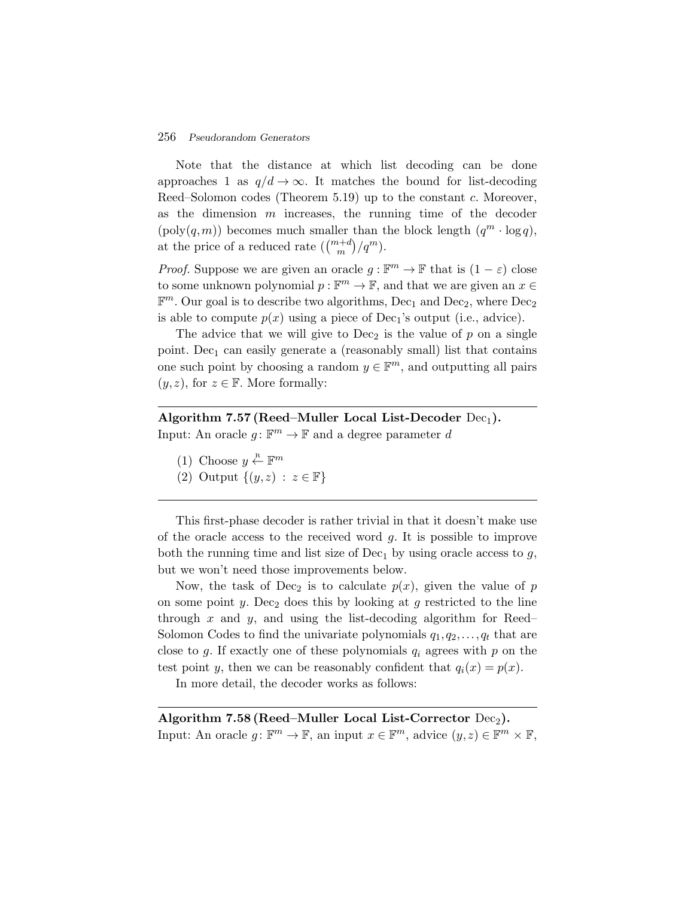Note that the distance at which list decoding can be done approaches 1 as  $q/d \rightarrow \infty$ . It matches the bound for list-decoding Reed–Solomon codes (Theorem 5.19) up to the constant c. Moreover, as the dimension  $m$  increases, the running time of the decoder  $(poly(q,m))$  becomes much smaller than the block length  $(q^m \cdot \log q)$ , approaches 1 as  $q/d \to \infty$ . It matches t<br>Reed–Solomon codes (Theorem 5.19) up t<br>as the dimension m increases, the run<br>(poly(q,m)) becomes much smaller than t<br>at the price of a reduced rate  $\binom{m+d}{m}/q^m$ .

*Proof.* Suppose we are given an oracle  $q : \mathbb{F}^m \to \mathbb{F}$  that is  $(1 - \varepsilon)$  close to some unknown polynomial  $p : \mathbb{F}^m \to \mathbb{F}$ , and that we are given an  $x \in$  $\mathbb{F}^m$ . Our goal is to describe two algorithms, Dec<sub>1</sub> and Dec<sub>2</sub>, where Dec<sub>2</sub> is able to compute  $p(x)$  using a piece of Dec<sub>1</sub>'s output (i.e., advice).

The advice that we will give to  $Dec_2$  is the value of p on a single point. Dec<sub>1</sub> can easily generate a (reasonably small) list that contains one such point by choosing a random  $y \in \mathbb{F}^m$ , and outputting all pairs  $(y, z)$ , for  $z \in \mathbb{F}$ . More formally:

# Algorithm 7.57 (Reed–Muller Local List-Decoder Dec<sub>1</sub>). Input: An oracle  $g: \mathbb{F}^m \to \mathbb{F}$  and a degree parameter d

- (1) Choose  $y \stackrel{\text{R}}{\leftarrow} \mathbb{F}^m$
- (2) Output  $\{(y,z) : z \in \mathbb{F}\}\)$

This first-phase decoder is rather trivial in that it doesn't make use of the oracle access to the received word  $g$ . It is possible to improve both the running time and list size of  $Dec<sub>1</sub>$  by using oracle access to g, but we won't need those improvements below.

Now, the task of Dec<sub>2</sub> is to calculate  $p(x)$ , given the value of p on some point y. Dec<sub>2</sub> does this by looking at g restricted to the line through x and y, and using the list-decoding algorithm for Reed– Solomon Codes to find the univariate polynomials  $q_1, q_2, \ldots, q_t$  that are close to g. If exactly one of these polynomials  $q_i$  agrees with p on the test point y, then we can be reasonably confident that  $q_i(x) = p(x)$ .

In more detail, the decoder works as follows:

Algorithm 7.58 (Reed–Muller Local List-Corrector  $Dec_2$ ). Input: An oracle  $g: \mathbb{F}^m \to \mathbb{F}$ , an input  $x \in \mathbb{F}^m$ , advice  $(y, z) \in \mathbb{F}^m \times \mathbb{F}$ ,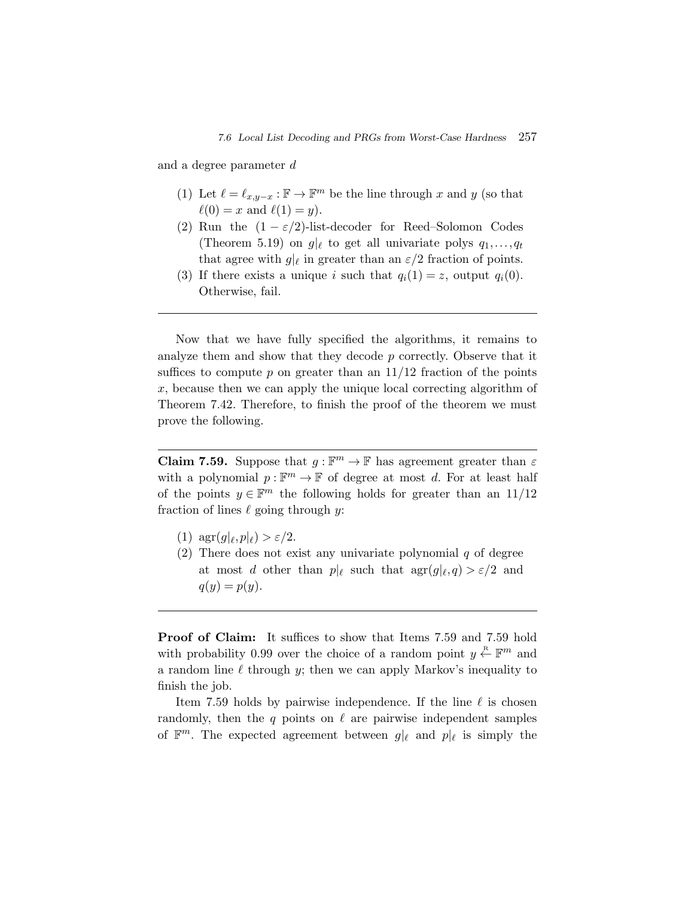and a degree parameter d

- (1) Let  $\ell = \ell_{x,y-x} : \mathbb{F} \to \mathbb{F}^m$  be the line through x and y (so that  $\ell(0) = x$  and  $\ell(1) = y$ ).
- (2) Run the  $(1 \varepsilon/2)$ -list-decoder for Reed–Solomon Codes (Theorem 5.19) on  $g|_{\ell}$  to get all univariate polys  $q_1, \ldots, q_t$ that agree with  $g|_{\ell}$  in greater than an  $\varepsilon/2$  fraction of points.
- (3) If there exists a unique i such that  $q_i(1) = z$ , output  $q_i(0)$ . Otherwise, fail.

Now that we have fully specified the algorithms, it remains to analyze them and show that they decode p correctly. Observe that it suffices to compute p on greater than an  $11/12$  fraction of the points x, because then we can apply the unique local correcting algorithm of Theorem 7.42. Therefore, to finish the proof of the theorem we must prove the following.

**Claim 7.59.** Suppose that  $q : \mathbb{F}^m \to \mathbb{F}$  has agreement greater than  $\varepsilon$ with a polynomial  $p : \mathbb{F}^m \to \mathbb{F}$  of degree at most d. For at least half of the points  $y \in \mathbb{F}^m$  the following holds for greater than an  $11/12$ fraction of lines  $\ell$  going through y:

- (1)  $\arg(q|\ell, p|\ell) > \varepsilon/2$ .
- (2) There does not exist any univariate polynomial  $q$  of degree at most d other than  $p|_{\ell}$  such that  $\arg(g|_{\ell},q) > \varepsilon/2$  and  $q(y) = p(y).$

**Proof of Claim:** It suffices to show that Items 7.59 and 7.59 hold with probability 0.99 over the choice of a random point  $y \stackrel{R}{\leftarrow} \mathbb{F}^m$  and a random line  $\ell$  through  $y$ ; then we can apply Markov's inequality to finish the job.

Item 7.59 holds by pairwise independence. If the line  $\ell$  is chosen randomly, then the q points on  $\ell$  are pairwise independent samples of  $\mathbb{F}^m$ . The expected agreement between  $g|_{\ell}$  and  $p|_{\ell}$  is simply the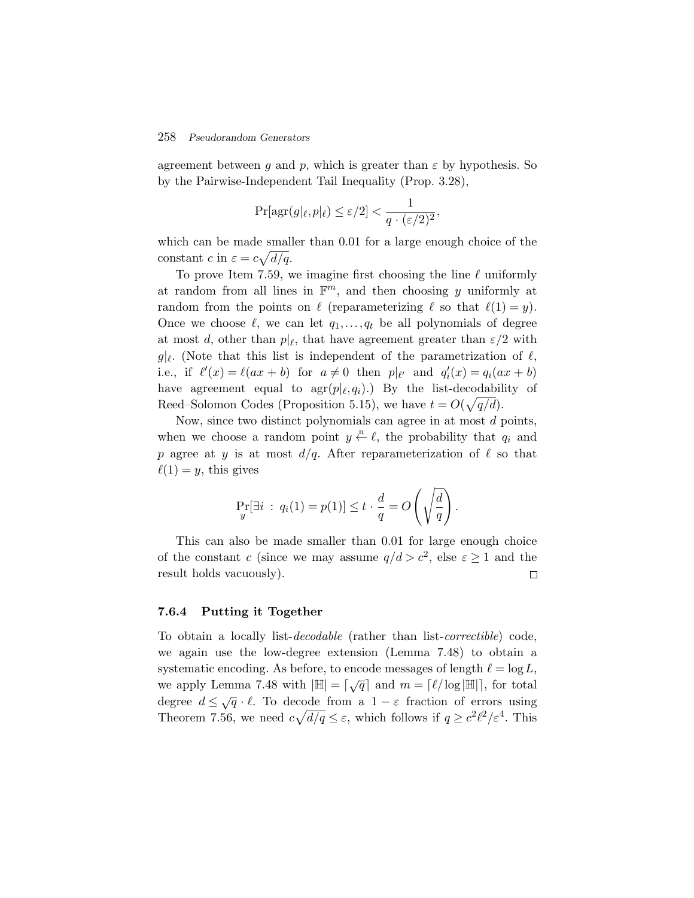agreement between g and p, which is greater than  $\varepsilon$  by hypothesis. So by the Pairwise-Independent Tail Inequality (Prop. 3.28),

$$
\Pr[\arg(g|\ell, p|\ell) \le \varepsilon/2] < \frac{1}{q \cdot (\varepsilon/2)^2},
$$

which can be made smaller than 0.01 for a large enough choice of the constant c in  $\varepsilon = c \sqrt{d/q}$ .

To prove Item 7.59, we imagine first choosing the line  $\ell$  uniformly at random from all lines in  $\mathbb{F}^m$ , and then choosing y uniformly at random from the points on  $\ell$  (reparameterizing  $\ell$  so that  $\ell(1) = y$ ). Once we choose  $\ell$ , we can let  $q_1, \ldots, q_t$  be all polynomials of degree at most d, other than  $p|_{\ell}$ , that have agreement greater than  $\varepsilon/2$  with  $g|_{\ell}$ . (Note that this list is independent of the parametrization of  $\ell$ , i.e., if  $\ell'(x) = \ell(ax + b)$  for  $a \neq 0$  then  $p|_{\ell'}$  and  $q'_i(x) = q_i(ax + b)$ have agreement equal to  $\arg(p|\ell,q_i)$ .) By the list-decodability of Reed–Solomon Codes (Proposition 5.15), we have  $t = O(\sqrt{q/d})$ .

Now, since two distinct polynomials can agree in at most  $d$  points, when we choose a random point  $y \stackrel{\text{R}}{\leftarrow} \ell$ , the probability that  $q_i$  and p agree at y is at most  $d/q$ . After reparameterization of  $\ell$  so that  $\ell(1) = y$ , this gives

$$
\Pr_{y}[\exists i : q_i(1) = p(1)] \le t \cdot \frac{d}{q} = O\left(\sqrt{\frac{d}{q}}\right).
$$

This can also be made smaller than 0.01 for large enough choice of the constant c (since we may assume  $q/d > c^2$ , else  $\varepsilon \ge 1$  and the result holds vacuously).  $\Box$ 

#### **7.6.4 Putting it Together**

To obtain a locally list-*decodable* (rather than list-*correctible*) code, we again use the low-degree extension (Lemma 7.48) to obtain a systematic encoding. As before, to encode messages of length  $\ell = \log L$ , we apply Lemma 7.48 with  $|\mathbb{H}| = \lceil \sqrt{q} \rceil$  and  $m = \lceil \ell / \log |\mathbb{H}| \rceil$ , for total degree  $d \leq \sqrt{q} \cdot \ell$ . To decode from a  $1 - \varepsilon$  fraction of errors using Theorem 7.56, we need  $c\sqrt{d/q} \leq \varepsilon$ , which follows if  $q \geq c^2\ell^2/\varepsilon^4$ . This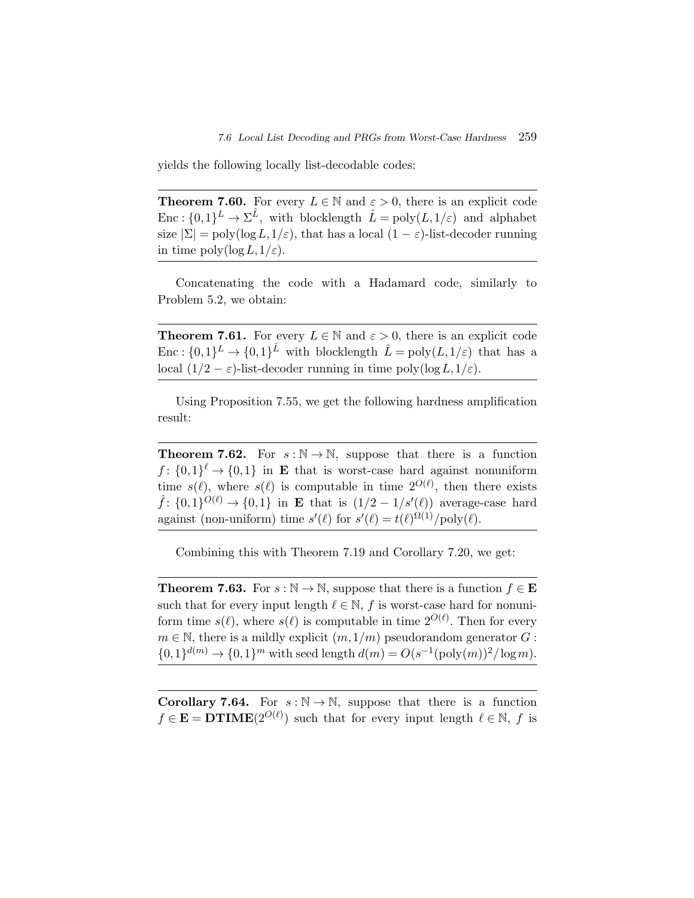yields the following locally list-decodable codes:

**Theorem 7.60.** For every  $L \in \mathbb{N}$  and  $\varepsilon > 0$ , there is an explicit code Enc :  $\{0,1\}^L \to \Sigma^{\hat{L}}$ , with blocklength  $\hat{L} = \text{poly}(L,1/\varepsilon)$  and alphabet size  $|\Sigma| = \text{poly}(\log L, 1/\varepsilon)$ , that has a local  $(1 - \varepsilon)$ -list-decoder running in time  $\text{poly}(\log L, 1/\varepsilon)$ .

Concatenating the code with a Hadamard code, similarly to Problem 5.2, we obtain:

**Theorem 7.61.** For every  $L \in \mathbb{N}$  and  $\varepsilon > 0$ , there is an explicit code Enc :  $\{0,1\}^L \rightarrow \{0,1\}^L$  with blocklength  $\hat{L} = \text{poly}(L,1/\varepsilon)$  that has a local  $(1/2 - \varepsilon)$ -list-decoder running in time poly $(\log L, 1/\varepsilon)$ .

Using Proposition 7.55, we get the following hardness amplification result:

**Theorem 7.62.** For  $s : \mathbb{N} \to \mathbb{N}$ , suppose that there is a function  $f: \{0,1\}^{\ell} \to \{0,1\}$  in **E** that is worst-case hard against nonuniform time  $s(\ell)$ , where  $s(\ell)$  is computable in time  $2^{O(\ell)}$ , then there exists  $\hat{f}$ :  $\{0,1\}^{O(\ell)} \rightarrow \{0,1\}$  in **E** that is  $(1/2 - 1/s'(\ell))$  average-case hard against (non-uniform) time  $s'(\ell)$  for  $s'(\ell) = t(\ell)^{\Omega(1)}/\text{poly}(\ell)$ .

Combining this with Theorem 7.19 and Corollary 7.20, we get:

**Theorem 7.63.** For  $s : \mathbb{N} \to \mathbb{N}$ , suppose that there is a function  $f \in \mathbf{E}$ such that for every input length  $\ell \in \mathbb{N}$ , f is worst-case hard for nonuniform time  $s(\ell)$ , where  $s(\ell)$  is computable in time  $2^{O(\ell)}$ . Then for every  $m \in \mathbb{N}$ , there is a mildly explicit  $(m,1/m)$  pseudorandom generator G:  $\{0,1\}^{d(m)} \to \{0,1\}^m$  with seed length  $d(m) = O(s^{-1}(\text{poly}(m))^2/\log m)$ .

**Corollary 7.64.** For  $s : \mathbb{N} \to \mathbb{N}$ , suppose that there is a function  $f \in \mathbf{E} = \mathbf{DTIME}(2^{O(\ell)})$  such that for every input length  $\ell \in \mathbb{N}$ , f is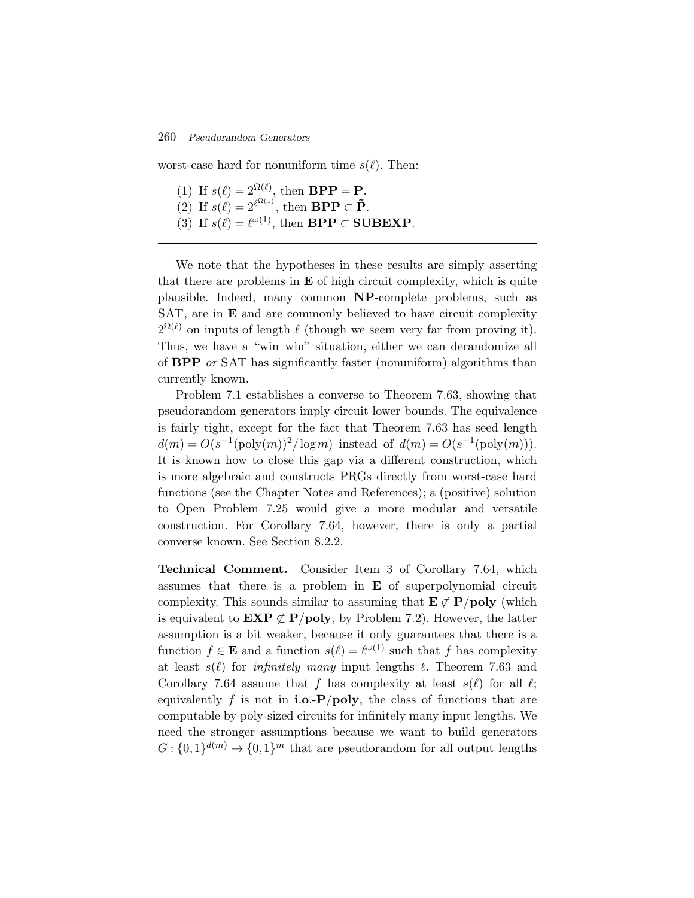worst-case hard for nonuniform time  $s(\ell)$ . Then:

- (1) If  $s(\ell) = 2^{\Omega(\ell)}$ , then **BPP** = **P**.
- (2) If  $s(\ell) = 2^{\ell^{\Omega(1)}}$ , then **BPP**  $\subset \tilde{P}$ .
- (3) If  $s(\ell) = \ell^{\omega(1)}$ , then **BPP** ⊂ **SUBEXP**.

We note that the hypotheses in these results are simply asserting that there are problems in **E** of high circuit complexity, which is quite plausible. Indeed, many common **NP**-complete problems, such as SAT, are in **E** and are commonly believed to have circuit complexity  $2^{\Omega(\ell)}$  on inputs of length  $\ell$  (though we seem very far from proving it). Thus, we have a "win–win" situation, either we can derandomize all of **BPP** *or* SAT has significantly faster (nonuniform) algorithms than currently known.

Problem 7.1 establishes a converse to Theorem 7.63, showing that pseudorandom generators imply circuit lower bounds. The equivalence is fairly tight, except for the fact that Theorem 7.63 has seed length  $d(m) = O(s^{-1}(\text{poly}(m))^{2}/\log m)$  instead of  $d(m) = O(s^{-1}(\text{poly}(m)))$ . It is known how to close this gap via a different construction, which is more algebraic and constructs PRGs directly from worst-case hard functions (see the Chapter Notes and References); a (positive) solution to Open Problem 7.25 would give a more modular and versatile construction. For Corollary 7.64, however, there is only a partial converse known. See Section 8.2.2.

**Technical Comment.** Consider Item 3 of Corollary 7.64, which assumes that there is a problem in **E** of superpolynomial circuit complexity. This sounds similar to assuming that  $E \not\subset P/\text{poly}$  (which is equivalent to  $\mathbf{EXP} \not\subset \mathbf{P/poly}$ , by Problem 7.2). However, the latter assumption is a bit weaker, because it only guarantees that there is a function  $f \in \mathbf{E}$  and a function  $s(\ell) = \ell^{\omega(1)}$  such that f has complexity at least  $s(\ell)$  for *infinitely many* input lengths  $\ell$ . Theorem 7.63 and Corollary 7.64 assume that f has complexity at least  $s(\ell)$  for all  $\ell$ ; equivalently f is not in **i.o.-P**/**poly**, the class of functions that are computable by poly-sized circuits for infinitely many input lengths. We need the stronger assumptions because we want to build generators  $G: \{0,1\}^{d(m)} \to \{0,1\}^m$  that are pseudorandom for all output lengths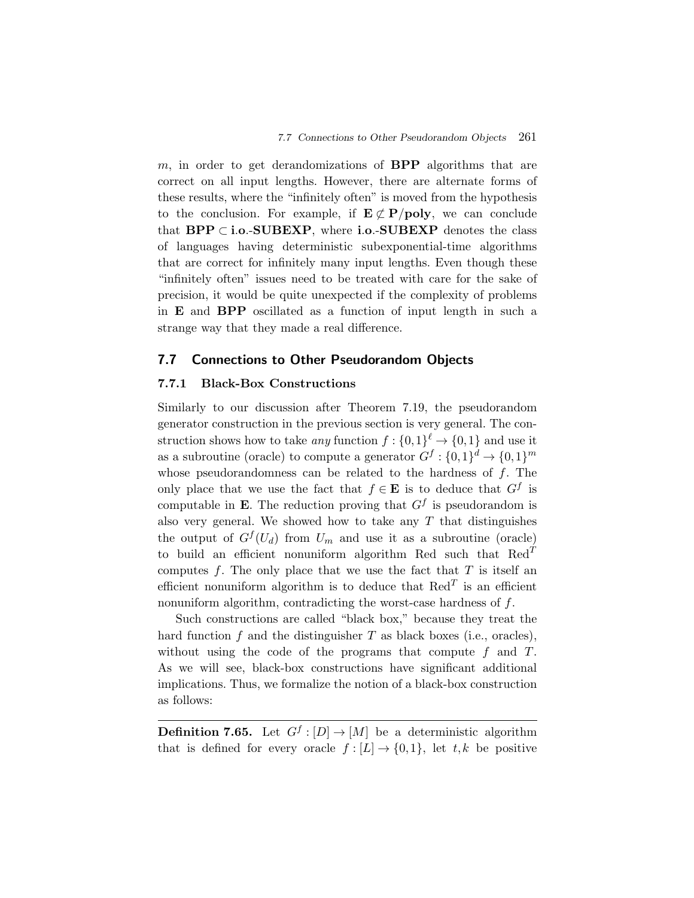m, in order to get derandomizations of **BPP** algorithms that are correct on all input lengths. However, there are alternate forms of these results, where the "infinitely often" is moved from the hypothesis to the conclusion. For example, if  $E \not\subset P/\text{poly}$ , we can conclude that **BPP** ⊂ **i**.**o**.-**SUBEXP**, where **i**.**o**.-**SUBEXP** denotes the class of languages having deterministic subexponential-time algorithms that are correct for infinitely many input lengths. Even though these "infinitely often" issues need to be treated with care for the sake of precision, it would be quite unexpected if the complexity of problems in **E** and **BPP** oscillated as a function of input length in such a strange way that they made a real difference.

#### **7.7 Connections to Other Pseudorandom Objects**

#### **7.7.1 Black-Box Constructions**

Similarly to our discussion after Theorem 7.19, the pseudorandom generator construction in the previous section is very general. The construction shows how to take *any* function  $f: \{0,1\}^{\ell} \to \{0,1\}$  and use it as a subroutine (oracle) to compute a generator  $G^f: \{0,1\}^d \to \{0,1\}^m$ whose pseudorandomness can be related to the hardness of  $f$ . The only place that we use the fact that  $f \in \mathbf{E}$  is to deduce that  $G^f$  is computable in **E**. The reduction proving that  $G<sup>f</sup>$  is pseudorandom is also very general. We showed how to take any  $T$  that distinguishes the output of  $G^{f}(U_d)$  from  $U_m$  and use it as a subroutine (oracle) to build an efficient nonuniform algorithm Red such that  $\text{Red}^T$ computes  $f$ . The only place that we use the fact that  $T$  is itself an efficient nonuniform algorithm is to deduce that  $\text{Red}^T$  is an efficient nonuniform algorithm, contradicting the worst-case hardness of f.

Such constructions are called "black box," because they treat the hard function  $f$  and the distinguisher  $T$  as black boxes (i.e., oracles), without using the code of the programs that compute  $f$  and  $T$ . As we will see, black-box constructions have significant additional implications. Thus, we formalize the notion of a black-box construction as follows:

**Definition 7.65.** Let  $G^f : [D] \to [M]$  be a deterministic algorithm that is defined for every oracle  $f : [L] \to \{0,1\}$ , let t, k be positive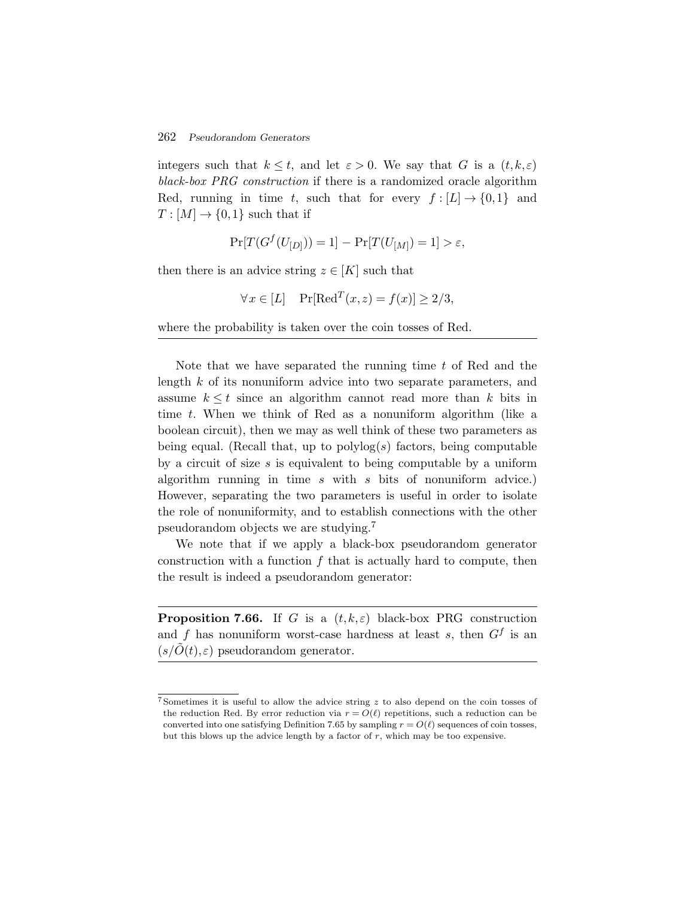integers such that  $k \leq t$ , and let  $\varepsilon > 0$ . We say that G is a  $(t, k, \varepsilon)$ *black-box PRG construction* if there is a randomized oracle algorithm Red, running in time t, such that for every  $f : [L] \to \{0,1\}$  and  $T : [M] \rightarrow \{0,1\}$  such that if

$$
\Pr[T(G^f(U_{[D]}))=1] - \Pr[T(U_{[M]})=1] > \varepsilon,
$$

then there is an advice string  $z \in [K]$  such that

$$
\forall x \in [L] \quad \Pr[\text{Red}^T(x, z) = f(x)] \ge 2/3,
$$

where the probability is taken over the coin tosses of Red.

Note that we have separated the running time t of Red and the length k of its nonuniform advice into two separate parameters, and assume  $k \leq t$  since an algorithm cannot read more than k bits in time t. When we think of Red as a nonuniform algorithm (like a boolean circuit), then we may as well think of these two parameters as being equal. (Recall that, up to  $polylog(s)$  factors, being computable by a circuit of size s is equivalent to being computable by a uniform algorithm running in time  $s$  with  $s$  bits of nonuniform advice.) However, separating the two parameters is useful in order to isolate the role of nonuniformity, and to establish connections with the other pseudorandom objects we are studying.<sup>7</sup>

We note that if we apply a black-box pseudorandom generator construction with a function  $f$  that is actually hard to compute, then the result is indeed a pseudorandom generator:

**Proposition 7.66.** If G is a  $(t, k, \varepsilon)$  black-box PRG construction and f has nonuniform worst-case hardness at least s, then  $G<sup>f</sup>$  is an  $(s/O(t), \varepsilon)$  pseudorandom generator.

 $7$  Sometimes it is useful to allow the advice string  $z$  to also depend on the coin tosses of the reduction Red. By error reduction via  $r = O(\ell)$  repetitions, such a reduction can be converted into one satisfying Definition 7.65 by sampling  $r = O(\ell)$  sequences of coin tosses, but this blows up the advice length by a factor of  $r$ , which may be too expensive.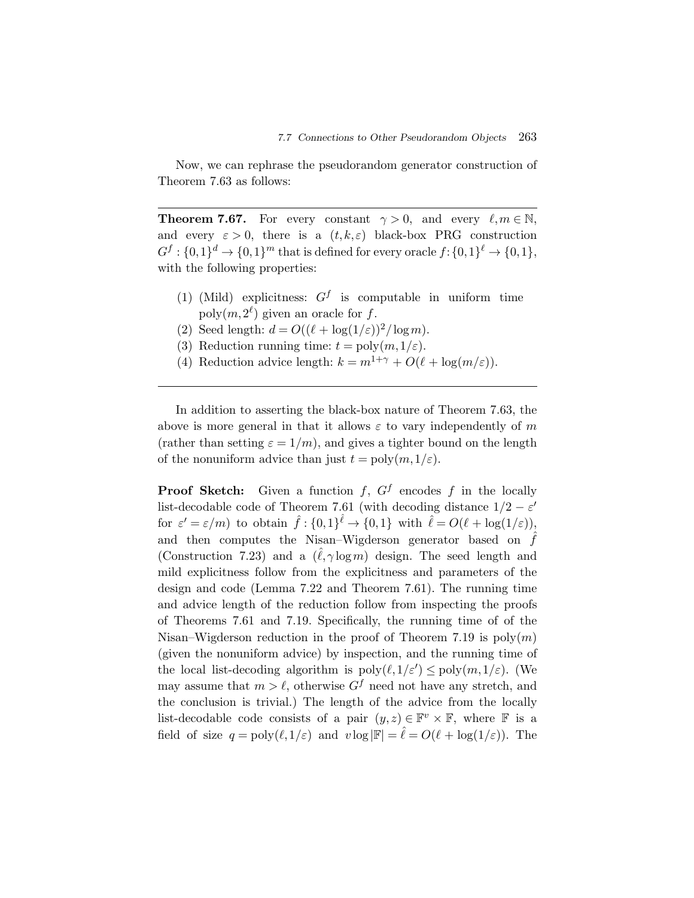Now, we can rephrase the pseudorandom generator construction of Theorem 7.63 as follows:

**Theorem 7.67.** For every constant  $\gamma > 0$ , and every  $\ell, m \in \mathbb{N}$ , and every  $\varepsilon > 0$ , there is a  $(t, k, \varepsilon)$  black-box PRG construction  $G^f: \{0,1\}^d \to \{0,1\}^m$  that is defined for every oracle  $f: \{0,1\}^{\ell} \to \{0,1\},$ with the following properties:

- (1) (Mild) explicitness:  $G^f$  is computable in uniform time  $\text{poly}(m, 2^{\ell})$  given an oracle for f.
- (2) Seed length:  $d = O((\ell + \log(1/\varepsilon))^2/\log m)$ .
- (3) Reduction running time:  $t = \text{poly}(m, 1/\varepsilon)$ .
- (4) Reduction advice length:  $k = m^{1+\gamma} + O(\ell + \log(m/\varepsilon)).$

In addition to asserting the black-box nature of Theorem 7.63, the above is more general in that it allows  $\varepsilon$  to vary independently of m (rather than setting  $\varepsilon = 1/m$ ), and gives a tighter bound on the length of the nonuniform advice than just  $t = \text{poly}(m, 1/\varepsilon)$ .

**Proof Sketch:** Given a function  $f$ ,  $G^f$  encodes  $f$  in the locally list-decodable code of Theorem 7.61 (with decoding distance  $1/2 - \varepsilon'$ for  $\varepsilon' = \varepsilon/m$ ) to obtain  $\hat{f} : \{0,1\}^{\hat{\ell}} \to \{0,1\}$  with  $\hat{\ell} = O(\ell + \log(1/\varepsilon)),$ and then computes the Nisan–Wigderson generator based on  $\hat{f}$ (Construction 7.23) and a  $(\hat{\ell}, \gamma \log m)$  design. The seed length and mild explicitness follow from the explicitness and parameters of the design and code (Lemma 7.22 and Theorem 7.61). The running time and advice length of the reduction follow from inspecting the proofs of Theorems 7.61 and 7.19. Specifically, the running time of of the Nisan–Wigderson reduction in the proof of Theorem 7.19 is  $poly(m)$ (given the nonuniform advice) by inspection, and the running time of the local list-decoding algorithm is  $\text{poly}(\ell, 1/\varepsilon') \leq \text{poly}(m, 1/\varepsilon)$ . (We may assume that  $m > \ell$ , otherwise  $G^f$  need not have any stretch, and the conclusion is trivial.) The length of the advice from the locally list-decodable code consists of a pair  $(y, z) \in \mathbb{F}^v \times \mathbb{F}$ , where  $\mathbb F$  is a field of size  $q = poly(\ell, 1/\varepsilon)$  and  $v \log |\mathbb{F}| = \hat{\ell} = O(\ell + \log(1/\varepsilon))$ . The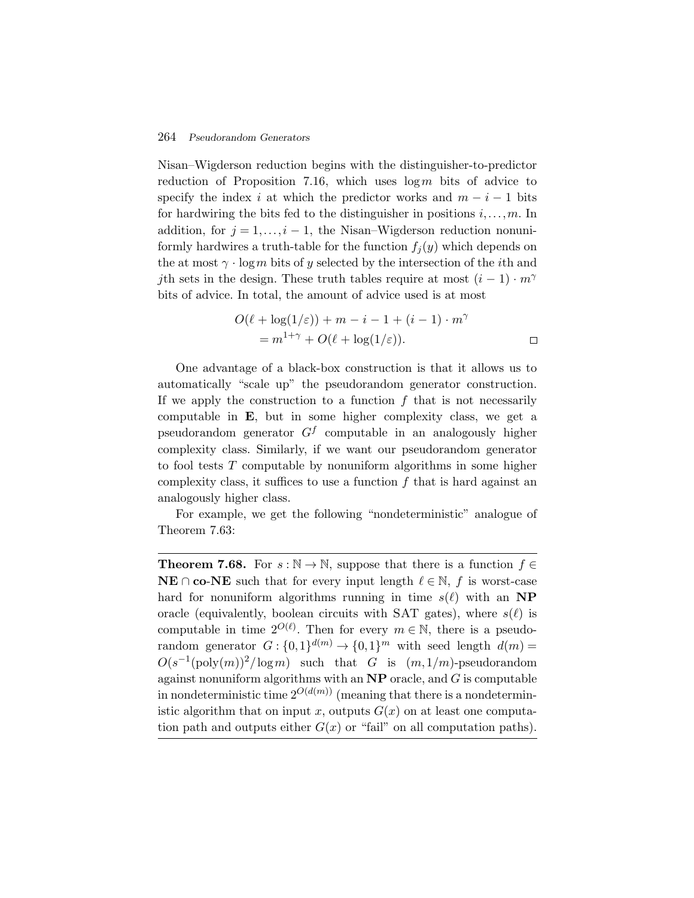Nisan–Wigderson reduction begins with the distinguisher-to-predictor reduction of Proposition 7.16, which uses  $\log m$  bits of advice to specify the index i at which the predictor works and  $m - i - 1$  bits for hardwiring the bits fed to the distinguisher in positions  $i, \ldots, m$ . In addition, for  $j = 1, \ldots, i - 1$ , the Nisan–Wigderson reduction nonuniformly hardwires a truth-table for the function  $f_i(y)$  which depends on the at most  $\gamma \cdot \log m$  bits of y selected by the intersection of the *i*th and jth sets in the design. These truth tables require at most  $(i - 1) \cdot m^{\gamma}$ bits of advice. In total, the amount of advice used is at most

$$
O(\ell + \log(1/\varepsilon)) + m - i - 1 + (i - 1) \cdot m^{\gamma}
$$
  
=  $m^{1+\gamma} + O(\ell + \log(1/\varepsilon)).$ 

One advantage of a black-box construction is that it allows us to automatically "scale up" the pseudorandom generator construction. If we apply the construction to a function  $f$  that is not necessarily computable in **E**, but in some higher complexity class, we get a pseudorandom generator  $G<sup>f</sup>$  computable in an analogously higher complexity class. Similarly, if we want our pseudorandom generator to fool tests T computable by nonuniform algorithms in some higher complexity class, it suffices to use a function  $f$  that is hard against an analogously higher class.

For example, we get the following "nondeterministic" analogue of Theorem 7.63:

**Theorem 7.68.** For  $s : \mathbb{N} \to \mathbb{N}$ , suppose that there is a function  $f \in$ **NE** ∩ **co**-**NE** such that for every input length  $\ell \in \mathbb{N}$ , f is worst-case hard for nonuniform algorithms running in time  $s(\ell)$  with an **NP** oracle (equivalently, boolean circuits with SAT gates), where  $s(\ell)$  is computable in time  $2^{O(\ell)}$ . Then for every  $m \in \mathbb{N}$ , there is a pseudorandom generator  $G: \{0,1\}^{d(m)} \to \{0,1\}^m$  with seed length  $d(m) =$  $O(s^{-1}(\text{poly}(m))^2/\log m)$  such that G is  $(m,1/m)$ -pseudorandom against nonuniform algorithms with an **NP** oracle, and G is computable in nondeterministic time  $2^{O(d(m))}$  (meaning that there is a nondeterministic algorithm that on input x, outputs  $G(x)$  on at least one computation path and outputs either  $G(x)$  or "fail" on all computation paths).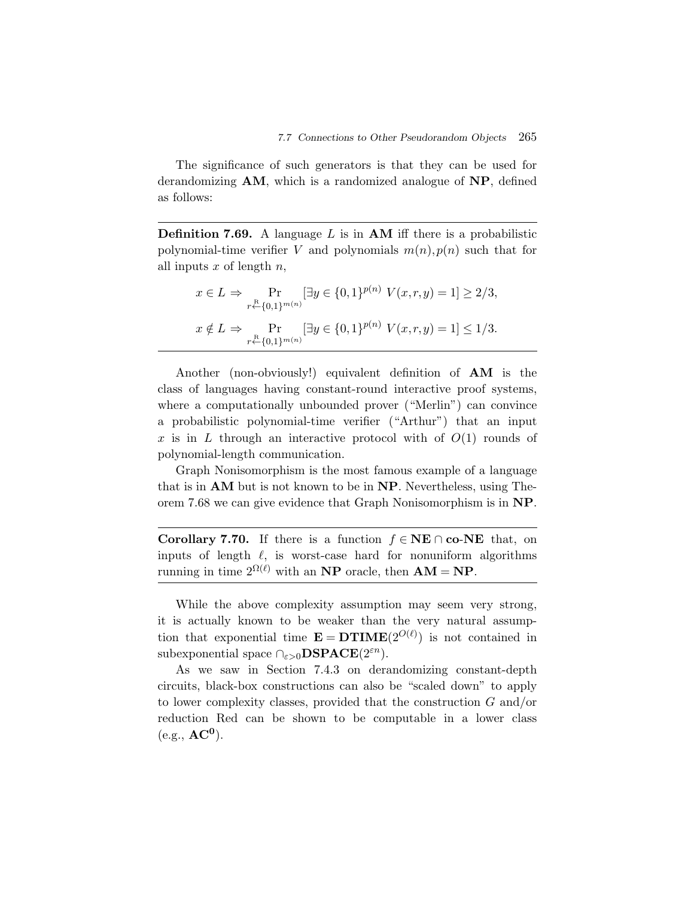The significance of such generators is that they can be used for derandomizing **AM**, which is a randomized analogue of **NP**, defined as follows:

**Definition 7.69.** A language L is in **AM** iff there is a probabilistic polynomial-time verifier V and polynomials  $m(n)$ ,  $p(n)$  such that for all inputs  $x$  of length  $n$ ,

$$
x \in L \implies \Pr_{r \leftarrow \{0,1\}^{m(n)}} [\exists y \in \{0,1\}^{p(n)} \ V(x,r,y) = 1] \ge 2/3,
$$
  

$$
x \notin L \implies \Pr_{r \leftarrow \{0,1\}^{m(n)}} [\exists y \in \{0,1\}^{p(n)} \ V(x,r,y) = 1] \le 1/3.
$$

Another (non-obviously!) equivalent definition of **AM** is the class of languages having constant-round interactive proof systems, where a computationally unbounded prover ("Merlin") can convince a probabilistic polynomial-time verifier ("Arthur") that an input x is in L through an interactive protocol with of  $O(1)$  rounds of polynomial-length communication.

Graph Nonisomorphism is the most famous example of a language that is in **AM** but is not known to be in **NP**. Nevertheless, using Theorem 7.68 we can give evidence that Graph Nonisomorphism is in **NP**.

**Corollary 7.70.** If there is a function  $f \in \mathbf{NE} \cap \mathbf{co}\text{-}\mathbf{NE}$  that, on inputs of length  $\ell$ , is worst-case hard for nonuniform algorithms running in time  $2^{\Omega(\ell)}$  with an **NP** oracle, then  $AM = NP$ .

While the above complexity assumption may seem very strong, it is actually known to be weaker than the very natural assumption that exponential time  $\mathbf{E} = \mathbf{DTIME}(2^{O(\ell)})$  is not contained in subexponential space  $\bigcap_{\varepsilon>0} \mathbf{DSPACE}(2^{\varepsilon n})$ .

As we saw in Section 7.4.3 on derandomizing constant-depth circuits, black-box constructions can also be "scaled down" to apply to lower complexity classes, provided that the construction G and/or reduction Red can be shown to be computable in a lower class  $(e.g., AC^0)$ .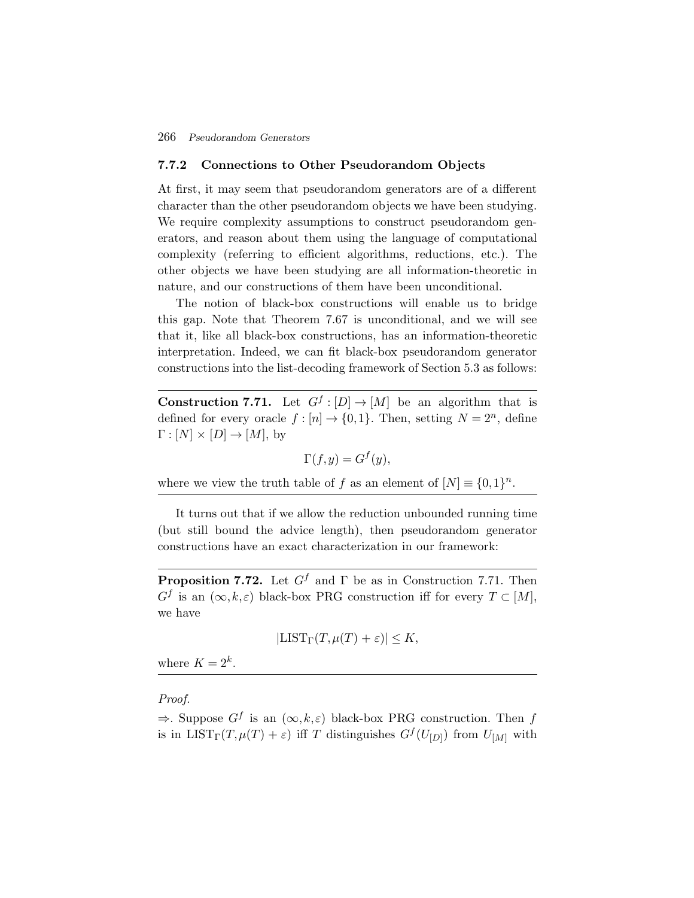#### **7.7.2 Connections to Other Pseudorandom Objects**

At first, it may seem that pseudorandom generators are of a different character than the other pseudorandom objects we have been studying. We require complexity assumptions to construct pseudorandom generators, and reason about them using the language of computational complexity (referring to efficient algorithms, reductions, etc.). The other objects we have been studying are all information-theoretic in nature, and our constructions of them have been unconditional.

The notion of black-box constructions will enable us to bridge this gap. Note that Theorem 7.67 is unconditional, and we will see that it, like all black-box constructions, has an information-theoretic interpretation. Indeed, we can fit black-box pseudorandom generator constructions into the list-decoding framework of Section 5.3 as follows:

**Construction 7.71.** Let  $G^f : [D] \to [M]$  be an algorithm that is defined for every oracle  $f : [n] \to \{0,1\}$ . Then, setting  $N = 2^n$ , define  $\Gamma : [N] \times [D] \rightarrow [M]$ , by

$$
\Gamma(f, y) = G^f(y),
$$

where we view the truth table of f as an element of  $[N] \equiv \{0,1\}^n$ .

It turns out that if we allow the reduction unbounded running time (but still bound the advice length), then pseudorandom generator constructions have an exact characterization in our framework:

**Proposition 7.72.** Let  $G^f$  and  $\Gamma$  be as in Construction 7.71. Then  $G^f$  is an  $(\infty, k, \varepsilon)$  black-box PRG construction iff for every  $T \subset [M]$ , we have

$$
|\mathrm{LIST}_{\Gamma}(T,\mu(T)+\varepsilon)| \leq K,
$$

where  $K = 2^k$ .

*Proof.*

 $\Rightarrow$ . Suppose  $G^f$  is an  $(\infty, k, \varepsilon)$  black-box PRG construction. Then f is in LIST<sub>Γ</sub> $(T,\mu(T) + \varepsilon)$  iff T distinguishes  $G^{f}(U_{D})$  from  $U_{M}$  with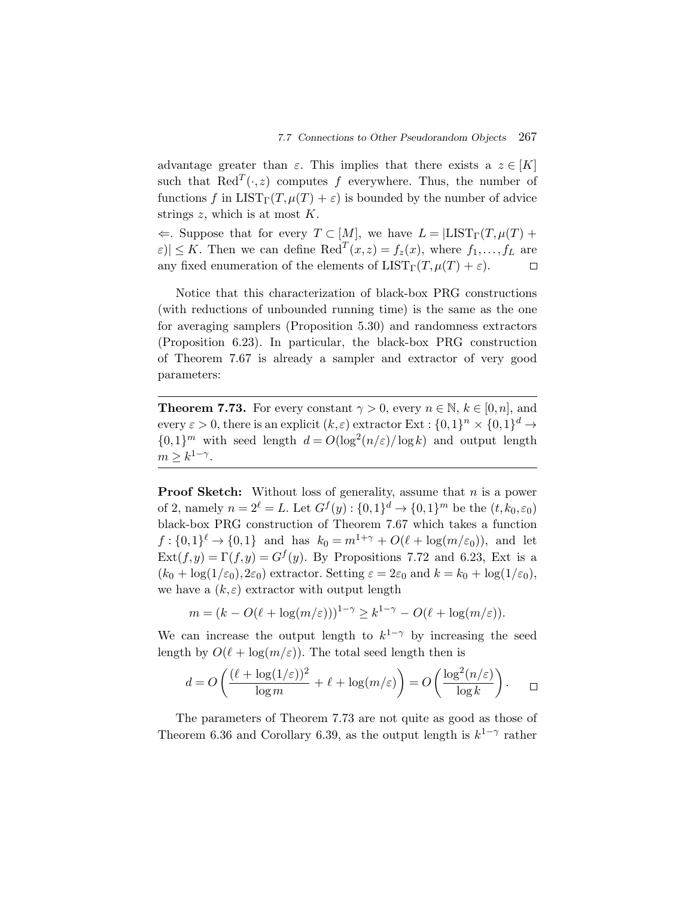advantage greater than  $\varepsilon$ . This implies that there exists a  $z \in [K]$ such that  $\text{Red}^T(\cdot,z)$  computes f everywhere. Thus, the number of functions f in  $LIST_\Gamma(T, \mu(T) + \varepsilon)$  is bounded by the number of advice strings  $z$ , which is at most  $K$ .

 $\Leftarrow$ . Suppose that for every  $T \subset [M]$ , we have  $L = |LIST_\Gamma(T, \mu(T) +$  $|\varepsilon| \leq K$ . Then we can define Red<sup>T</sup> $(x, z) = f_z(x)$ , where  $f_1, \ldots, f_L$  are any fixed enumeration of the elements of  $LIST_\Gamma(T,\mu(T) + \varepsilon)$ .  $\Box$ 

Notice that this characterization of black-box PRG constructions (with reductions of unbounded running time) is the same as the one for averaging samplers (Proposition 5.30) and randomness extractors (Proposition 6.23). In particular, the black-box PRG construction of Theorem 7.67 is already a sampler and extractor of very good parameters:

**Theorem 7.73.** For every constant  $\gamma > 0$ , every  $n \in \mathbb{N}$ ,  $k \in [0, n]$ , and every  $\varepsilon > 0$ , there is an explicit  $(k, \varepsilon)$  extractor Ext :  $\{0,1\}^n \times \{0,1\}^d \rightarrow$  ${0,1}^m$  with seed length  $d = O(\log^2(n/\varepsilon)/\log k)$  and output length  $m > k^{1-\gamma}$ .

**Proof Sketch:** Without loss of generality, assume that *n* is a power of 2, namely  $n = 2^{\ell} = L$ . Let  $G^f(y) : \{0,1\}^d \to \{0,1\}^m$  be the  $(t, k_0, \varepsilon_0)$ black-box PRG construction of Theorem 7.67 which takes a function  $f: \{0,1\}^{\ell} \to \{0,1\}$  and has  $k_0 = m^{1+\gamma} + O(\ell + \log(m/\varepsilon_0))$ , and let  $\text{Ext}(f,y) = \Gamma(f,y) = G^f(y)$ . By Propositions 7.72 and 6.23, Ext is a  $(k_0 + \log(1/\varepsilon_0), 2\varepsilon_0)$  extractor. Setting  $\varepsilon = 2\varepsilon_0$  and  $k = k_0 + \log(1/\varepsilon_0)$ , we have a  $(k,\varepsilon)$  extractor with output length

$$
m = (k - O(\ell + \log(m/\varepsilon)))^{1-\gamma} \ge k^{1-\gamma} - O(\ell + \log(m/\varepsilon)).
$$

We can increase the output length to  $k^{1-\gamma}$  by increasing the seed length by  $O(\ell + \log(m/\varepsilon))$ . The total seed length then is

$$
d = O\left(\frac{(\ell + \log(1/\varepsilon))^2}{\log m} + \ell + \log(m/\varepsilon)\right) = O\left(\frac{\log^2(n/\varepsilon)}{\log k}\right). \quad \Box
$$

The parameters of Theorem 7.73 are not quite as good as those of Theorem 6.36 and Corollary 6.39, as the output length is  $k^{1-\gamma}$  rather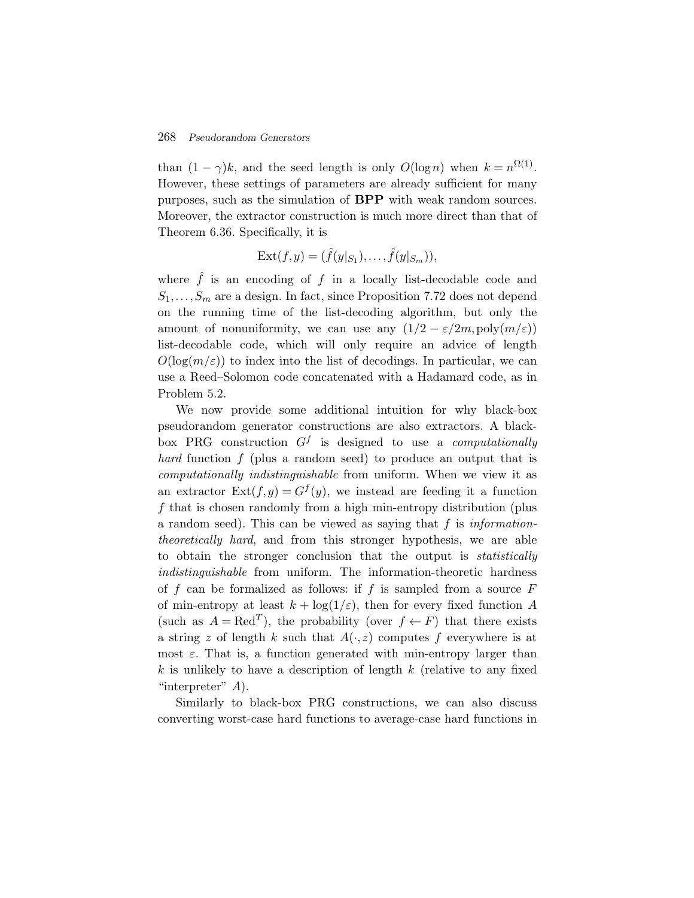than  $(1 - \gamma)k$ , and the seed length is only  $O(\log n)$  when  $k = n^{\Omega(1)}$ . However, these settings of parameters are already sufficient for many purposes, such as the simulation of **BPP** with weak random sources. Moreover, the extractor construction is much more direct than that of Theorem 6.36. Specifically, it is

$$
Ext(f,y) = (\hat{f}(y|_{S_1}), \dots, \hat{f}(y|_{S_m})),
$$

where  $\hat{f}$  is an encoding of f in a locally list-decodable code and  $S_1, \ldots, S_m$  are a design. In fact, since Proposition 7.72 does not depend on the running time of the list-decoding algorithm, but only the amount of nonuniformity, we can use any  $(1/2 - \varepsilon/2m, \text{poly}(m/\varepsilon))$ list-decodable code, which will only require an advice of length  $O(\log(m/\varepsilon))$  to index into the list of decodings. In particular, we can use a Reed–Solomon code concatenated with a Hadamard code, as in Problem 5.2.

We now provide some additional intuition for why black-box pseudorandom generator constructions are also extractors. A blackbox PRG construction G<sup>f</sup> is designed to use a *computationally hard* function f (plus a random seed) to produce an output that is *computationally indistinguishable* from uniform. When we view it as an extractor  $\text{Ext}(f, y) = G^f(y)$ , we instead are feeding it a function f that is chosen randomly from a high min-entropy distribution (plus a random seed). This can be viewed as saying that f is *informationtheoretically hard*, and from this stronger hypothesis, we are able to obtain the stronger conclusion that the output is *statistically indistinguishable* from uniform. The information-theoretic hardness of f can be formalized as follows: if f is sampled from a source  $F$ of min-entropy at least  $k + \log(1/\varepsilon)$ , then for every fixed function A (such as  $A = \text{Red}^T$ ), the probability (over  $f \leftarrow F$ ) that there exists a string z of length k such that  $A(\cdot,z)$  computes f everywhere is at most  $\varepsilon$ . That is, a function generated with min-entropy larger than k is unlikely to have a description of length  $k$  (relative to any fixed "interpreter"  $A$ ).

Similarly to black-box PRG constructions, we can also discuss converting worst-case hard functions to average-case hard functions in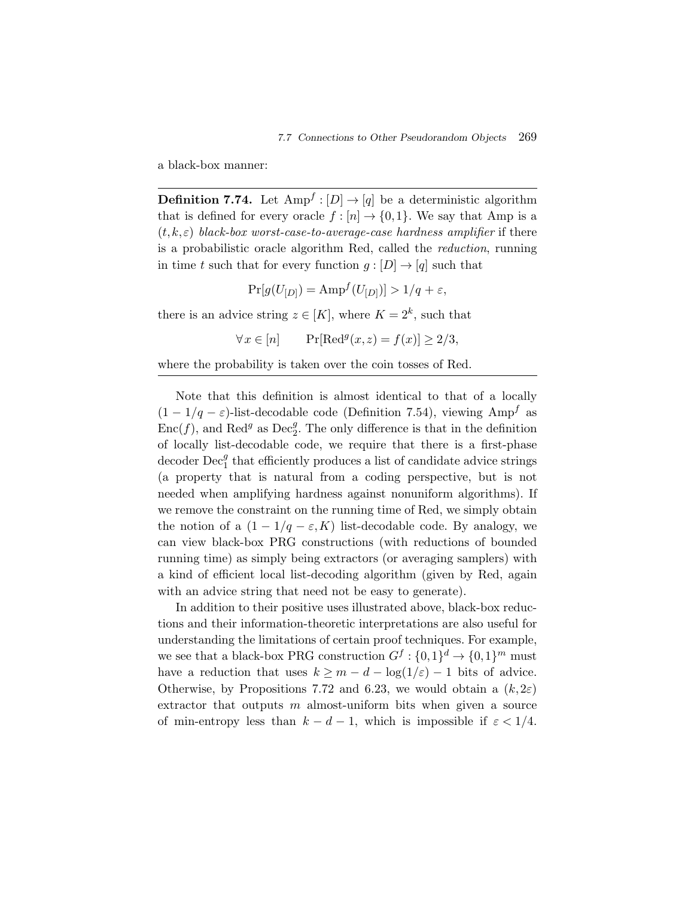a black-box manner:

**Definition 7.74.** Let  $Amp^f : [D] \rightarrow [q]$  be a deterministic algorithm that is defined for every oracle  $f : [n] \to \{0,1\}$ . We say that Amp is a (t, k,ε) *black-box worst-case-to-average-case hardness amplifier* if there is a probabilistic oracle algorithm Red, called the *reduction*, running in time t such that for every function  $g: [D] \to [q]$  such that

$$
Pr[g(U_{[D]}) = Amp^{f}(U_{[D]})] > 1/q + \varepsilon,
$$

there is an advice string  $z \in [K]$ , where  $K = 2^k$ , such that

$$
\forall x \in [n] \qquad \Pr[\text{Red}^g(x, z) = f(x)] \ge 2/3,
$$

where the probability is taken over the coin tosses of Red.

Note that this definition is almost identical to that of a locally  $(1 - 1/q - \varepsilon)$ -list-decodable code (Definition 7.54), viewing Amp<sup>f</sup> as  $Enc(f)$ , and  $Red<sup>g</sup>$  as  $Dec<sub>2</sub><sup>g</sup>$ . The only difference is that in the definition of locally list-decodable code, we require that there is a first-phase decoder  $\text{Dec}_1^g$  that efficiently produces a list of candidate advice strings (a property that is natural from a coding perspective, but is not needed when amplifying hardness against nonuniform algorithms). If we remove the constraint on the running time of Red, we simply obtain the notion of a  $(1 - 1/q - \varepsilon, K)$  list-decodable code. By analogy, we can view black-box PRG constructions (with reductions of bounded running time) as simply being extractors (or averaging samplers) with a kind of efficient local list-decoding algorithm (given by Red, again with an advice string that need not be easy to generate).

In addition to their positive uses illustrated above, black-box reductions and their information-theoretic interpretations are also useful for understanding the limitations of certain proof techniques. For example, we see that a black-box PRG construction  $G^f: \{0,1\}^d \to \{0,1\}^m$  must have a reduction that uses  $k \geq m - d - \log(1/\varepsilon) - 1$  bits of advice. Otherwise, by Propositions 7.72 and 6.23, we would obtain a  $(k, 2\varepsilon)$ extractor that outputs  $m$  almost-uniform bits when given a source of min-entropy less than  $k - d - 1$ , which is impossible if  $\varepsilon < 1/4$ .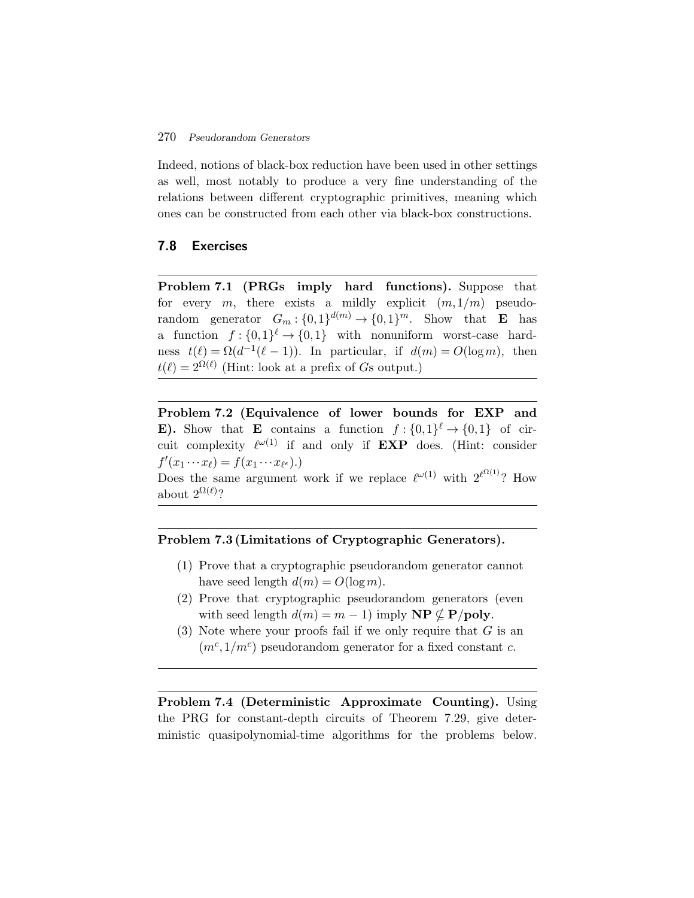Indeed, notions of black-box reduction have been used in other settings as well, most notably to produce a very fine understanding of the relations between different cryptographic primitives, meaning which ones can be constructed from each other via black-box constructions.

## **7.8 Exercises**

**Problem 7.1 (PRGs imply hard functions).** Suppose that for every m, there exists a mildly explicit  $(m,1/m)$  pseudorandom generator  $G_m : \{0,1\}^{d(m)} \to \{0,1\}^m$ . Show that **E** has a function  $f: \{0,1\}^{\ell} \to \{0,1\}$  with nonuniform worst-case hardness  $t(\ell) = \Omega(d^{-1}(\ell-1))$ . In particular, if  $d(m) = O(\log m)$ , then  $t(\ell)=2^{\Omega(\ell)}$  (Hint: look at a prefix of Gs output.)

**Problem 7.2 (Equivalence of lower bounds for EXP and E). Show that <b>E** contains a function  $f: \{0,1\}^{\ell} \to \{0,1\}$  of circuit complexity  $\ell^{\omega(1)}$  if and only if **EXP** does. (Hint: consider  $f'(x_1 \cdots x_\ell) = f(x_1 \cdots x_{\ell^{\epsilon}}).$ 

Does the same argument work if we replace  $\ell^{\omega(1)}$  with  $2^{\ell^{\Omega(1)}}$ ? How about  $2^{\Omega(\ell)}$ ?

## **Problem 7.3 (Limitations of Cryptographic Generators).**

- (1) Prove that a cryptographic pseudorandom generator cannot have seed length  $d(m) = O(\log m)$ .
- (2) Prove that cryptographic pseudorandom generators (even with seed length  $d(m) = m - 1$  imply  $\mathbf{NP} \not\subseteq \mathbf{P/poly}$ .
- (3) Note where your proofs fail if we only require that  $G$  is an  $(m<sup>c</sup>,1/m<sup>c</sup>)$  pseudorandom generator for a fixed constant c.

**Problem 7.4 (Deterministic Approximate Counting).** Using the PRG for constant-depth circuits of Theorem 7.29, give deterministic quasipolynomial-time algorithms for the problems below.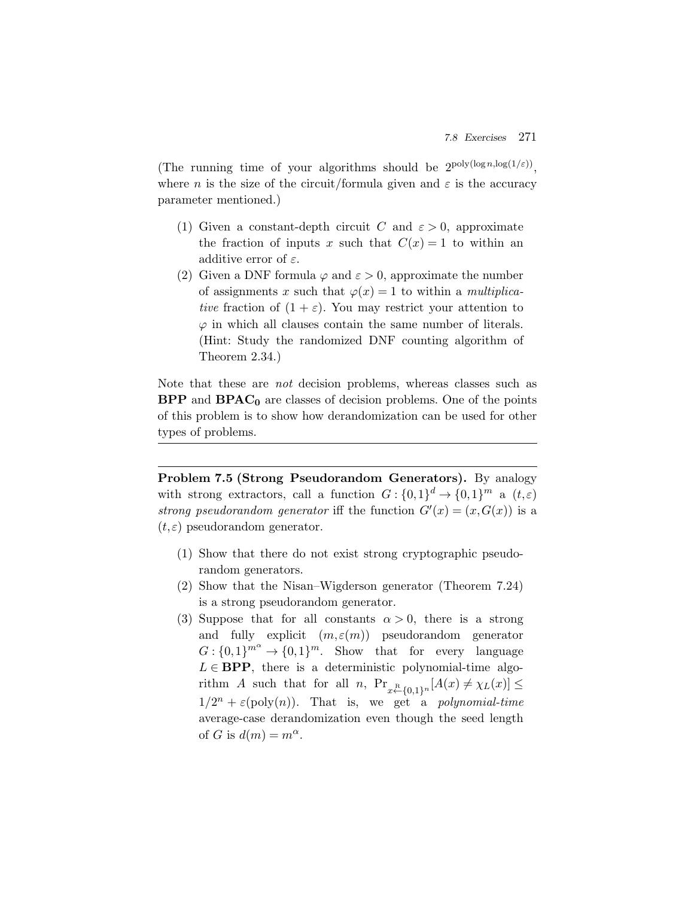(The running time of your algorithms should be  $2^{poly(log n, log(1/\varepsilon))}$ . where *n* is the size of the circuit/formula given and  $\varepsilon$  is the accuracy parameter mentioned.)

- (1) Given a constant-depth circuit C and  $\varepsilon > 0$ , approximate the fraction of inputs x such that  $C(x) = 1$  to within an additive error of  $\varepsilon$ .
- (2) Given a DNF formula  $\varphi$  and  $\varepsilon > 0$ , approximate the number of assignments x such that  $\varphi(x) = 1$  to within a *multiplicative* fraction of  $(1 + \varepsilon)$ . You may restrict your attention to  $\varphi$  in which all clauses contain the same number of literals. (Hint: Study the randomized DNF counting algorithm of Theorem 2.34.)

Note that these are *not* decision problems, whereas classes such as **BPP** and **BPAC<sup>0</sup>** are classes of decision problems. One of the points of this problem is to show how derandomization can be used for other types of problems.

**Problem 7.5 (Strong Pseudorandom Generators).** By analogy with strong extractors, call a function  $G: \{0,1\}^d \to \{0,1\}^m$  a  $(t,\varepsilon)$ *strong pseudorandom generator* iff the function  $G'(x) = (x, G(x))$  is a  $(t,\varepsilon)$  pseudorandom generator.

- (1) Show that there do not exist strong cryptographic pseudorandom generators.
- (2) Show that the Nisan–Wigderson generator (Theorem 7.24) is a strong pseudorandom generator.
- (3) Suppose that for all constants  $\alpha > 0$ , there is a strong and fully explicit  $(m, \varepsilon(m))$  pseudorandom generator  $G: \{0,1\}^{m^{\alpha}} \to \{0,1\}^m$ . Show that for every language  $L \in \text{BPP}$ , there is a deterministic polynomial-time algorithm A such that for all  $n$ ,  $Pr_{x \stackrel{\text{R}}{\leftarrow} \{0,1\}^n} [A(x) \neq \chi_L(x)] \leq$  $1/2^n + \varepsilon(\text{poly}(n))$ . That is, we get a *polynomial-time* average-case derandomization even though the seed length of G is  $d(m) = m^{\alpha}$ .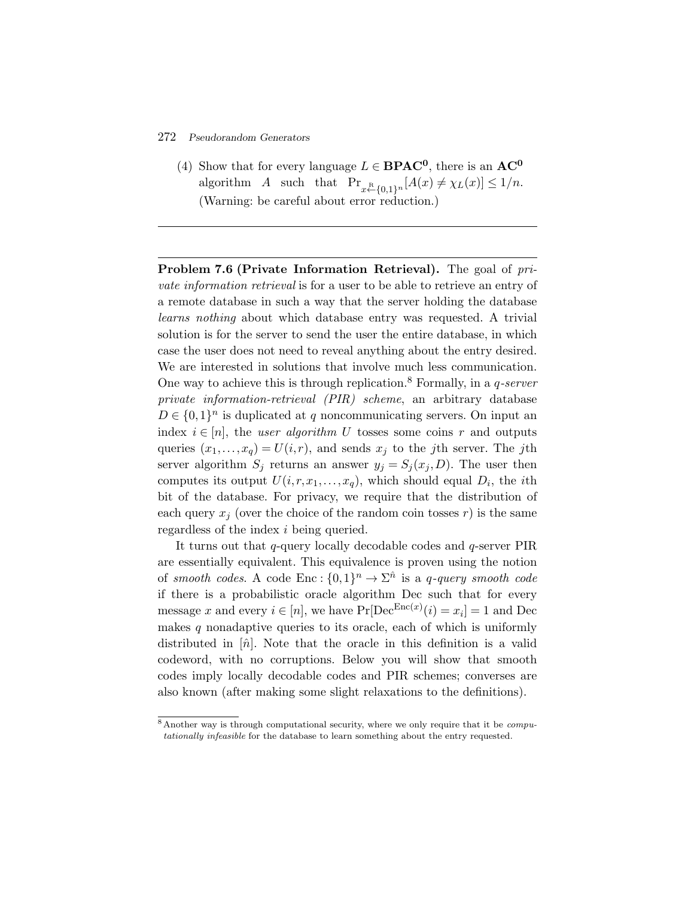(4) Show that for every language  $L \in \text{BPAC}^0$ , there is an  $AC^0$ algorithm A such that  $Pr_{x \leftarrow \{0,1\}^n} [A(x) \neq \chi_L(x)] \leq 1/n$ . (Warning: be careful about error reduction.)

**Problem 7.6 (Private Information Retrieval).** The goal of *private information retrieval* is for a user to be able to retrieve an entry of a remote database in such a way that the server holding the database *learns nothing* about which database entry was requested. A trivial solution is for the server to send the user the entire database, in which case the user does not need to reveal anything about the entry desired. We are interested in solutions that involve much less communication. One way to achieve this is through replication.<sup>8</sup> Formally, in a q*-server private information-retrieval (PIR) scheme*, an arbitrary database  $D \in \{0,1\}^n$  is duplicated at q noncommunicating servers. On input an index  $i \in [n]$ , the *user algorithm* U tosses some coins r and outputs queries  $(x_1,...,x_q) = U(i,r)$ , and sends  $x_j$  to the *j*th server. The *j*th server algorithm  $S_j$  returns an answer  $y_j = S_j(x_j, D)$ . The user then computes its output  $U(i,r,x_1,\ldots,x_q)$ , which should equal  $D_i$ , the *i*th bit of the database. For privacy, we require that the distribution of each query  $x_i$  (over the choice of the random coin tosses r) is the same regardless of the index i being queried.

It turns out that q-query locally decodable codes and q-server PIR are essentially equivalent. This equivalence is proven using the notion of *smooth codes*. A code Enc :  $\{0,1\}^n \to \Sigma^{\hat{n}}$  is a *q*-query *smooth code* if there is a probabilistic oracle algorithm Dec such that for every message x and every  $i \in [n]$ , we have  $Pr[Dec^{Enc(x)}(i) = x_i] = 1$  and Dec makes  $q$  nonadaptive queries to its oracle, each of which is uniformly distributed in  $[\hat{n}]$ . Note that the oracle in this definition is a valid codeword, with no corruptions. Below you will show that smooth codes imply locally decodable codes and PIR schemes; converses are also known (after making some slight relaxations to the definitions).

<sup>&</sup>lt;sup>8</sup> Another way is through computational security, where we only require that it be *compu*tationally infeasible for the database to learn something about the entry requested.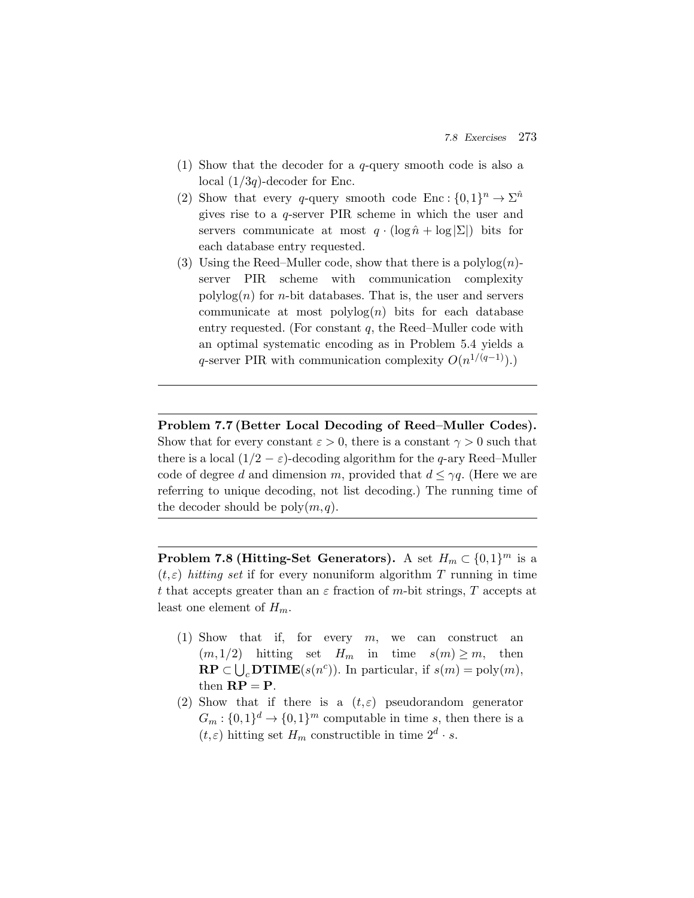- (1) Show that the decoder for a q-query smooth code is also a local  $(1/3q)$ -decoder for Enc.
- (2) Show that every q-query smooth code Enc :  $\{0,1\}^n \to \Sigma^n$ gives rise to a q-server PIR scheme in which the user and servers communicate at most  $q \cdot (\log \hat{n} + \log |\Sigma|)$  bits for each database entry requested.
- (3) Using the Reed–Muller code, show that there is a polylog $(n)$ server PIR scheme with communication complexity  $polylog(n)$  for *n*-bit databases. That is, the user and servers communicate at most  $\text{polylog}(n)$  bits for each database entry requested. (For constant  $q$ , the Reed–Muller code with an optimal systematic encoding as in Problem 5.4 yields a q-server PIR with communication complexity  $O(n^{1/(q-1)})$ .)

**Problem 7.7 (Better Local Decoding of Reed–Muller Codes).** Show that for every constant  $\varepsilon > 0$ , there is a constant  $\gamma > 0$  such that there is a local  $(1/2 - \varepsilon)$ -decoding algorithm for the q-ary Reed–Muller code of degree d and dimension m, provided that  $d \leq \gamma q$ . (Here we are referring to unique decoding, not list decoding.) The running time of the decoder should be  $\text{poly}(m,q)$ .

**Problem 7.8 (Hitting-Set Generators).** A set  $H_m \subset \{0,1\}^m$  is a  $(t, \varepsilon)$  *hitting set* if for every nonuniform algorithm T running in time t that accepts greater than an  $\varepsilon$  fraction of m-bit strings, T accepts at least one element of  $H_m$ .

- (1) Show that if, for every  $m$ , we can construct an  $(m,1/2)$  hitting set  $H_m$  in time  $s(m) \ge m$ , then ccepts gn<br>e elemen<br>Show t<br>(*m*,1/2)<br>**RP** ⊂ ∪  $\mathbf{RP} \subset \bigcup_{c} \mathbf{DTIME}(s(n^c))$ . In particular, if  $s(m) = \text{poly}(m)$ , then  $\mathbf{RP} = \mathbf{P}$ .
- (2) Show that if there is a  $(t, \varepsilon)$  pseudorandom generator  $G_m : \{0,1\}^d \to \{0,1\}^m$  computable in time s, then there is a  $(t,\varepsilon)$  hitting set  $H_m$  constructible in time  $2^d \cdot s$ .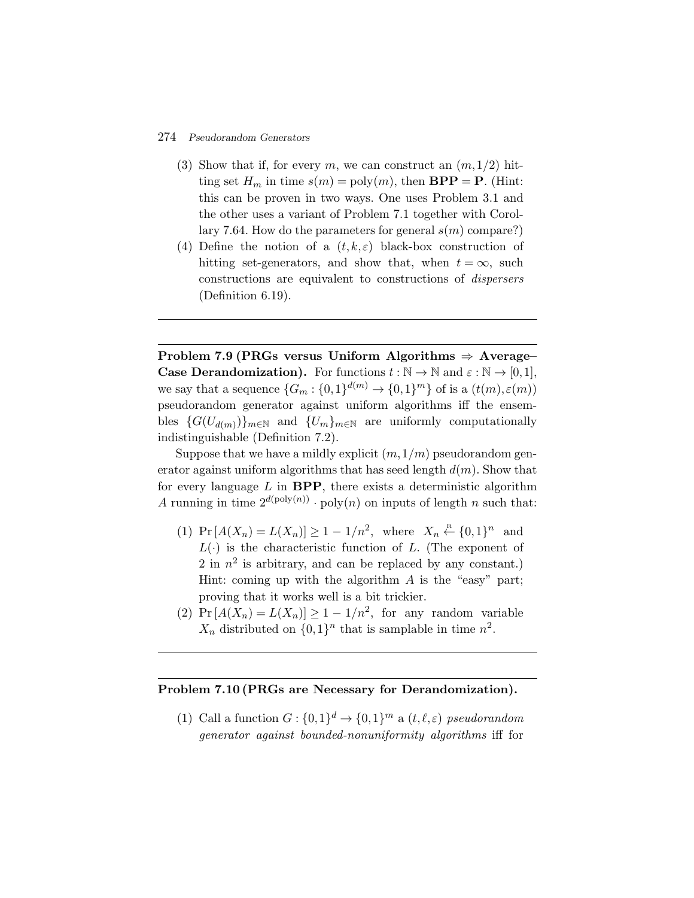- (3) Show that if, for every m, we can construct an  $(m,1/2)$  hitting set  $H_m$  in time  $s(m) = \text{poly}(m)$ , then  $BPP = P$ . (Hint: this can be proven in two ways. One uses Problem 3.1 and the other uses a variant of Problem 7.1 together with Corollary 7.64. How do the parameters for general  $s(m)$  compare?)
- (4) Define the notion of a  $(t, k, \varepsilon)$  black-box construction of hitting set-generators, and show that, when  $t = \infty$ , such constructions are equivalent to constructions of *dispersers* (Definition 6.19).

**Problem 7.9 (PRGs versus Uniform Algorithms** ⇒ **Average– Case Derandomization).** For functions  $t : \mathbb{N} \to \mathbb{N}$  and  $\varepsilon : \mathbb{N} \to [0,1],$ we say that a sequence  $\{G_m : \{0,1\}^{d(m)} \to \{0,1\}^m\}$  of is a  $(t(m), \varepsilon(m))$ pseudorandom generator against uniform algorithms iff the ensembles  $\{G(U_{d(m)})\}_{m\in\mathbb{N}}$  and  $\{U_m\}_{m\in\mathbb{N}}$  are uniformly computationally indistinguishable (Definition 7.2).

Suppose that we have a mildly explicit  $(m,1/m)$  pseudorandom generator against uniform algorithms that has seed length  $d(m)$ . Show that for every language  $L$  in  $BPP$ , there exists a deterministic algorithm A running in time  $2^{d(\text{poly}(n))} \cdot \text{poly}(n)$  on inputs of length n such that:

- (1)  $Pr[A(X_n) = L(X_n)] \ge 1 1/n^2$ , where  $X_n \stackrel{\text{R}}{\leftarrow} \{0,1\}^n$  and  $L(\cdot)$  is the characteristic function of L. (The exponent of 2 in  $n^2$  is arbitrary, and can be replaced by any constant.) Hint: coming up with the algorithm  $A$  is the "easy" part; proving that it works well is a bit trickier.
- (2)  $Pr[A(X_n) = L(X_n)] \geq 1 1/n^2$ , for any random variable  $X_n$  distributed on  $\{0,1\}^n$  that is samplable in time  $n^2$ .

## **Problem 7.10 (PRGs are Necessary for Derandomization).**

(1) Call a function  $G: \{0,1\}^d \to \{0,1\}^m$  a  $(t,\ell,\varepsilon)$  *pseudorandom generator against bounded-nonuniformity algorithms* iff for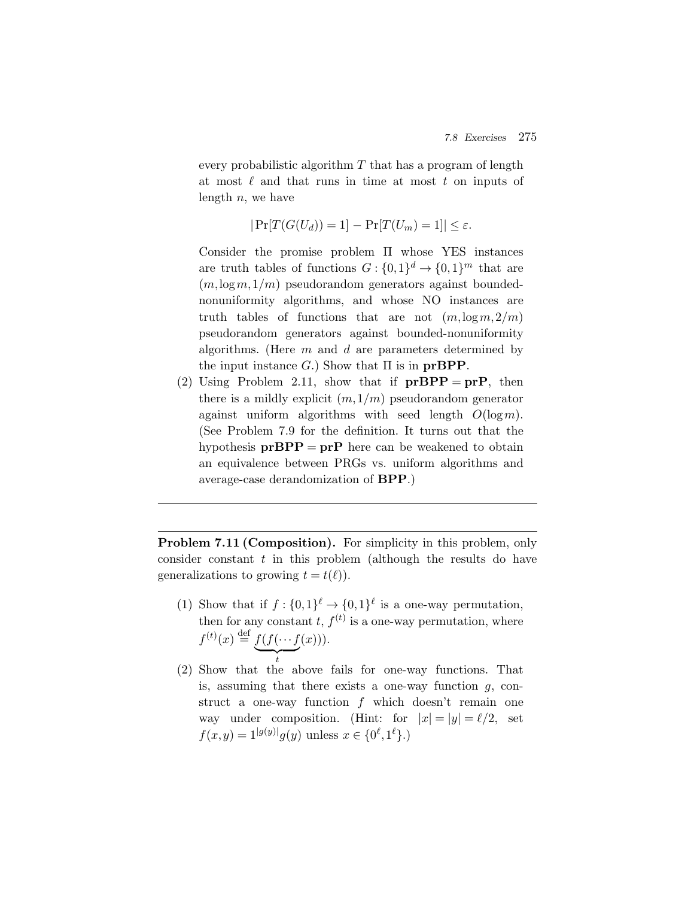every probabilistic algorithm  $T$  that has a program of length at most  $\ell$  and that runs in time at most  $t$  on inputs of length  $n$ , we have

$$
|\Pr[T(G(U_d)) = 1] - \Pr[T(U_m) = 1]| \le \varepsilon.
$$

Consider the promise problem Π whose YES instances are truth tables of functions  $G: \{0,1\}^d \to \{0,1\}^m$  that are  $(m, \log m, 1/m)$  pseudorandom generators against boundednonuniformity algorithms, and whose NO instances are truth tables of functions that are not  $(m, \log m, 2/m)$ pseudorandom generators against bounded-nonuniformity algorithms. (Here  $m$  and  $d$  are parameters determined by the input instance  $G$ .) Show that  $\Pi$  is in **prBPP**.

(2) Using Problem 2.11, show that if  $prBPP = prP$ , then there is a mildly explicit  $(m,1/m)$  pseudorandom generator against uniform algorithms with seed length  $O(\log m)$ . (See Problem 7.9 for the definition. It turns out that the hypothesis  $prBPP = prP$  here can be weakened to obtain an equivalence between PRGs vs. uniform algorithms and average-case derandomization of **BPP**.)

**Problem 7.11 (Composition).** For simplicity in this problem, only consider constant  $t$  in this problem (although the results do have generalizations to growing  $t = t(\ell)$ .

- (1) Show that if  $f: \{0,1\}^{\ell} \to \{0,1\}^{\ell}$  is a one-way permutation, then for any constant t,  $f^{(t)}$  is a one-way permutation, where Show that if  $f: \{0$ <br>then for any consta<br> $f^{(t)}(x) \stackrel{\text{def}}{=} \underbrace{f(f(\cdots f))}$  $(x))$ ).
- t (2) Show that the above fails for one-way functions. That is, assuming that there exists a one-way function  $g$ , construct a one-way function  $f$  which doesn't remain one way under composition. (Hint: for  $|x| = |y| = \ell/2$ , set  $f(x,y) = 1^{|g(y)|} g(y)$  unless  $x \in \{0^{\ell}, 1^{\ell}\}\.$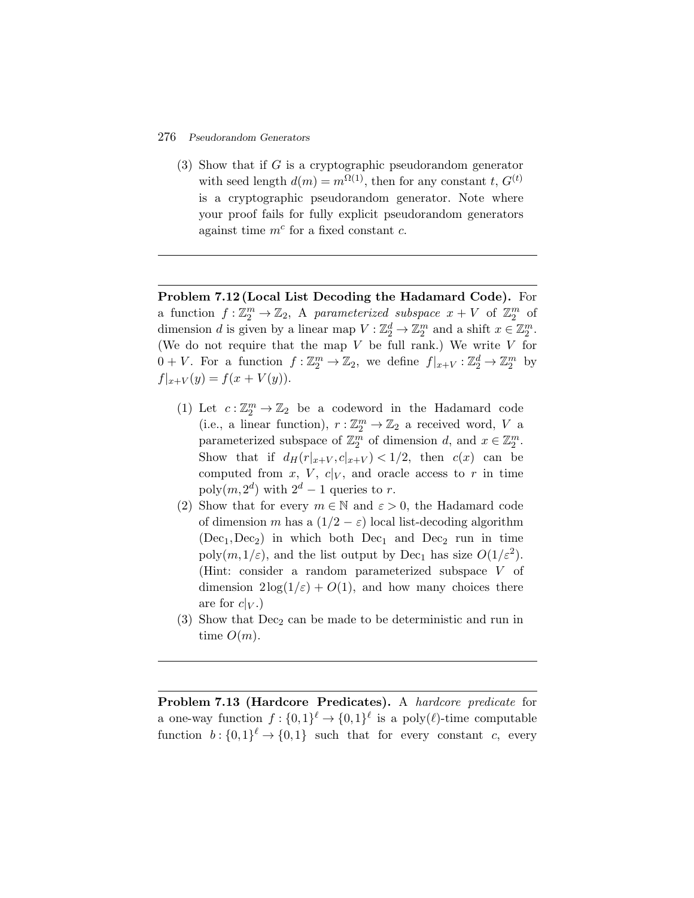(3) Show that if G is a cryptographic pseudorandom generator with seed length  $d(m) = m^{\Omega(1)}$ , then for any constant t,  $G^{(t)}$ is a cryptographic pseudorandom generator. Note where your proof fails for fully explicit pseudorandom generators against time  $m^c$  for a fixed constant  $c$ .

**Problem 7.12 (Local List Decoding the Hadamard Code).** For a function  $f: \mathbb{Z}_2^m \to \mathbb{Z}_2$ , A *parameterized subspace*  $x + V$  of  $\mathbb{Z}_2^m$  of dimension d is given by a linear map  $V : \mathbb{Z}_2^d \to \mathbb{Z}_2^m$  and a shift  $x \in \mathbb{Z}_2^m$ . (We do not require that the map  $V$  be full rank.) We write  $V$  for  $0 + V$ . For a function  $f: \mathbb{Z}_2^m \to \mathbb{Z}_2$ , we define  $f|_{x+V} : \mathbb{Z}_2^d \to \mathbb{Z}_2^m$  by  $f|_{x+V}(y) = f(x + V(y)).$ 

- (1) Let  $c: \mathbb{Z}_2^m \to \mathbb{Z}_2$  be a codeword in the Hadamard code (i.e., a linear function),  $r : \mathbb{Z}_2^m \to \mathbb{Z}_2$  a received word, V a parameterized subspace of  $\mathbb{Z}_2^m$  of dimension d, and  $x \in \mathbb{Z}_2^m$ . Show that if  $d_H(r_{x+V}, c|_{x+V}) < 1/2$ , then  $c(x)$  can be computed from x, V,  $c|_V$ , and oracle access to r in time poly $(m, 2^d)$  with  $2^d - 1$  queries to r.
- (2) Show that for every  $m \in \mathbb{N}$  and  $\varepsilon > 0$ , the Hadamard code of dimension m has a  $(1/2 - \varepsilon)$  local list-decoding algorithm  $(Dec_1, Dec_2)$  in which both  $Dec_1$  and  $Dec_2$  run in time poly $(m,1/\varepsilon)$ , and the list output by Dec<sub>1</sub> has size  $O(1/\varepsilon^2)$ . (Hint: consider a random parameterized subspace V of dimension  $2\log(1/\varepsilon) + O(1)$ , and how many choices there are for  $c|_V$ .)
- $(3)$  Show that Dec<sub>2</sub> can be made to be deterministic and run in time  $O(m)$ .

**Problem 7.13 (Hardcore Predicates).** A *hardcore predicate* for a one-way function  $f: \{0,1\}^{\ell} \to \{0,1\}^{\ell}$  is a poly $(\ell)$ -time computable function  $b: \{0,1\}^{\ell} \to \{0,1\}$  such that for every constant c, every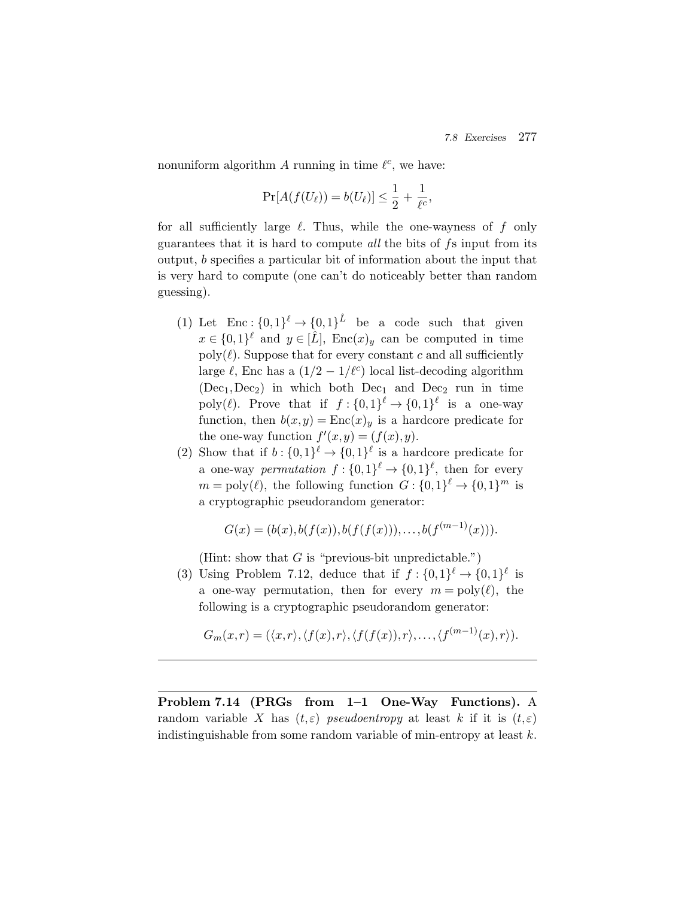nonuniform algorithm A running in time  $\ell^c$ , we have:

$$
\Pr[A(f(U_{\ell})) = b(U_{\ell})] \le \frac{1}{2} + \frac{1}{\ell^{c}},
$$

for all sufficiently large  $\ell$ . Thus, while the one-wayness of  $f$  only guarantees that it is hard to compute *all* the bits of fs input from its output, b specifies a particular bit of information about the input that is very hard to compute (one can't do noticeably better than random guessing).

- (1) Let  $\text{Enc} : \{0,1\}^{\ell} \to \{0,1\}^{\hat{L}}$  be a code such that given  $x \in \{0,1\}^{\ell}$  and  $y \in [\hat{L}]$ , Enc $(x)_y$  can be computed in time poly $(\ell)$ . Suppose that for every constant c and all sufficiently large  $\ell$ , Enc has a  $(1/2 - 1/\ell^c)$  local list-decoding algorithm  $(Dec_1, Dec_2)$  in which both  $Dec_1$  and  $Dec_2$  run in time poly( $\ell$ ). Prove that if  $f: \{0,1\}^{\ell} \to \{0,1\}^{\ell}$  is a one-way function, then  $b(x,y) = \text{Enc}(x)_y$  is a hardcore predicate for the one-way function  $f'(x,y)=(f(x),y)$ .
- (2) Show that if  $b: \{0,1\}^{\ell} \to \{0,1\}^{\ell}$  is a hardcore predicate for a one-way *permutation*  $f: \{0,1\}^{\ell} \to \{0,1\}^{\ell}$ , then for every  $m = \text{poly}(\ell)$ , the following function  $G: \{0,1\}^{\ell} \to \{0,1\}^m$  is a cryptographic pseudorandom generator:

$$
G(x) = (b(x), b(f(x)), b(f(f(x))), \dots, b(f^{(m-1)}(x))).
$$

(Hint: show that  $G$  is "previous-bit unpredictable.")

(3) Using Problem 7.12, deduce that if  $f: \{0,1\}^{\ell} \to \{0,1\}^{\ell}$  is a one-way permutation, then for every  $m = \text{poly}(\ell)$ , the following is a cryptographic pseudorandom generator:

$$
G_m(x,r)=(\langle x,r\rangle,\langle f(x),r\rangle,\langle f(f(x)),r\rangle,\ldots,\langle f^{(m-1)}(x),r\rangle).
$$

**Problem 7.14 (PRGs from 1–1 One-Way Functions).** A random variable X has  $(t, \varepsilon)$  *pseudoentropy* at least k if it is  $(t, \varepsilon)$ indistinguishable from some random variable of min-entropy at least  $k$ .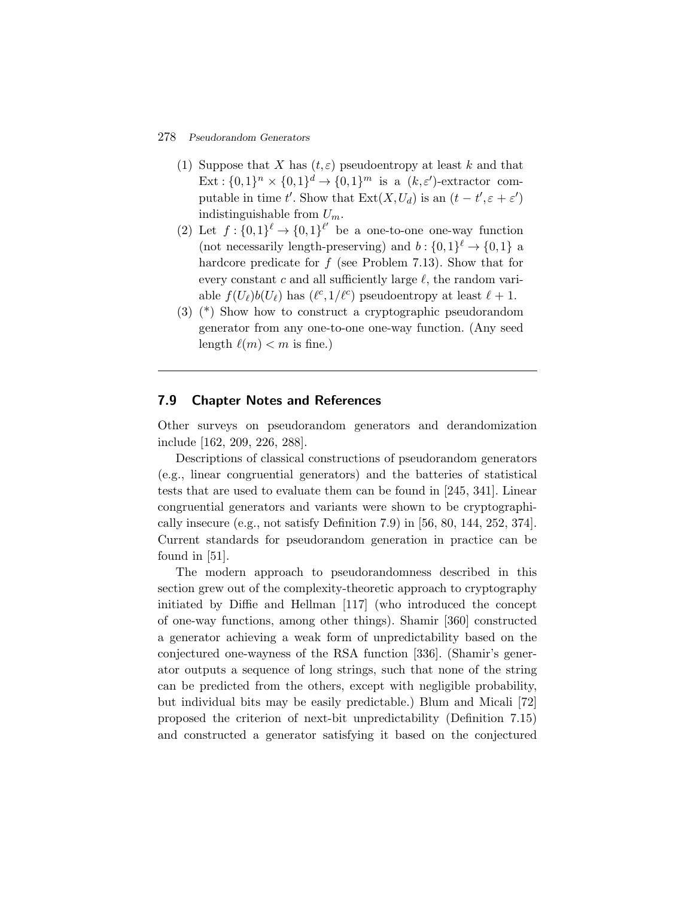- (1) Suppose that X has  $(t, \varepsilon)$  pseudoentropy at least k and that Ext:  $\{0,1\}^n \times \{0,1\}^d \rightarrow \{0,1\}^m$  is a  $(k,\varepsilon')$ -extractor computable in time t'. Show that  $\text{Ext}(X, U_d)$  is an  $(t - t', \varepsilon + \varepsilon')$ indistinguishable from  $U_m$ .
- (2) Let  $f: \{0,1\}^{\ell} \to \{0,1\}^{\ell'}$  be a one-to-one one-way function (not necessarily length-preserving) and  $b: \{0,1\}^\ell \rightarrow \{0,1\}$  a hardcore predicate for f (see Problem 7.13). Show that for every constant c and all sufficiently large  $\ell$ , the random variable  $f(U_\ell)b(U_\ell)$  has  $(\ell^c,1/\ell^c)$  pseudoentropy at least  $\ell+1$ .
- (3) (\*) Show how to construct a cryptographic pseudorandom generator from any one-to-one one-way function. (Any seed length  $\ell(m) < m$  is fine.)

## **7.9 Chapter Notes and References**

Other surveys on pseudorandom generators and derandomization include [162, 209, 226, 288].

Descriptions of classical constructions of pseudorandom generators (e.g., linear congruential generators) and the batteries of statistical tests that are used to evaluate them can be found in [245, 341]. Linear congruential generators and variants were shown to be cryptographically insecure (e.g., not satisfy Definition 7.9) in [56, 80, 144, 252, 374]. Current standards for pseudorandom generation in practice can be found in [51].

The modern approach to pseudorandomness described in this section grew out of the complexity-theoretic approach to cryptography initiated by Diffie and Hellman [117] (who introduced the concept of one-way functions, among other things). Shamir [360] constructed a generator achieving a weak form of unpredictability based on the conjectured one-wayness of the RSA function [336]. (Shamir's generator outputs a sequence of long strings, such that none of the string can be predicted from the others, except with negligible probability, but individual bits may be easily predictable.) Blum and Micali [72] proposed the criterion of next-bit unpredictability (Definition 7.15) and constructed a generator satisfying it based on the conjectured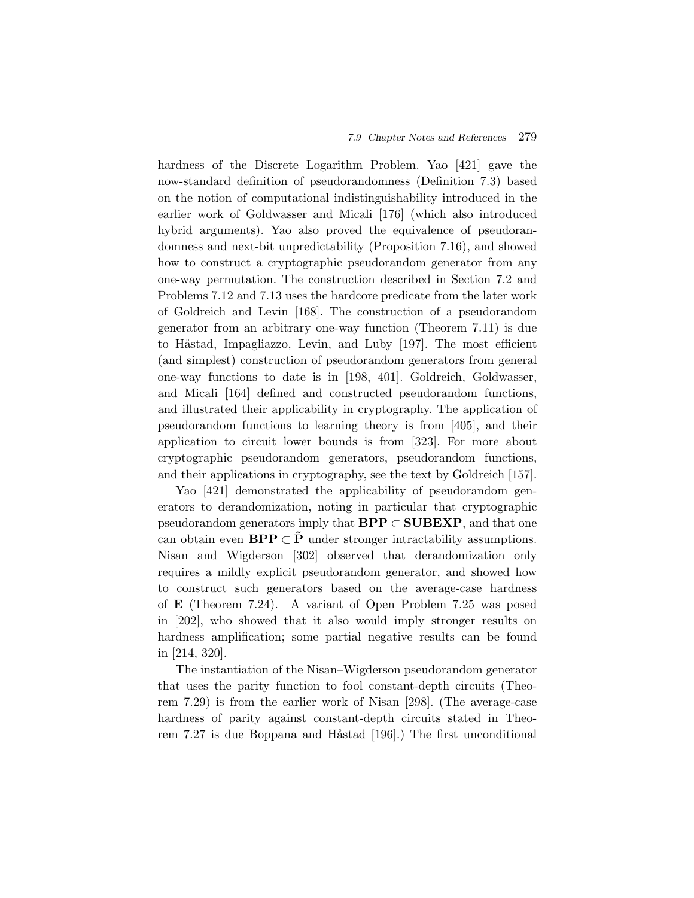hardness of the Discrete Logarithm Problem. Yao [421] gave the now-standard definition of pseudorandomness (Definition 7.3) based on the notion of computational indistinguishability introduced in the earlier work of Goldwasser and Micali [176] (which also introduced hybrid arguments). Yao also proved the equivalence of pseudorandomness and next-bit unpredictability (Proposition 7.16), and showed how to construct a cryptographic pseudorandom generator from any one-way permutation. The construction described in Section 7.2 and Problems 7.12 and 7.13 uses the hardcore predicate from the later work of Goldreich and Levin [168]. The construction of a pseudorandom generator from an arbitrary one-way function (Theorem 7.11) is due to Håstad, Impagliazzo, Levin, and Luby [197]. The most efficient (and simplest) construction of pseudorandom generators from general one-way functions to date is in [198, 401]. Goldreich, Goldwasser, and Micali [164] defined and constructed pseudorandom functions, and illustrated their applicability in cryptography. The application of pseudorandom functions to learning theory is from [405], and their application to circuit lower bounds is from [323]. For more about cryptographic pseudorandom generators, pseudorandom functions, and their applications in cryptography, see the text by Goldreich [157].

Yao [421] demonstrated the applicability of pseudorandom generators to derandomization, noting in particular that cryptographic pseudorandom generators imply that **BPP** ⊂ **SUBEXP**, and that one can obtain even **BPP**  $\subset$  **P** under stronger intractability assumptions. Nisan and Wigderson [302] observed that derandomization only requires a mildly explicit pseudorandom generator, and showed how to construct such generators based on the average-case hardness of **E** (Theorem 7.24). A variant of Open Problem 7.25 was posed in [202], who showed that it also would imply stronger results on hardness amplification; some partial negative results can be found in [214, 320].

The instantiation of the Nisan–Wigderson pseudorandom generator that uses the parity function to fool constant-depth circuits (Theorem 7.29) is from the earlier work of Nisan [298]. (The average-case hardness of parity against constant-depth circuits stated in Theorem 7.27 is due Boppana and Håstad [196].) The first unconditional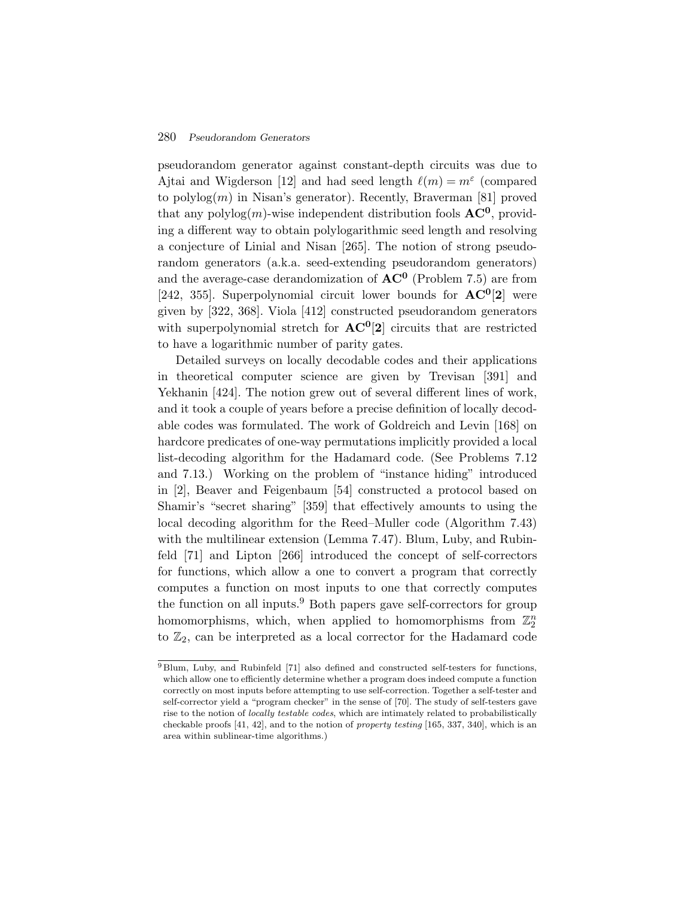pseudorandom generator against constant-depth circuits was due to Ajtai and Wigderson [12] and had seed length  $\ell(m) = m^{\epsilon}$  (compared to polylog $(m)$  in Nisan's generator). Recently, Braverman [81] proved that any polylog $(m)$ -wise independent distribution fools  $AC^0$ , providing a different way to obtain polylogarithmic seed length and resolving a conjecture of Linial and Nisan [265]. The notion of strong pseudorandom generators (a.k.a. seed-extending pseudorandom generators) and the average-case derandomization of **AC<sup>0</sup>** (Problem 7.5) are from [242, 355]. Superpolynomial circuit lower bounds for **AC0**[**2**] were given by [322, 368]. Viola [412] constructed pseudorandom generators with superpolynomial stretch for **AC0**[**2**] circuits that are restricted to have a logarithmic number of parity gates.

Detailed surveys on locally decodable codes and their applications in theoretical computer science are given by Trevisan [391] and Yekhanin [424]. The notion grew out of several different lines of work, and it took a couple of years before a precise definition of locally decodable codes was formulated. The work of Goldreich and Levin [168] on hardcore predicates of one-way permutations implicitly provided a local list-decoding algorithm for the Hadamard code. (See Problems 7.12 and 7.13.) Working on the problem of "instance hiding" introduced in [2], Beaver and Feigenbaum [54] constructed a protocol based on Shamir's "secret sharing" [359] that effectively amounts to using the local decoding algorithm for the Reed–Muller code (Algorithm 7.43) with the multilinear extension (Lemma 7.47). Blum, Luby, and Rubinfeld [71] and Lipton [266] introduced the concept of self-correctors for functions, which allow a one to convert a program that correctly computes a function on most inputs to one that correctly computes the function on all inputs.<sup>9</sup> Both papers gave self-correctors for group homomorphisms, which, when applied to homomorphisms from  $\mathbb{Z}_2^n$ to  $\mathbb{Z}_2$ , can be interpreted as a local corrector for the Hadamard code

<sup>9</sup> Blum, Luby, and Rubinfeld [71] also defined and constructed self-testers for functions, which allow one to efficiently determine whether a program does indeed compute a function correctly on most inputs before attempting to use self-correction. Together a self-tester and self-corrector yield a "program checker" in the sense of [70]. The study of self-testers gave rise to the notion of locally testable codes, which are intimately related to probabilistically checkable proofs [41, 42], and to the notion of property testing [165, 337, 340], which is an area within sublinear-time algorithms.)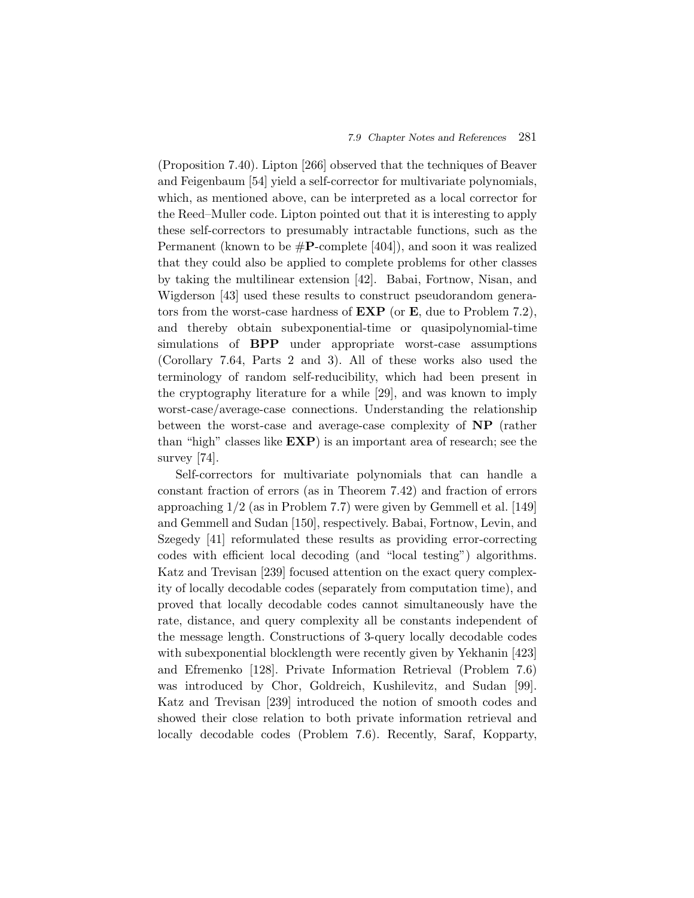(Proposition 7.40). Lipton [266] observed that the techniques of Beaver and Feigenbaum [54] yield a self-corrector for multivariate polynomials, which, as mentioned above, can be interpreted as a local corrector for the Reed–Muller code. Lipton pointed out that it is interesting to apply these self-correctors to presumably intractable functions, such as the Permanent (known to be #**P**-complete [404]), and soon it was realized that they could also be applied to complete problems for other classes by taking the multilinear extension [42]. Babai, Fortnow, Nisan, and Wigderson [43] used these results to construct pseudorandom generators from the worst-case hardness of **EXP** (or **E**, due to Problem 7.2), and thereby obtain subexponential-time or quasipolynomial-time simulations of **BPP** under appropriate worst-case assumptions (Corollary 7.64, Parts 2 and 3). All of these works also used the terminology of random self-reducibility, which had been present in the cryptography literature for a while [29], and was known to imply worst-case/average-case connections. Understanding the relationship between the worst-case and average-case complexity of **NP** (rather than "high" classes like **EXP**) is an important area of research; see the survey [74].

Self-correctors for multivariate polynomials that can handle a constant fraction of errors (as in Theorem 7.42) and fraction of errors approaching 1/2 (as in Problem 7.7) were given by Gemmell et al. [149] and Gemmell and Sudan [150], respectively. Babai, Fortnow, Levin, and Szegedy [41] reformulated these results as providing error-correcting codes with efficient local decoding (and "local testing") algorithms. Katz and Trevisan [239] focused attention on the exact query complexity of locally decodable codes (separately from computation time), and proved that locally decodable codes cannot simultaneously have the rate, distance, and query complexity all be constants independent of the message length. Constructions of 3-query locally decodable codes with subexponential blocklength were recently given by Yekhanin [423] and Efremenko [128]. Private Information Retrieval (Problem 7.6) was introduced by Chor, Goldreich, Kushilevitz, and Sudan [99]. Katz and Trevisan [239] introduced the notion of smooth codes and showed their close relation to both private information retrieval and locally decodable codes (Problem 7.6). Recently, Saraf, Kopparty,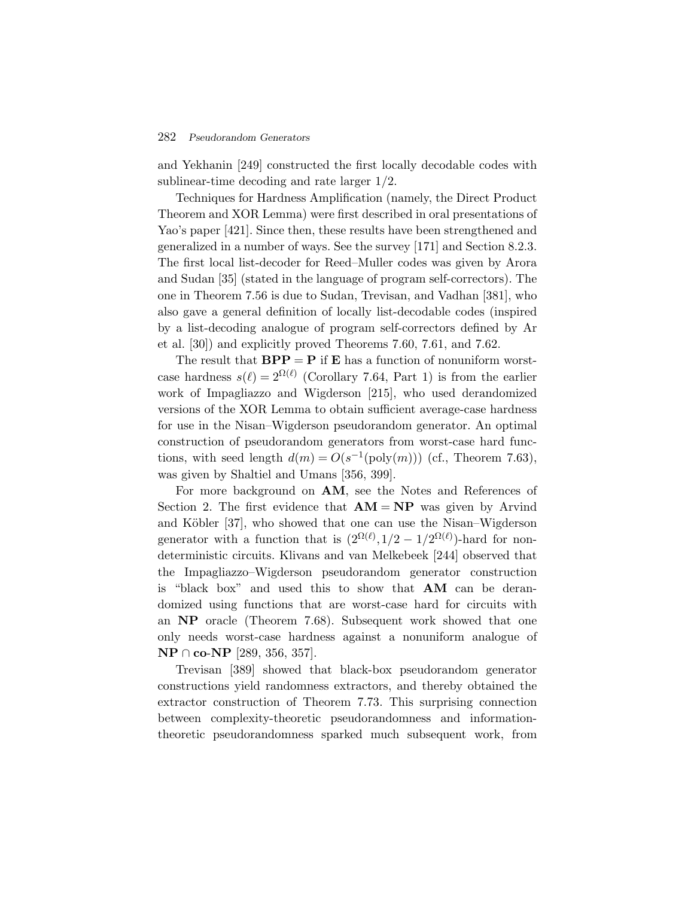and Yekhanin [249] constructed the first locally decodable codes with sublinear-time decoding and rate larger 1/2.

Techniques for Hardness Amplification (namely, the Direct Product Theorem and XOR Lemma) were first described in oral presentations of Yao's paper [421]. Since then, these results have been strengthened and generalized in a number of ways. See the survey [171] and Section 8.2.3. The first local list-decoder for Reed–Muller codes was given by Arora and Sudan [35] (stated in the language of program self-correctors). The one in Theorem 7.56 is due to Sudan, Trevisan, and Vadhan [381], who also gave a general definition of locally list-decodable codes (inspired by a list-decoding analogue of program self-correctors defined by Ar et al. [30]) and explicitly proved Theorems 7.60, 7.61, and 7.62.

The result that  $BPP = P$  if **E** has a function of nonuniform worstcase hardness  $s(\ell)=2^{\Omega(\ell)}$  (Corollary 7.64, Part 1) is from the earlier work of Impagliazzo and Wigderson [215], who used derandomized versions of the XOR Lemma to obtain sufficient average-case hardness for use in the Nisan–Wigderson pseudorandom generator. An optimal construction of pseudorandom generators from worst-case hard functions, with seed length  $d(m) = O(s^{-1}(\text{poly}(m)))$  (cf., Theorem 7.63), was given by Shaltiel and Umans [356, 399].

For more background on **AM**, see the Notes and References of Section 2. The first evidence that  $AM = NP$  was given by Arvind and Köbler [37], who showed that one can use the Nisan–Wigderson generator with a function that is  $(2^{\Omega(\ell)}, 1/2 - 1/2^{\Omega(\ell)})$ -hard for nondeterministic circuits. Klivans and van Melkebeek [244] observed that the Impagliazzo–Wigderson pseudorandom generator construction is "black box" and used this to show that **AM** can be derandomized using functions that are worst-case hard for circuits with an **NP** oracle (Theorem 7.68). Subsequent work showed that one only needs worst-case hardness against a nonuniform analogue of **NP** ∩ **co**-**NP** [289, 356, 357].

Trevisan [389] showed that black-box pseudorandom generator constructions yield randomness extractors, and thereby obtained the extractor construction of Theorem 7.73. This surprising connection between complexity-theoretic pseudorandomness and informationtheoretic pseudorandomness sparked much subsequent work, from